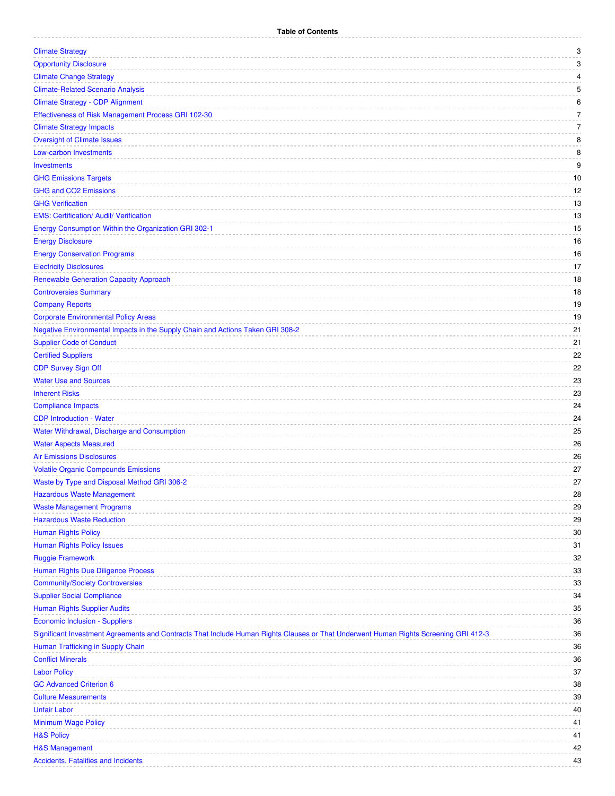| <b>Climate Strategy</b>                                                                                                              | 3  |
|--------------------------------------------------------------------------------------------------------------------------------------|----|
| <b>Opportunity Disclosure</b>                                                                                                        | 3  |
| <b>Climate Change Strategy</b>                                                                                                       | 4  |
| <b>Climate-Related Scenario Analysis</b>                                                                                             | 5  |
| <b>Climate Strategy - CDP Alignment</b>                                                                                              | 6  |
| Effectiveness of Risk Management Process GRI 102-30                                                                                  | 7  |
| <b>Climate Strategy Impacts</b>                                                                                                      | 7  |
| <b>Oversight of Climate Issues</b>                                                                                                   | 8  |
| <b>Low-carbon Investments</b>                                                                                                        | 8  |
| <b>Investments</b>                                                                                                                   | 9  |
| <b>GHG Emissions Targets</b>                                                                                                         | 10 |
| <b>GHG and CO2 Emissions</b>                                                                                                         | 12 |
| <b>GHG Verification</b>                                                                                                              | 13 |
| <b>EMS: Certification/ Audit/ Verification</b>                                                                                       | 13 |
| Energy Consumption Within the Organization GRI 302-1                                                                                 | 15 |
| <b>Energy Disclosure</b>                                                                                                             | 16 |
| <b>Energy Conservation Programs</b>                                                                                                  | 16 |
| <b>Electricity Disclosures</b>                                                                                                       | 17 |
| <b>Renewable Generation Capacity Approach</b>                                                                                        | 18 |
| <b>Controversies Summary</b>                                                                                                         | 18 |
| <b>Company Reports</b>                                                                                                               | 19 |
| <b>Corporate Environmental Policy Areas</b>                                                                                          | 19 |
| Negative Environmental Impacts in the Supply Chain and Actions Taken GRI 308-2                                                       | 21 |
| <b>Supplier Code of Conduct</b>                                                                                                      | 21 |
| <b>Certified Suppliers</b>                                                                                                           | 22 |
| <b>CDP Survey Sign Off</b>                                                                                                           | 22 |
| <b>Water Use and Sources</b>                                                                                                         | 23 |
| <b>Inherent Risks</b>                                                                                                                | 23 |
| <b>Compliance Impacts</b>                                                                                                            | 24 |
| <b>CDP Introduction - Water</b>                                                                                                      | 24 |
| Water Withdrawal, Discharge and Consumption                                                                                          | 25 |
| <b>Water Aspects Measured</b>                                                                                                        | 26 |
| <b>Air Emissions Disclosures</b>                                                                                                     | 26 |
|                                                                                                                                      | 27 |
| <b>Volatile Organic Compounds Emissions</b>                                                                                          | 27 |
| Waste by Type and Disposal Method GRI 306-2                                                                                          |    |
| <b>Hazardous Waste Management</b>                                                                                                    | 28 |
| <b>Waste Management Programs</b><br><b>Hazardous Waste Reduction</b>                                                                 | 29 |
|                                                                                                                                      | 29 |
| <b>Human Rights Policy</b>                                                                                                           | 30 |
| <b>Human Rights Policy Issues</b>                                                                                                    | 31 |
| <b>Ruggie Framework</b>                                                                                                              | 32 |
| Human Rights Due Diligence Process                                                                                                   | 33 |
| <b>Community/Society Controversies</b>                                                                                               | 33 |
| <b>Supplier Social Compliance</b>                                                                                                    | 34 |
| <b>Human Rights Supplier Audits</b>                                                                                                  | 35 |
| <b>Economic Inclusion - Suppliers</b>                                                                                                | 36 |
| Significant Investment Agreements and Contracts That Include Human Rights Clauses or That Underwent Human Rights Screening GRI 412-3 | 36 |
| Human Trafficking in Supply Chain                                                                                                    | 36 |
| <b>Conflict Minerals</b>                                                                                                             | 36 |
| <b>Labor Policy</b>                                                                                                                  | 37 |
| <b>GC Advanced Criterion 6</b>                                                                                                       | 38 |
| <b>Culture Measurements</b>                                                                                                          | 39 |
| <b>Unfair Labor</b>                                                                                                                  | 40 |
| Minimum Wage Policy                                                                                                                  | 41 |
| <b>H&amp;S Policy</b>                                                                                                                | 41 |
| <b>H&amp;S Management</b>                                                                                                            | 42 |
| <b>Accidents, Fatalities and Incidents</b>                                                                                           | 43 |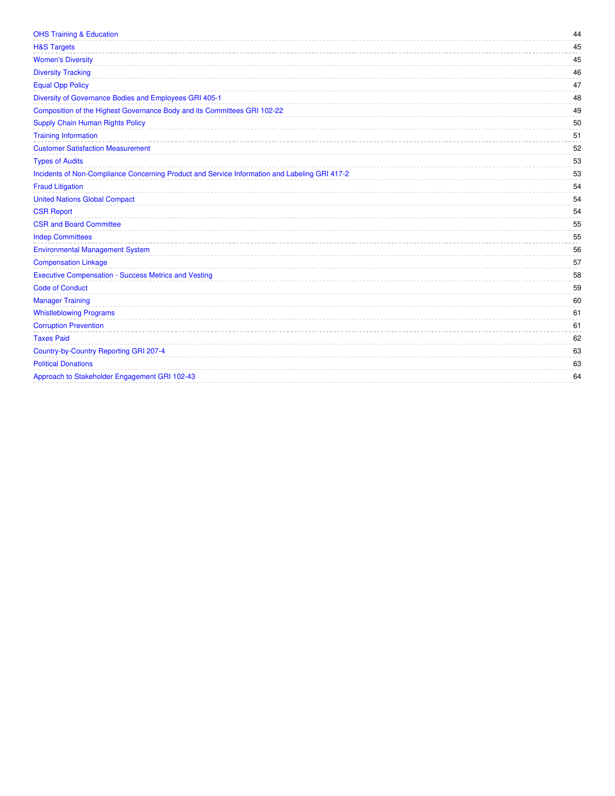| <b>OHS Training &amp; Education</b>                                                           | 44 |
|-----------------------------------------------------------------------------------------------|----|
| <b>H&amp;S Targets</b>                                                                        | 45 |
| <b>Women's Diversity</b>                                                                      | 45 |
| <b>Diversity Tracking</b>                                                                     | 46 |
| <b>Equal Opp Policy</b>                                                                       | 47 |
| Diversity of Governance Bodies and Employees GRI 405-1                                        | 48 |
| Composition of the Highest Governance Body and its Committees GRI 102-22                      | 49 |
| <b>Supply Chain Human Rights Policy</b>                                                       | 50 |
| <b>Training Information</b>                                                                   | 51 |
| <b>Customer Satisfaction Measurement</b>                                                      | 52 |
| <b>Types of Audits</b>                                                                        | 53 |
| Incidents of Non-Compliance Concerning Product and Service Information and Labeling GRI 417-2 | 53 |
| <b>Fraud Litigation</b>                                                                       | 54 |
| <b>United Nations Global Compact</b>                                                          | 54 |
| <b>CSR Report</b>                                                                             | 54 |
| <b>CSR and Board Committee</b>                                                                | 55 |
| <b>Indep Committees</b>                                                                       | 55 |
| <b>Environmental Management System</b>                                                        | 56 |
| <b>Compensation Linkage</b>                                                                   | 57 |
| <b>Executive Compensation - Success Metrics and Vesting</b>                                   | 58 |
| <b>Code of Conduct</b>                                                                        | 59 |
| <b>Manager Training</b>                                                                       | 60 |
| <b>Whistleblowing Programs</b>                                                                | 61 |
| <b>Corruption Prevention</b>                                                                  | 61 |
| <b>Taxes Paid</b>                                                                             | 62 |
| Country-by-Country Reporting GRI 207-4                                                        | 63 |
| <b>Political Donations</b>                                                                    | 63 |
| Approach to Stakeholder Engagement GRI 102-43                                                 | 64 |
|                                                                                               |    |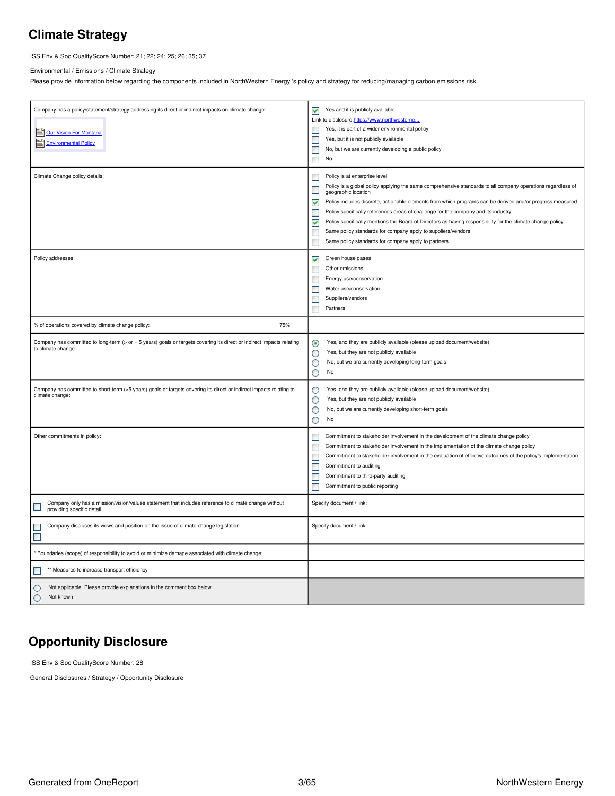## <span id="page-2-0"></span>**Climate Strategy**

ISS Env & Soc QualityScore Number: 21; 22; 24; 25; 26; 35; 37

Environmental / Emissions / Climate Strategy

Please provide information below regarding the components included in NorthWestern Energy 's policy and strategy for reducing/managing carbon emissions risk.

| Company has a policy/statement/strategy addressing its direct or indirect impacts on climate change:<br><b>Solution</b> For Montana<br>Environmental Policy | Yes and it is publicly available.<br>⊻<br>Link to disclosure:https://www.northwesterne<br>Yes, it is part of a wider environmental policy<br>П<br>Yes, but it is not publicly available<br>$\Box$<br>No, but we are currently developing a public policy<br>$\Box$<br>$\Box$<br>No                                                                                                                                                                                                                                                                                                                                                                                                    |
|-------------------------------------------------------------------------------------------------------------------------------------------------------------|---------------------------------------------------------------------------------------------------------------------------------------------------------------------------------------------------------------------------------------------------------------------------------------------------------------------------------------------------------------------------------------------------------------------------------------------------------------------------------------------------------------------------------------------------------------------------------------------------------------------------------------------------------------------------------------|
| Climate Change policy details:                                                                                                                              | Policy is at enterprise level<br>$\Box$<br>Policy is a global policy applying the same comprehensive standards to all company operations regardless of<br>$\Box$<br>geographic location<br>Policy includes discrete, actionable elements from which programs can be derived and/or progress measured<br>▽<br>$\Box$<br>Policy specifically references areas of challenge for the company and its industry<br>$\blacktriangledown$<br>Policy specifically mentions the Board of Directors as having responsibility for the climate change policy<br>Same policy standards for company apply to suppliers/vendors<br>$\Box$<br>Same policy standards for company apply to partners<br>П |
| Policy addresses:                                                                                                                                           | Green house gases<br>▽<br>Other emissions<br>П<br>$\Box$<br>Energy use/conservation<br>Water use/conservation<br>$\Box$<br>$\Box$<br>Suppliers/vendors<br>П<br>Partners                                                                                                                                                                                                                                                                                                                                                                                                                                                                                                               |
| 75%<br>% of operations covered by climate change policy:                                                                                                    |                                                                                                                                                                                                                                                                                                                                                                                                                                                                                                                                                                                                                                                                                       |
| Company has committed to long-term (> or = 5 years) goals or targets covering its direct or indirect impacts relating<br>to climate change:                 | Yes, and they are publicly available (please upload document/website)<br>◉<br>Yes, but they are not publicly available<br>O<br>О<br>No, but we are currently developing long-term goals<br>O<br>No                                                                                                                                                                                                                                                                                                                                                                                                                                                                                    |
| Company has committed to short-term (<5 years) goals or targets covering its direct or indirect impacts relating to<br>climate change:                      | Yes, and they are publicly available (please upload document/website)<br>O<br>О<br>Yes, but they are not publicly available<br>No, but we are currently developing short-term goals<br>О<br>O<br>No                                                                                                                                                                                                                                                                                                                                                                                                                                                                                   |
| Other commitments in policy:                                                                                                                                | Commitment to stakeholder involvement in the development of the climate change policy<br>$\Box$<br>П<br>Commitment to stakeholder involvement in the implementation of the climate change policy<br>$\Box$<br>Commitment to stakeholder involvement in the evaluation of effective outcomes of the policy's implementation<br>Commitment to auditing<br>П<br>П<br>Commitment to third-party auditing<br>Commitment to public reporting<br>П                                                                                                                                                                                                                                           |
| Company only has a mission/vision/values statement that includes reference to climate change without<br>L<br>providing specific detail.                     | Specify document / link:                                                                                                                                                                                                                                                                                                                                                                                                                                                                                                                                                                                                                                                              |
| Company discloses its views and position on the issue of climate change legislation<br>$\Box$<br>$\blacksquare$                                             | Specify document / link:                                                                                                                                                                                                                                                                                                                                                                                                                                                                                                                                                                                                                                                              |
| Boundaries (scope) of responsibility to avoid or minimize damage associated with climate change:                                                            |                                                                                                                                                                                                                                                                                                                                                                                                                                                                                                                                                                                                                                                                                       |
| ** Measures to increase transport efficiency<br>E                                                                                                           |                                                                                                                                                                                                                                                                                                                                                                                                                                                                                                                                                                                                                                                                                       |
| Not applicable. Please provide explanations in the comment box below.<br>O<br>Not known<br>О                                                                |                                                                                                                                                                                                                                                                                                                                                                                                                                                                                                                                                                                                                                                                                       |

## <span id="page-2-1"></span>**Opportunity Disclosure**

ISS Env & Soc QualityScore Number: 28

General Disclosures / Strategy / Opportunity Disclosure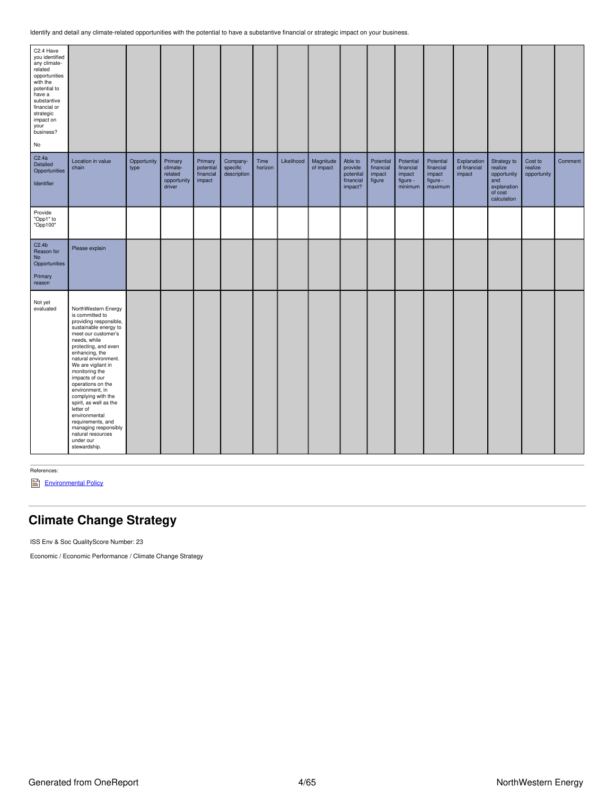| C2.4 Have<br>you identified<br>any climate-<br>related<br>opportunities<br>with the<br>potential to<br>have a<br>substantive<br>financial or<br>strategic<br>impact on<br>your<br>business?<br>No |                                                                                                                                                                                                                                                                                                                                                                                                                                                                                   |                     |                                                         |                                             |                                     |                 |            |                        |                                                         |                                            |                                                         |                                                         |                                       |                                                                                       |                                   |         |
|---------------------------------------------------------------------------------------------------------------------------------------------------------------------------------------------------|-----------------------------------------------------------------------------------------------------------------------------------------------------------------------------------------------------------------------------------------------------------------------------------------------------------------------------------------------------------------------------------------------------------------------------------------------------------------------------------|---------------------|---------------------------------------------------------|---------------------------------------------|-------------------------------------|-----------------|------------|------------------------|---------------------------------------------------------|--------------------------------------------|---------------------------------------------------------|---------------------------------------------------------|---------------------------------------|---------------------------------------------------------------------------------------|-----------------------------------|---------|
| C2.4a<br>Detailed<br>Opportunities<br>Identifier                                                                                                                                                  | Location in value<br>chain                                                                                                                                                                                                                                                                                                                                                                                                                                                        | Opportunity<br>type | Primary<br>climate-<br>related<br>opportunity<br>driver | Primary<br>potential<br>financial<br>impact | Company-<br>specific<br>description | Time<br>horizon | Likelihood | Magnitude<br>of impact | Able to<br>provide<br>potential<br>financial<br>impact? | Potential<br>financial<br>impact<br>figure | Potential<br>financial<br>impact<br>figure -<br>minimum | Potential<br>financial<br>impact<br>figure -<br>maximum | Explanation<br>of financial<br>impact | Strategy to<br>realize<br>opportunity<br>and<br>explanation<br>of cost<br>calculation | Cost to<br>realize<br>opportunity | Comment |
| Provide<br>"Opp1" to<br>"Opp100"                                                                                                                                                                  |                                                                                                                                                                                                                                                                                                                                                                                                                                                                                   |                     |                                                         |                                             |                                     |                 |            |                        |                                                         |                                            |                                                         |                                                         |                                       |                                                                                       |                                   |         |
| C2.4 <sub>b</sub><br>Reason for<br>No<br>Opportunities<br>Primary<br>reason                                                                                                                       | Please explain                                                                                                                                                                                                                                                                                                                                                                                                                                                                    |                     |                                                         |                                             |                                     |                 |            |                        |                                                         |                                            |                                                         |                                                         |                                       |                                                                                       |                                   |         |
| Not yet<br>evaluated                                                                                                                                                                              | NorthWestern Energy<br>is committed to<br>providing responsible,<br>sustainable energy to<br>meet our customer's<br>needs, while<br>protecting, and even<br>enhancing, the<br>natural environment.<br>We are vigilant in<br>monitoring the<br>impacts of our<br>operations on the<br>environment, in<br>complying with the<br>spirit, as well as the<br>letter of<br>environmental<br>requirements, and<br>managing responsibly<br>natural resources<br>under our<br>stewardship. |                     |                                                         |                                             |                                     |                 |            |                        |                                                         |                                            |                                                         |                                                         |                                       |                                                                                       |                                   |         |

References:

[Environmental](https://www.northwesternenergy.com/docs/default-source/documents/environment/environmental-commitment/environmental-policy-07012017.pdf) Policy

## <span id="page-3-0"></span>**Climate Change Strategy**

ISS Env & Soc QualityScore Number: 23

Economic / Economic Performance / Climate Change Strategy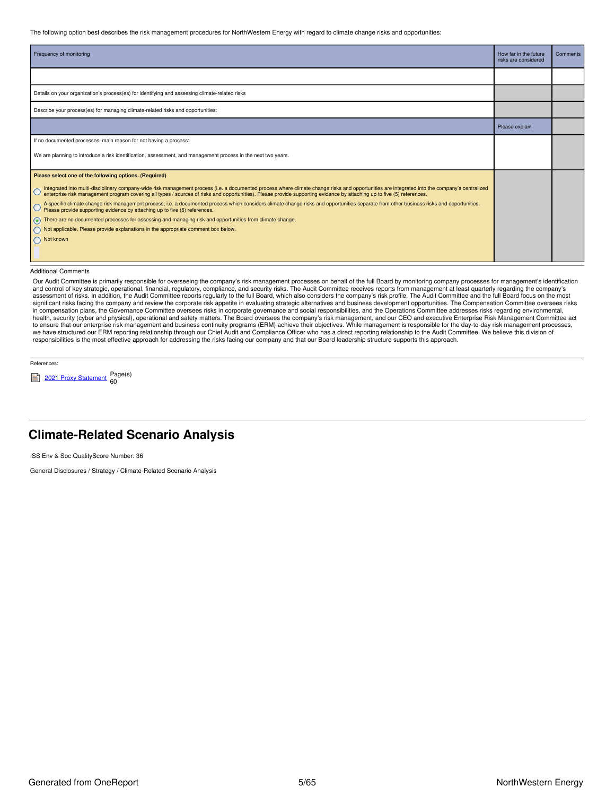The following option best describes the risk management procedures for NorthWestern Energy with regard to climate change risks and opportunities:

| Frequency of monitoring                                                                                                                                                                                                                                                                                                                                                  | How far in the future<br>risks are considered | Comments |
|--------------------------------------------------------------------------------------------------------------------------------------------------------------------------------------------------------------------------------------------------------------------------------------------------------------------------------------------------------------------------|-----------------------------------------------|----------|
|                                                                                                                                                                                                                                                                                                                                                                          |                                               |          |
| Details on your organization's process(es) for identifying and assessing climate-related risks                                                                                                                                                                                                                                                                           |                                               |          |
| Describe your process(es) for managing climate-related risks and opportunities:                                                                                                                                                                                                                                                                                          |                                               |          |
|                                                                                                                                                                                                                                                                                                                                                                          | Please explain                                |          |
| If no documented processes, main reason for not having a process:                                                                                                                                                                                                                                                                                                        |                                               |          |
| We are planning to introduce a risk identification, assessment, and management process in the next two years.                                                                                                                                                                                                                                                            |                                               |          |
| Please select one of the following options. (Required)                                                                                                                                                                                                                                                                                                                   |                                               |          |
| Integrated into multi-disciplinary company-wide risk management process (i.e. a documented process where climate change risks and opportunities are integrated into the company's centralized<br>enterprise risk management program covering all types / sources of risks and opportunities). Please provide supporting evidence by attaching up to five (5) references. |                                               |          |
| A specific climate change risk management process, i.e. a documented process which considers climate change risks and opportunities separate from other business risks and opportunities.<br>Please provide supporting evidence b                                                                                                                                        |                                               |          |
| There are no documented processes for assessing and managing risk and opportunities from climate change.                                                                                                                                                                                                                                                                 |                                               |          |
| Not applicable. Please provide explanations in the appropriate comment box below.                                                                                                                                                                                                                                                                                        |                                               |          |
| Not known                                                                                                                                                                                                                                                                                                                                                                |                                               |          |
|                                                                                                                                                                                                                                                                                                                                                                          |                                               |          |

#### Additional Comments

Our Audit Committee is primarily responsible for overseeing the company's risk management processes on behalf of the full Board by monitoring company processes for management's identification and control of key strategic, operational, financial, regulatory, compliance, and security risks. The Audit Committee receives reports from management at least quarterly regarding the company's assessment of risks. In addition, the Audit Committee reports regularly to the full Board, which also considers the company's risk profile. The Audit Committee and the full Board focus on the most<br>significant risks facing in compensation plans, the Governance Committee oversees risks in corporate governance and social responsibilities, and the Operations Committee addresses risks regarding environmental, health, security (cyber and physical), operational and safety matters. The Board oversees the company's risk management, and our CEO and executive Enterprise Risk Management Committee act to ensure that our enterprise risk management and business continuity programs (ERM) achieve their objectives. While management is responsible for the day-to-day risk management processes,<br>we have structured our ERM report responsibilities is the most effective approach for addressing the risks facing our company and that our Board leadership structure supports this approach.

References:

<sup>2021</sup> Proxy [Statement](https://www.northwesternenergy.com/docs/default-source/documents/proxy/2021-Proxy-Statement-Final.pdf) Page(s) 60

### <span id="page-4-0"></span>**Climate-Related Scenario Analysis**

ISS Env & Soc QualityScore Number: 36

General Disclosures / Strategy / Climate-Related Scenario Analysis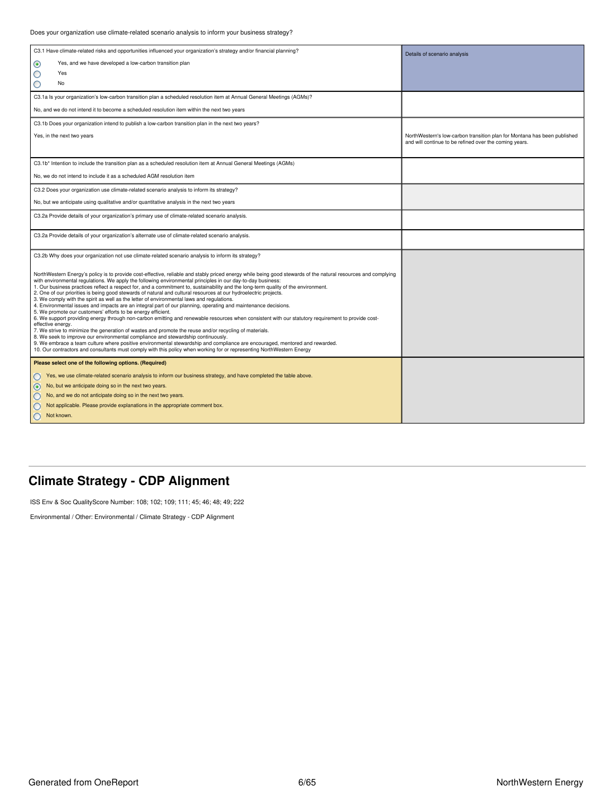| C3.1 Have climate-related risks and opportunities influenced your organization's strategy and/or financial planning?                                                                                                                                                                                                                                                                                                                                                                                                                                                                                                                                                                                                                                                                                                                                                                                                                                                                                                                                                                                                                                                                                                                                                                                                                                                                                                                                   | Details of scenario analysis                                                                                                       |
|--------------------------------------------------------------------------------------------------------------------------------------------------------------------------------------------------------------------------------------------------------------------------------------------------------------------------------------------------------------------------------------------------------------------------------------------------------------------------------------------------------------------------------------------------------------------------------------------------------------------------------------------------------------------------------------------------------------------------------------------------------------------------------------------------------------------------------------------------------------------------------------------------------------------------------------------------------------------------------------------------------------------------------------------------------------------------------------------------------------------------------------------------------------------------------------------------------------------------------------------------------------------------------------------------------------------------------------------------------------------------------------------------------------------------------------------------------|------------------------------------------------------------------------------------------------------------------------------------|
| $_{\odot}$<br>Yes, and we have developed a low-carbon transition plan                                                                                                                                                                                                                                                                                                                                                                                                                                                                                                                                                                                                                                                                                                                                                                                                                                                                                                                                                                                                                                                                                                                                                                                                                                                                                                                                                                                  |                                                                                                                                    |
| О<br>Yes                                                                                                                                                                                                                                                                                                                                                                                                                                                                                                                                                                                                                                                                                                                                                                                                                                                                                                                                                                                                                                                                                                                                                                                                                                                                                                                                                                                                                                               |                                                                                                                                    |
| О<br>No                                                                                                                                                                                                                                                                                                                                                                                                                                                                                                                                                                                                                                                                                                                                                                                                                                                                                                                                                                                                                                                                                                                                                                                                                                                                                                                                                                                                                                                |                                                                                                                                    |
| C3.1a Is your organization's low-carbon transition plan a scheduled resolution item at Annual General Meetings (AGMs)?                                                                                                                                                                                                                                                                                                                                                                                                                                                                                                                                                                                                                                                                                                                                                                                                                                                                                                                                                                                                                                                                                                                                                                                                                                                                                                                                 |                                                                                                                                    |
| No, and we do not intend it to become a scheduled resolution item within the next two years                                                                                                                                                                                                                                                                                                                                                                                                                                                                                                                                                                                                                                                                                                                                                                                                                                                                                                                                                                                                                                                                                                                                                                                                                                                                                                                                                            |                                                                                                                                    |
| C3.1b Does your organization intend to publish a low-carbon transition plan in the next two years?                                                                                                                                                                                                                                                                                                                                                                                                                                                                                                                                                                                                                                                                                                                                                                                                                                                                                                                                                                                                                                                                                                                                                                                                                                                                                                                                                     |                                                                                                                                    |
| Yes, in the next two years                                                                                                                                                                                                                                                                                                                                                                                                                                                                                                                                                                                                                                                                                                                                                                                                                                                                                                                                                                                                                                                                                                                                                                                                                                                                                                                                                                                                                             | NorthWestern's low-carbon transition plan for Montana has been published<br>and will continue to be refined over the coming years. |
| C3.1b* Intention to include the transition plan as a scheduled resolution item at Annual General Meetings (AGMs)                                                                                                                                                                                                                                                                                                                                                                                                                                                                                                                                                                                                                                                                                                                                                                                                                                                                                                                                                                                                                                                                                                                                                                                                                                                                                                                                       |                                                                                                                                    |
| No, we do not intend to include it as a scheduled AGM resolution item                                                                                                                                                                                                                                                                                                                                                                                                                                                                                                                                                                                                                                                                                                                                                                                                                                                                                                                                                                                                                                                                                                                                                                                                                                                                                                                                                                                  |                                                                                                                                    |
| C3.2 Does your organization use climate-related scenario analysis to inform its strategy?                                                                                                                                                                                                                                                                                                                                                                                                                                                                                                                                                                                                                                                                                                                                                                                                                                                                                                                                                                                                                                                                                                                                                                                                                                                                                                                                                              |                                                                                                                                    |
| No, but we anticipate using qualitative and/or quantitative analysis in the next two years                                                                                                                                                                                                                                                                                                                                                                                                                                                                                                                                                                                                                                                                                                                                                                                                                                                                                                                                                                                                                                                                                                                                                                                                                                                                                                                                                             |                                                                                                                                    |
| C3.2a Provide details of your organization's primary use of climate-related scenario analysis.                                                                                                                                                                                                                                                                                                                                                                                                                                                                                                                                                                                                                                                                                                                                                                                                                                                                                                                                                                                                                                                                                                                                                                                                                                                                                                                                                         |                                                                                                                                    |
| C3.2a Provide details of your organization's alternate use of climate-related scenario analysis.                                                                                                                                                                                                                                                                                                                                                                                                                                                                                                                                                                                                                                                                                                                                                                                                                                                                                                                                                                                                                                                                                                                                                                                                                                                                                                                                                       |                                                                                                                                    |
| C3.2b Why does your organization not use climate-related scenario analysis to inform its strategy?                                                                                                                                                                                                                                                                                                                                                                                                                                                                                                                                                                                                                                                                                                                                                                                                                                                                                                                                                                                                                                                                                                                                                                                                                                                                                                                                                     |                                                                                                                                    |
| NorthWestern Energy's policy is to provide cost-effective, reliable and stably priced energy while being good stewards of the natural resources and complying<br>with environmental regulations. We apply the following environmental principles in our day-to-day business:<br>1. Our business practices reflect a respect for, and a commitment to, sustainability and the long-term quality of the environment.<br>2. One of our priorities is being good stewards of natural and cultural resources at our hydroelectric projects.<br>3. We comply with the spirit as well as the letter of environmental laws and regulations.<br>4. Environmental issues and impacts are an integral part of our planning, operating and maintenance decisions.<br>5. We promote our customers' efforts to be energy efficient.<br>6. We support providing energy through non-carbon emitting and renewable resources when consistent with our statutory requirement to provide cost-<br>effective energy.<br>7. We strive to minimize the generation of wastes and promote the reuse and/or recycling of materials.<br>8. We seek to improve our environmental compliance and stewardship continuously.<br>9. We embrace a team culture where positive environmental stewardship and compliance are encouraged, mentored and rewarded.<br>10. Our contractors and consultants must comply with this policy when working for or representing NorthWestern Energy |                                                                                                                                    |
| Please select one of the following options. (Required)                                                                                                                                                                                                                                                                                                                                                                                                                                                                                                                                                                                                                                                                                                                                                                                                                                                                                                                                                                                                                                                                                                                                                                                                                                                                                                                                                                                                 |                                                                                                                                    |
| Yes, we use climate-related scenario analysis to inform our business strategy, and have completed the table above.                                                                                                                                                                                                                                                                                                                                                                                                                                                                                                                                                                                                                                                                                                                                                                                                                                                                                                                                                                                                                                                                                                                                                                                                                                                                                                                                     |                                                                                                                                    |
| No, but we anticipate doing so in the next two years.<br>$\odot$                                                                                                                                                                                                                                                                                                                                                                                                                                                                                                                                                                                                                                                                                                                                                                                                                                                                                                                                                                                                                                                                                                                                                                                                                                                                                                                                                                                       |                                                                                                                                    |
| No, and we do not anticipate doing so in the next two years.                                                                                                                                                                                                                                                                                                                                                                                                                                                                                                                                                                                                                                                                                                                                                                                                                                                                                                                                                                                                                                                                                                                                                                                                                                                                                                                                                                                           |                                                                                                                                    |
| Not applicable. Please provide explanations in the appropriate comment box.                                                                                                                                                                                                                                                                                                                                                                                                                                                                                                                                                                                                                                                                                                                                                                                                                                                                                                                                                                                                                                                                                                                                                                                                                                                                                                                                                                            |                                                                                                                                    |
| Not known.                                                                                                                                                                                                                                                                                                                                                                                                                                                                                                                                                                                                                                                                                                                                                                                                                                                                                                                                                                                                                                                                                                                                                                                                                                                                                                                                                                                                                                             |                                                                                                                                    |

## <span id="page-5-0"></span>**Climate Strategy - CDP Alignment**

ISS Env & Soc QualityScore Number: 108; 102; 109; 111; 45; 46; 48; 49; 222

Environmental / Other: Environmental / Climate Strategy - CDP Alignment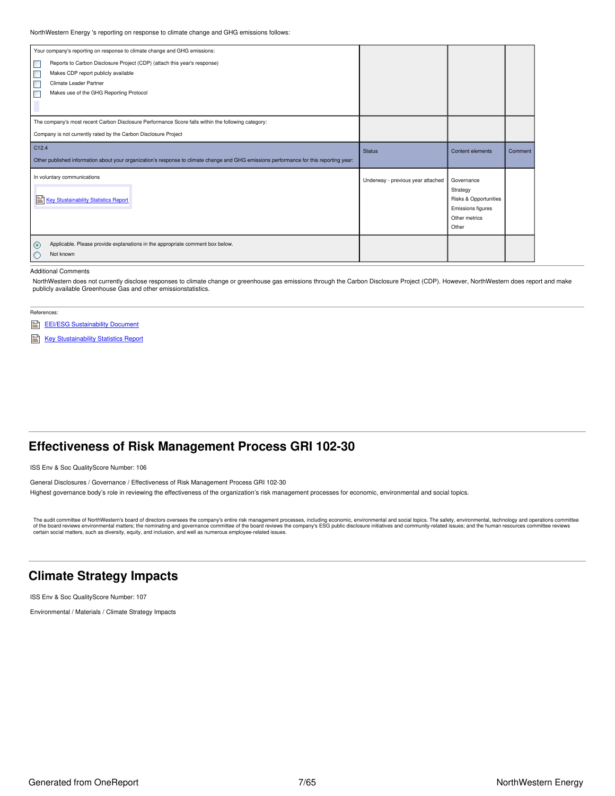NorthWestern Energy 's reporting on response to climate change and GHG emissions follows:

|                             | Your company's reporting on response to climate change and GHG emissions:                                                               |                                   |                                    |         |
|-----------------------------|-----------------------------------------------------------------------------------------------------------------------------------------|-----------------------------------|------------------------------------|---------|
| $\Box$                      | Reports to Carbon Disclosure Project (CDP) (attach this year's response)                                                                |                                   |                                    |         |
| ⊏                           | Makes CDP report publicly available                                                                                                     |                                   |                                    |         |
| Е                           | Climate Leader Partner                                                                                                                  |                                   |                                    |         |
| Г                           | Makes use of the GHG Reporting Protocol                                                                                                 |                                   |                                    |         |
|                             |                                                                                                                                         |                                   |                                    |         |
|                             |                                                                                                                                         |                                   |                                    |         |
|                             | The company's most recent Carbon Disclosure Performance Score falls within the following category:                                      |                                   |                                    |         |
|                             | Company is not currently rated by the Carbon Disclosure Project                                                                         |                                   |                                    |         |
| C <sub>12.4</sub>           |                                                                                                                                         | <b>Status</b>                     | Content elements                   | Comment |
|                             | Other published information about your organization's response to climate change and GHG emissions performance for this reporting year: |                                   |                                    |         |
| In voluntary communications |                                                                                                                                         |                                   |                                    |         |
|                             |                                                                                                                                         | Underway - previous year attached | Governance                         |         |
|                             |                                                                                                                                         |                                   | Strategy                           |         |
|                             | Key Stustainability Statistics Report                                                                                                   |                                   | Risks & Opportunities              |         |
|                             |                                                                                                                                         |                                   | Emissions figures<br>Other metrics |         |
|                             |                                                                                                                                         |                                   |                                    |         |
|                             |                                                                                                                                         |                                   | Other                              |         |
| $\odot$                     | Applicable. Please provide explanations in the appropriate comment box below.                                                           |                                   |                                    |         |
| Not known<br>O              |                                                                                                                                         |                                   |                                    |         |
|                             |                                                                                                                                         |                                   |                                    |         |

#### Additional Comments

NorthWestern does not currently disclose responses to climate change or greenhouse gas emissions through the Carbon Disclosure Project (CDP). However, NorthWestern does report and make publicly available Greenhouse Gas and other emissionstatistics.

- References:
- EEI/ESG [Sustainability](https://www.northwesternenergy.com/environment/our-environment) Document
- Key [Stustainability](https://www.northwesternenergy.com/docs/default-source/documents/esg/ESG-Sustainability-Statistics-Nov-2020.pdf) Statistics Report

### <span id="page-6-0"></span>**Effectiveness of Risk Management Process GRI 102-30**

ISS Env & Soc QualityScore Number: 106

General Disclosures / Governance / Effectiveness of Risk Management Process GRI 102-30 Highest governance body's role in reviewing the effectiveness of the organization's risk management processes for economic, environmental and social topics.

The audit committee of NorthWestern's board of directors oversees the company's entire risk management processes, including economic, environmental and social topics. The safety, environmental, technology and operations co certain social matters, such as diversity, equity, and inclusion, and well as numerous employee-related issues.

### <span id="page-6-1"></span>**Climate Strategy Impacts**

ISS Env & Soc QualityScore Number: 107

Environmental / Materials / Climate Strategy Impacts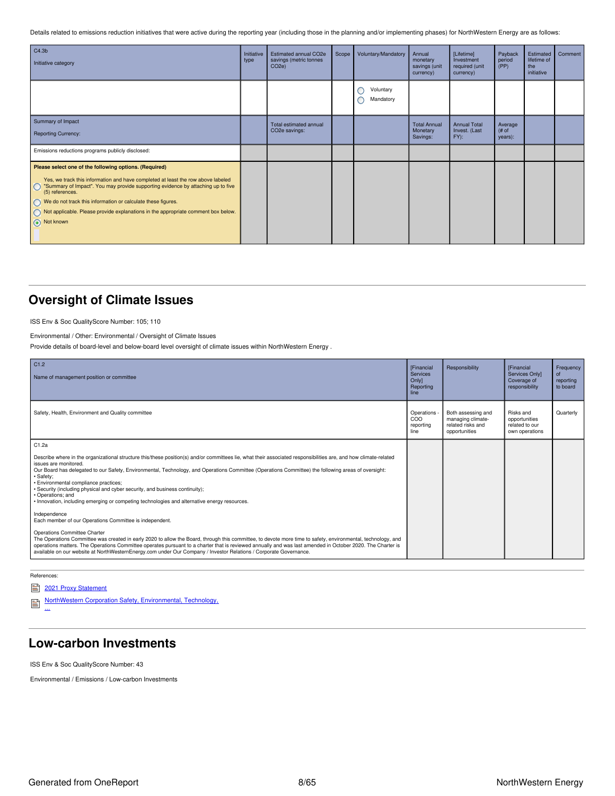Details related to emissions reduction initiatives that were active during the reporting year (including those in the planning and/or implementing phases) for NorthWestern Energy are as follows:

| C4.3 <sub>b</sub><br>Initiative category                                                                                                                                                                                                                                                                                                                                                                                       | Initiative<br>type | Estimated annual CO2e<br>savings (metric tonnes<br>CO <sub>2e</sub> ) | Scope | Voluntary/Mandatory         | Annual<br>monetary<br>savings (unit<br>currency) | [Lifetime]<br>Investment<br>required (unit<br>currency) | Payback<br>period<br>(PP)  | Estimated<br>lifetime of<br>the<br>initiative | Comment |
|--------------------------------------------------------------------------------------------------------------------------------------------------------------------------------------------------------------------------------------------------------------------------------------------------------------------------------------------------------------------------------------------------------------------------------|--------------------|-----------------------------------------------------------------------|-------|-----------------------------|--------------------------------------------------|---------------------------------------------------------|----------------------------|-----------------------------------------------|---------|
|                                                                                                                                                                                                                                                                                                                                                                                                                                |                    |                                                                       |       | Voluntary<br>С<br>Mandatory |                                                  |                                                         |                            |                                               |         |
| Summary of Impact<br><b>Reporting Currency:</b>                                                                                                                                                                                                                                                                                                                                                                                |                    | Total estimated annual<br>CO2e savings:                               |       |                             | <b>Total Annual</b><br>Monetary<br>Savings:      | <b>Annual Total</b><br>Invest. (Last<br>$FY)$ :         | Average<br># of<br>years): |                                               |         |
| Emissions reductions programs publicly disclosed:                                                                                                                                                                                                                                                                                                                                                                              |                    |                                                                       |       |                             |                                                  |                                                         |                            |                                               |         |
| Please select one of the following options. (Required)<br>Yes, we track this information and have completed at least the row above labeled<br>"Summary of Impact". You may provide supporting evidence by attaching up to five<br>$\circ$<br>(5) references.<br>We do not track this information or calculate these figures.<br>Not applicable. Please provide explanations in the appropriate comment box below.<br>Not known |                    |                                                                       |       |                             |                                                  |                                                         |                            |                                               |         |

## <span id="page-7-0"></span>**Oversight of Climate Issues**

ISS Env & Soc QualityScore Number: 105; 110

### Environmental / Other: Environmental / Oversight of Climate Issues

Provide details of board-level and below-board level oversight of climate issues within NorthWestern Energy .

| C1.2<br>Name of management position or committee                                                                                                                                                                                                                                                                                                                                                                                                                                                                                                                                                                                                                                                                                                                                                                                                                                                                                                                                                                                                                                                                                                                                   | <b>[Financial</b><br>Services<br>Onlyl<br>Reporting<br>line | Responsibility                                                                | <b>[Financial</b><br>Services Only]<br>Coverage of<br>responsibility | Frequency<br><b>of</b><br>reporting<br>to board |
|------------------------------------------------------------------------------------------------------------------------------------------------------------------------------------------------------------------------------------------------------------------------------------------------------------------------------------------------------------------------------------------------------------------------------------------------------------------------------------------------------------------------------------------------------------------------------------------------------------------------------------------------------------------------------------------------------------------------------------------------------------------------------------------------------------------------------------------------------------------------------------------------------------------------------------------------------------------------------------------------------------------------------------------------------------------------------------------------------------------------------------------------------------------------------------|-------------------------------------------------------------|-------------------------------------------------------------------------------|----------------------------------------------------------------------|-------------------------------------------------|
| Safety, Health, Environment and Quality committee                                                                                                                                                                                                                                                                                                                                                                                                                                                                                                                                                                                                                                                                                                                                                                                                                                                                                                                                                                                                                                                                                                                                  | Operations -<br>COO<br>reporting<br>line                    | Both assessing and<br>managing climate-<br>related risks and<br>opportunities | Risks and<br>opportunities<br>related to our<br>own operations       | Quarterly                                       |
| C1.2a<br>Describe where in the organizational structure this/these position(s) and/or committees lie, what their associated responsibilities are, and how climate-related<br>issues are monitored.<br>Our Board has delegated to our Safety, Environmental, Technology, and Operations Committee (Operations Committee) the following areas of oversight:<br>· Safety:<br>· Environmental compliance practices;<br>· Security (including physical and cyber security, and business continuity);<br>· Operations; and<br>· Innovation, including emerging or competing technologies and alternative energy resources.<br>Independence<br>Each member of our Operations Committee is independent.<br>Operations Committee Charter<br>The Operations Committee was created in early 2020 to allow the Board, through this committee, to devote more time to safety, environmental, technology, and<br>operations matters. The Operations Committee operates pursuant to a charter that is reviewed annually and was last amended in October 2020. The Charter is<br>available on our website at NorthWesternEnergy.com under Our Company / Investor Relations / Corporate Governance. |                                                             |                                                                               |                                                                      |                                                 |

References:

...

### 2021 Proxy [Statement](https://www.northwesternenergy.com/docs/default-source/documents/proxy/2021-Proxy-Statement-Final.pdf)

NorthWestern Corporation Safety, [Environmental,](https://www.northwesternenergy.com/docs/default-source/documents/corporategovernance/operationscommitteecharter.pdf) Technology, ₿

### <span id="page-7-1"></span>**Low-carbon Investments**

ISS Env & Soc QualityScore Number: 43

Environmental / Emissions / Low-carbon Investments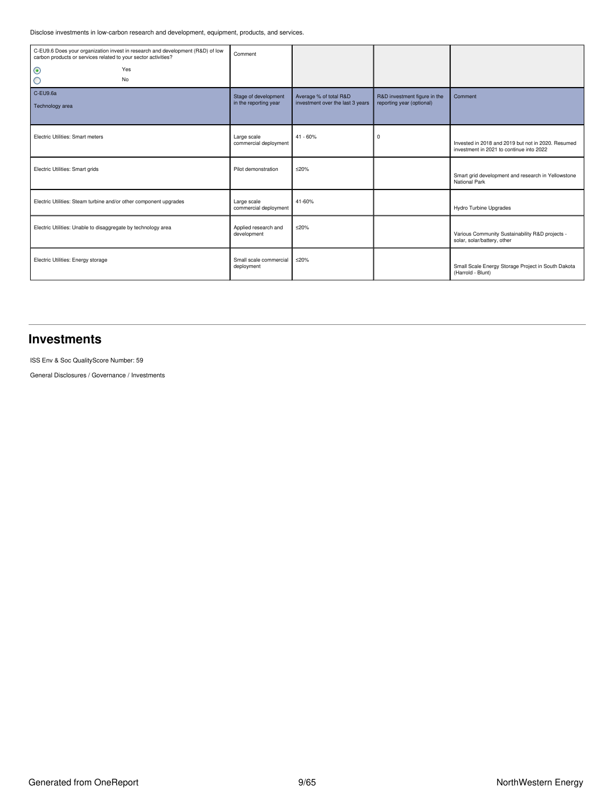Disclose investments in low-carbon research and development, equipment, products, and services.

| carbon products or services related to your sector activities?    | C-EU9.6 Does your organization invest in research and development (R&D) of low | Comment                              |                                  |                              |                                                                                                |
|-------------------------------------------------------------------|--------------------------------------------------------------------------------|--------------------------------------|----------------------------------|------------------------------|------------------------------------------------------------------------------------------------|
| $\odot$                                                           | Yes                                                                            |                                      |                                  |                              |                                                                                                |
| О                                                                 | No                                                                             |                                      |                                  |                              |                                                                                                |
| C-EU9.6a                                                          |                                                                                | Stage of development                 | Average % of total R&D           | R&D investment figure in the | Comment                                                                                        |
| Technology area                                                   |                                                                                | in the reporting year                | investment over the last 3 years | reporting year (optional)    |                                                                                                |
| Electric Utilities: Smart meters                                  |                                                                                | Large scale<br>commercial deployment | $41 - 60%$                       | $\mathbf 0$                  | Invested in 2018 and 2019 but not in 2020. Resumed<br>investment in 2021 to continue into 2022 |
| Electric Utilities: Smart grids                                   |                                                                                | Pilot demonstration                  | ≤20%                             |                              | Smart grid development and research in Yellowstone<br>National Park                            |
| Electric Utilities: Steam turbine and/or other component upgrades |                                                                                | Large scale<br>commercial deployment | 41-60%                           |                              | Hydro Turbine Upgrades                                                                         |
| Electric Utilities: Unable to disaggregate by technology area     |                                                                                | Applied research and<br>development  | $≤20%$                           |                              | Various Community Sustainability R&D projects -<br>solar, solar/battery, other                 |
| Electric Utilities: Energy storage                                |                                                                                | Small scale commercial<br>deployment | $≤20%$                           |                              | Small Scale Energy Storage Project in South Dakota<br>(Harrold - Blunt)                        |

### <span id="page-8-0"></span>**Investments**

ISS Env & Soc QualityScore Number: 59

General Disclosures / Governance / Investments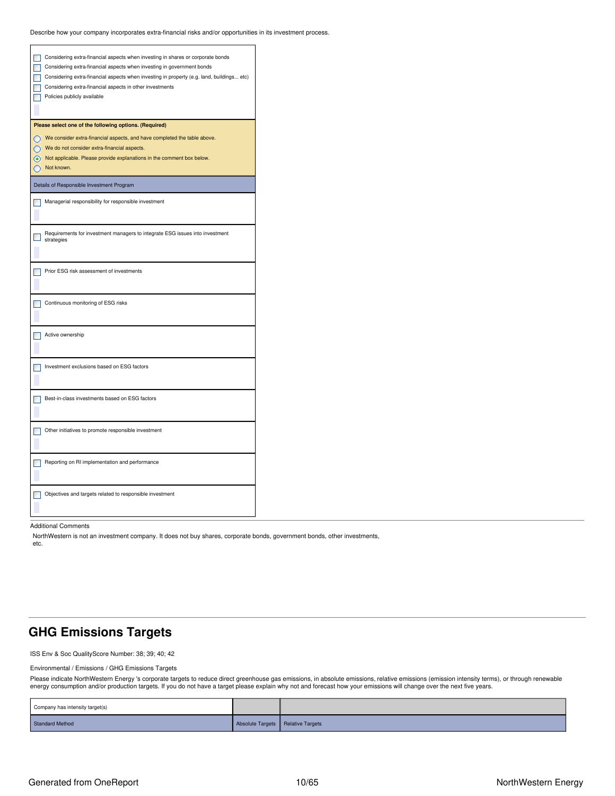Describe how your company incorporates extra-financial risks and/or opportunities in its investment process.

| Considering extra-financial aspects when investing in shares or corporate bonds<br>Considering extra-financial aspects when investing in government bonds<br>Considering extra-financial aspects when investing in property (e.g. land, buildings etc)<br>Considering extra-financial aspects in other investments<br>Policies publicly available |
|---------------------------------------------------------------------------------------------------------------------------------------------------------------------------------------------------------------------------------------------------------------------------------------------------------------------------------------------------|
| Please select one of the following options. (Required)                                                                                                                                                                                                                                                                                            |
| We consider extra-financial aspects, and have completed the table above.                                                                                                                                                                                                                                                                          |
| We do not consider extra-financial aspects.                                                                                                                                                                                                                                                                                                       |
| Not applicable. Please provide explanations in the comment box below.                                                                                                                                                                                                                                                                             |
| Not known.                                                                                                                                                                                                                                                                                                                                        |
| Details of Responsible Investment Program                                                                                                                                                                                                                                                                                                         |
| Managerial responsibility for responsible investment                                                                                                                                                                                                                                                                                              |
|                                                                                                                                                                                                                                                                                                                                                   |
|                                                                                                                                                                                                                                                                                                                                                   |
| Requirements for investment managers to integrate ESG issues into investment                                                                                                                                                                                                                                                                      |
| strategies                                                                                                                                                                                                                                                                                                                                        |
|                                                                                                                                                                                                                                                                                                                                                   |
|                                                                                                                                                                                                                                                                                                                                                   |
| Prior ESG risk assessment of investments                                                                                                                                                                                                                                                                                                          |
|                                                                                                                                                                                                                                                                                                                                                   |
| Continuous monitoring of ESG risks                                                                                                                                                                                                                                                                                                                |
|                                                                                                                                                                                                                                                                                                                                                   |
|                                                                                                                                                                                                                                                                                                                                                   |
| Active ownership                                                                                                                                                                                                                                                                                                                                  |
|                                                                                                                                                                                                                                                                                                                                                   |
|                                                                                                                                                                                                                                                                                                                                                   |
| Investment exclusions based on ESG factors                                                                                                                                                                                                                                                                                                        |
|                                                                                                                                                                                                                                                                                                                                                   |
|                                                                                                                                                                                                                                                                                                                                                   |
| Best-in-class investments based on ESG factors                                                                                                                                                                                                                                                                                                    |
|                                                                                                                                                                                                                                                                                                                                                   |
|                                                                                                                                                                                                                                                                                                                                                   |
| Other initiatives to promote responsible investment                                                                                                                                                                                                                                                                                               |
|                                                                                                                                                                                                                                                                                                                                                   |
|                                                                                                                                                                                                                                                                                                                                                   |
| Reporting on RI implementation and performance                                                                                                                                                                                                                                                                                                    |
|                                                                                                                                                                                                                                                                                                                                                   |
|                                                                                                                                                                                                                                                                                                                                                   |
| Objectives and targets related to responsible investment                                                                                                                                                                                                                                                                                          |
|                                                                                                                                                                                                                                                                                                                                                   |

Additional Comments

NorthWestern is not an investment company. It does not buy shares, corporate bonds, government bonds, other investments, etc.

## <span id="page-9-0"></span>**GHG Emissions Targets**

ISS Env & Soc QualityScore Number: 38; 39; 40; 42

### Environmental / Emissions / GHG Emissions Targets

Please indicate NorthWestern Energy 's corporate targets to reduce direct greenhouse gas emissions, in absolute emissions, relative emissions (emission intensity terms), or through renewable energy consumption and/or production targets. If you do not have a target please explain why not and forecast how your emissions will change over the next five years.

| Company has intensity target(s) |                                     |  |
|---------------------------------|-------------------------------------|--|
| <b>Standard Method</b>          | Absolute Targets   Relative Targets |  |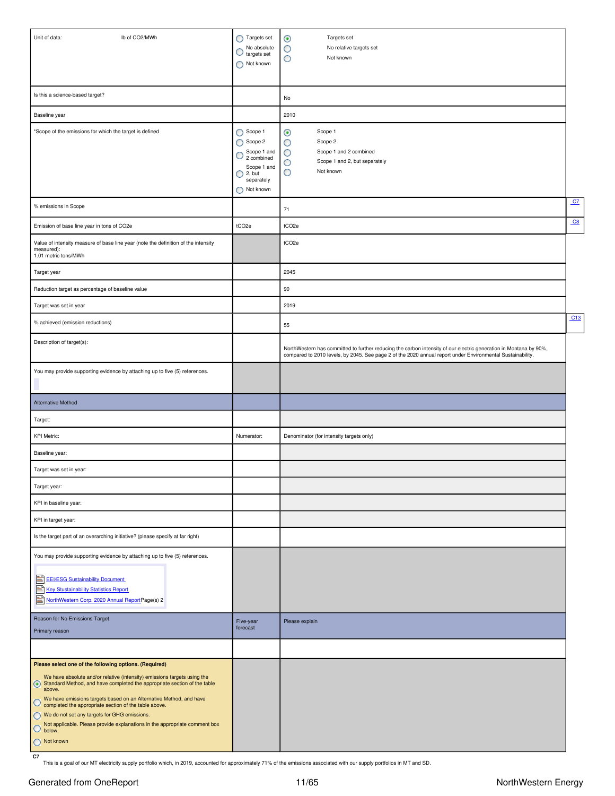| lb of CO2/MWh<br>Unit of data:                                                                                                                                                                                                                                                                                                                                                                                                                                                                                                 | Targets set<br>No absolute<br>O<br>targets set<br>Not known                                                                    | Targets set<br>$_{\odot}$<br>No relative targets set<br>O<br>O<br>Not known                                                                                                                                                     |                |
|--------------------------------------------------------------------------------------------------------------------------------------------------------------------------------------------------------------------------------------------------------------------------------------------------------------------------------------------------------------------------------------------------------------------------------------------------------------------------------------------------------------------------------|--------------------------------------------------------------------------------------------------------------------------------|---------------------------------------------------------------------------------------------------------------------------------------------------------------------------------------------------------------------------------|----------------|
|                                                                                                                                                                                                                                                                                                                                                                                                                                                                                                                                |                                                                                                                                |                                                                                                                                                                                                                                 |                |
| Is this a science-based target?                                                                                                                                                                                                                                                                                                                                                                                                                                                                                                |                                                                                                                                | No                                                                                                                                                                                                                              |                |
| Baseline year                                                                                                                                                                                                                                                                                                                                                                                                                                                                                                                  |                                                                                                                                | 2010                                                                                                                                                                                                                            |                |
| *Scope of the emissions for which the target is defined                                                                                                                                                                                                                                                                                                                                                                                                                                                                        | Scope 1<br>$\bigcirc$ Scope 2<br>Scope 1 and<br>O<br>2 combined<br>Scope 1 and<br>$\bigcirc$ 2, but<br>separately<br>Not known | Scope 1<br>◉<br>O<br>Scope 2<br>Scope 1 and 2 combined<br>O<br>Scope 1 and 2, but separately<br>O<br>О<br>Not known                                                                                                             |                |
| % emissions in Scope                                                                                                                                                                                                                                                                                                                                                                                                                                                                                                           |                                                                                                                                | 71                                                                                                                                                                                                                              | C <sub>Z</sub> |
| Emission of base line year in tons of CO2e                                                                                                                                                                                                                                                                                                                                                                                                                                                                                     | tCO <sub>2e</sub>                                                                                                              | tCO <sub>2e</sub>                                                                                                                                                                                                               | C8             |
| Value of intensity measure of base line year (note the definition of the intensity<br>measured):<br>1.01 metric tons/MWh                                                                                                                                                                                                                                                                                                                                                                                                       |                                                                                                                                | tCO <sub>2e</sub>                                                                                                                                                                                                               |                |
| Target year                                                                                                                                                                                                                                                                                                                                                                                                                                                                                                                    |                                                                                                                                | 2045                                                                                                                                                                                                                            |                |
| Reduction target as percentage of baseline value                                                                                                                                                                                                                                                                                                                                                                                                                                                                               |                                                                                                                                | 90                                                                                                                                                                                                                              |                |
| Target was set in year                                                                                                                                                                                                                                                                                                                                                                                                                                                                                                         |                                                                                                                                | 2019                                                                                                                                                                                                                            |                |
| % achieved (emission reductions)                                                                                                                                                                                                                                                                                                                                                                                                                                                                                               |                                                                                                                                | 55                                                                                                                                                                                                                              | C13            |
| Description of target(s):                                                                                                                                                                                                                                                                                                                                                                                                                                                                                                      |                                                                                                                                | NorthWestern has committed to further reducing the carbon intensity of our electric generation in Montana by 90%,<br>compared to 2010 levels, by 2045. See page 2 of the 2020 annual report under Environmental Sustainability. |                |
| You may provide supporting evidence by attaching up to five (5) references.                                                                                                                                                                                                                                                                                                                                                                                                                                                    |                                                                                                                                |                                                                                                                                                                                                                                 |                |
| <b>Alternative Method</b>                                                                                                                                                                                                                                                                                                                                                                                                                                                                                                      |                                                                                                                                |                                                                                                                                                                                                                                 |                |
| Target:                                                                                                                                                                                                                                                                                                                                                                                                                                                                                                                        |                                                                                                                                |                                                                                                                                                                                                                                 |                |
| <b>KPI Metric:</b>                                                                                                                                                                                                                                                                                                                                                                                                                                                                                                             | Numerator:                                                                                                                     | Denominator (for intensity targets only)                                                                                                                                                                                        |                |
| Baseline year:                                                                                                                                                                                                                                                                                                                                                                                                                                                                                                                 |                                                                                                                                |                                                                                                                                                                                                                                 |                |
| Target was set in year:                                                                                                                                                                                                                                                                                                                                                                                                                                                                                                        |                                                                                                                                |                                                                                                                                                                                                                                 |                |
| Target year:                                                                                                                                                                                                                                                                                                                                                                                                                                                                                                                   |                                                                                                                                |                                                                                                                                                                                                                                 |                |
| KPI in baseline year:                                                                                                                                                                                                                                                                                                                                                                                                                                                                                                          |                                                                                                                                |                                                                                                                                                                                                                                 |                |
| KPI in target year:                                                                                                                                                                                                                                                                                                                                                                                                                                                                                                            |                                                                                                                                |                                                                                                                                                                                                                                 |                |
| Is the target part of an overarching initiative? (please specify at far right)                                                                                                                                                                                                                                                                                                                                                                                                                                                 |                                                                                                                                |                                                                                                                                                                                                                                 |                |
| You may provide supporting evidence by attaching up to five (5) references.<br>E EL/ESG Sustainability Document<br>B<br><b>Key Stustainability Statistics Report</b><br>NorthWestern Corp. 2020 Annual ReportPage(s) 2                                                                                                                                                                                                                                                                                                         |                                                                                                                                |                                                                                                                                                                                                                                 |                |
| Reason for No Emissions Target<br>Primary reason                                                                                                                                                                                                                                                                                                                                                                                                                                                                               | Five-year<br>forecast                                                                                                          | Please explain                                                                                                                                                                                                                  |                |
|                                                                                                                                                                                                                                                                                                                                                                                                                                                                                                                                |                                                                                                                                |                                                                                                                                                                                                                                 |                |
| Please select one of the following options. (Required)<br>We have absolute and/or relative (intensity) emissions targets using the<br>Standard Method, and have completed the appropriate section of the table<br>above.<br>We have emissions targets based on an Alternative Method, and have<br>Q<br>completed the appropriate section of the table above.<br>◯ We do not set any targets for GHG emissions.<br>Not applicable. Please provide explanations in the appropriate comment box<br>$\circ$<br>below.<br>Not known |                                                                                                                                |                                                                                                                                                                                                                                 |                |

<span id="page-10-0"></span>**C7** This is a goal of our MT electricity supply portfolio which, in 2019, accounted for approximately 71% of the emissions associated with our supply portfolios in MT and SD.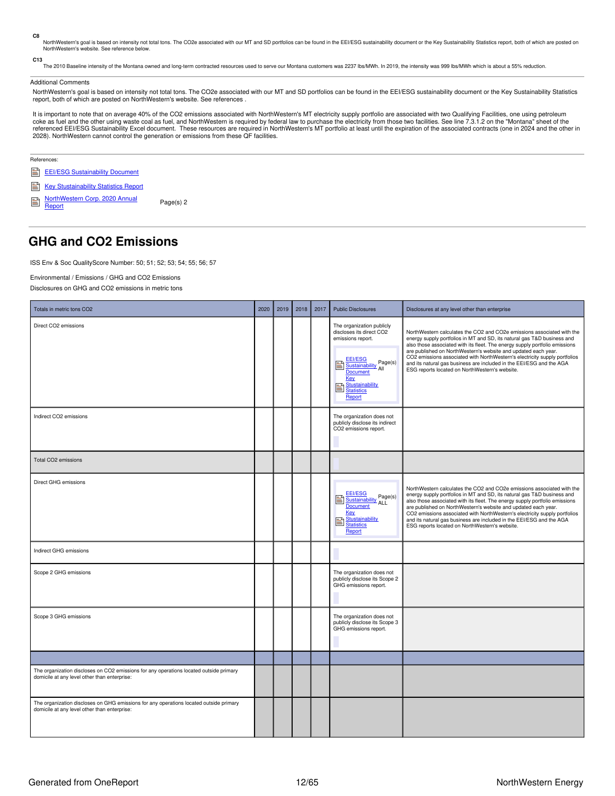<span id="page-11-1"></span>**C8**

NorthWestern's goal is based on intensity not total tons. The CO2e associated with our MT and SD portfolios can be found in the EEI/ESG sustainability document or the Key Sustainability Statistics report, both of which are NorthWestern's website. See reference below.

<span id="page-11-2"></span>**C13**

.<br>The 2010 Baseline intensity of the Montana owned and long-term contracted resources used to serve our Montana customers was 2237 lbs/MWh. In 2019, the intensity was 999 lbs/MWh which is about a 55% reduction.

### Additional Comments

NorthWestern's goal is based on intensity not total tons. The CO2e associated with our MT and SD portfolios can be found in the EEI/ESG sustainability document or the Key Sustainability Statistics report, both of which are posted on NorthWestern's website. See references .

It is important to note that on average 40% of the CO2 emissions associated with NorthWestern's MT electricity supply portfolio are associated with two Qualifying Facilities, one using petroleum coke as fuel and the other using waste coal as fuel, and NorthWestern is required by federal law to purchase the electricity from those two facilities. See line 7.3.1.2 on the "Montana" sheet of the referenced EEI/ESG Sustainability Excel document. These resources are required in NorthWestern's MT portfolio at least until the expiration of the associated contracts (one in 2024 and the other in 2028). NorthWestern cannot control the generation or emissions from these QF facilities.

|   | References:                                  |           |  |  |  |  |  |
|---|----------------------------------------------|-----------|--|--|--|--|--|
| B | <b>EEI/ESG Sustainability Document</b>       |           |  |  |  |  |  |
| B | <b>Key Stustainability Statistics Report</b> |           |  |  |  |  |  |
|   | NorthWestern Corp. 2020 Annual<br>Report     | Page(s) 2 |  |  |  |  |  |

### <span id="page-11-0"></span>**GHG and CO2 Emissions**

ISS Env & Soc QualityScore Number: 50; 51; 52; 53; 54; 55; 56; 57

Environmental / Emissions / GHG and CO2 Emissions

Disclosures on GHG and CO2 emissions in metric tons

| Totals in metric tons CO2                                                                                                              | 2020 | 2019 | 2018 | 2017 | <b>Public Disclosures</b>                                                                                                                                                                            | Disclosures at any level other than enterprise                                                                                                                                                                                                                                                                                                                                                                                                                                                             |
|----------------------------------------------------------------------------------------------------------------------------------------|------|------|------|------|------------------------------------------------------------------------------------------------------------------------------------------------------------------------------------------------------|------------------------------------------------------------------------------------------------------------------------------------------------------------------------------------------------------------------------------------------------------------------------------------------------------------------------------------------------------------------------------------------------------------------------------------------------------------------------------------------------------------|
| Direct CO2 emissions                                                                                                                   |      |      |      |      | The organization publicly<br>discloses its direct CO2<br>emissions report.<br><b>EEI/ESG</b><br><b>ELIZESU</b><br>Sustainability Page(s)<br>冒<br><b>Document</b><br>Key<br>Stustainability<br>Report | NorthWestern calculates the CO2 and CO2e emissions associated with the<br>energy supply portfolios in MT and SD, its natural gas T&D business and<br>also those associated with its fleet. The energy supply portfolio emissions<br>are published on NorthWestern's website and updated each year.<br>CO2 emissions associated with NorthWestern's electricity supply portfolios<br>and its natural gas business are included in the EEI/ESG and the AGA<br>ESG reports located on NorthWestern's website. |
| Indirect CO2 emissions                                                                                                                 |      |      |      |      | The organization does not<br>publicly disclose its indirect<br>CO2 emissions report.                                                                                                                 |                                                                                                                                                                                                                                                                                                                                                                                                                                                                                                            |
| Total CO2 emissions                                                                                                                    |      |      |      |      |                                                                                                                                                                                                      |                                                                                                                                                                                                                                                                                                                                                                                                                                                                                                            |
| Direct GHG emissions                                                                                                                   |      |      |      |      | <b>EEI/ESG</b><br><b>ELI/LSQ</b><br>Sustainability Page(s)<br>E<br><b>Document</b><br>Key<br>Stustainability<br>B<br><b>Statistics</b><br>Report                                                     | NorthWestern calculates the CO2 and CO2e emissions associated with the<br>energy supply portfolios in MT and SD, its natural gas T&D business and<br>also those associated with its fleet. The energy supply portfolio emissions<br>are published on NorthWestern's website and updated each year.<br>CO2 emissions associated with NorthWestern's electricity supply portfolios<br>and its natural gas business are included in the EEI/ESG and the AGA<br>ESG reports located on NorthWestern's website. |
| Indirect GHG emissions                                                                                                                 |      |      |      |      |                                                                                                                                                                                                      |                                                                                                                                                                                                                                                                                                                                                                                                                                                                                                            |
| Scope 2 GHG emissions                                                                                                                  |      |      |      |      | The organization does not<br>publicly disclose its Scope 2<br>GHG emissions report.                                                                                                                  |                                                                                                                                                                                                                                                                                                                                                                                                                                                                                                            |
| Scope 3 GHG emissions                                                                                                                  |      |      |      |      | The organization does not<br>publicly disclose its Scope 3<br>GHG emissions report.                                                                                                                  |                                                                                                                                                                                                                                                                                                                                                                                                                                                                                                            |
|                                                                                                                                        |      |      |      |      |                                                                                                                                                                                                      |                                                                                                                                                                                                                                                                                                                                                                                                                                                                                                            |
| The organization discloses on CO2 emissions for any operations located outside primary<br>domicile at any level other than enterprise: |      |      |      |      |                                                                                                                                                                                                      |                                                                                                                                                                                                                                                                                                                                                                                                                                                                                                            |
| The organization discloses on GHG emissions for any operations located outside primary<br>domicile at any level other than enterprise: |      |      |      |      |                                                                                                                                                                                                      |                                                                                                                                                                                                                                                                                                                                                                                                                                                                                                            |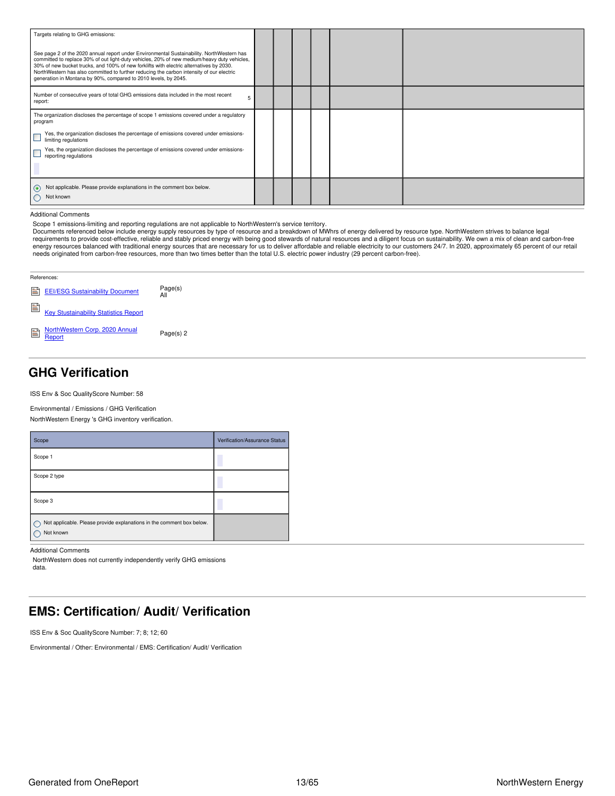| Targets relating to GHG emissions:<br>See page 2 of the 2020 annual report under Environmental Sustainability. NorthWestern has<br>committed to replace 30% of out light-duty vehicles, 20% of new medium/heavy duty vehicles,<br>30% of new bucket trucks, and 100% of new forklifts with electric alternatives by 2030.<br>NorthWestern has also committed to further reducing the carbon intensity of our electric<br>generation in Montana by 90%, compared to 2010 levels, by 2045. |  |  |  |
|------------------------------------------------------------------------------------------------------------------------------------------------------------------------------------------------------------------------------------------------------------------------------------------------------------------------------------------------------------------------------------------------------------------------------------------------------------------------------------------|--|--|--|
| Number of consecutive years of total GHG emissions data included in the most recent<br>5<br>report:                                                                                                                                                                                                                                                                                                                                                                                      |  |  |  |
| The organization discloses the percentage of scope 1 emissions covered under a regulatory<br>program<br>Yes, the organization discloses the percentage of emissions covered under emissions-<br>limiting regulations<br>Yes, the organization discloses the percentage of emissions covered under emissions-<br>reporting regulations                                                                                                                                                    |  |  |  |
| Not applicable. Please provide explanations in the comment box below.<br>Not known                                                                                                                                                                                                                                                                                                                                                                                                       |  |  |  |

Additional Comments

Scope 1 emissions-limiting and reporting regulations are not applicable to NorthWestern's service territory.<br>Documents referenced below include energy supply resources by type of resource and a breakdown of MWhrs of energy energy resources balanced with traditional energy sources that are necessary for us to deliver affordable and reliable electricity to our customers 24/7. In 2020, approximately 65 percent of our retail<br>needs originated fro

| References:                              |                |  |  |  |  |  |
|------------------------------------------|----------------|--|--|--|--|--|
| EEI/ESG Sustainability Document          | Page(s)<br>All |  |  |  |  |  |
| Key Stustainability Statistics Report    |                |  |  |  |  |  |
| NorthWestern Corp. 2020 Annual<br>Report | Page(s) 2      |  |  |  |  |  |

## <span id="page-12-0"></span>**GHG Verification**

ISS Env & Soc QualityScore Number: 58

Environmental / Emissions / GHG Verification

NorthWestern Energy 's GHG inventory verification.

| Scope                                                                              | Verification/Assurance Status |
|------------------------------------------------------------------------------------|-------------------------------|
| Scope 1                                                                            |                               |
| Scope 2 type                                                                       |                               |
| Scope 3                                                                            |                               |
| Not applicable. Please provide explanations in the comment box below.<br>Not known |                               |

Additional Comments

NorthWestern does not currently independently verify GHG emissions data.

## <span id="page-12-1"></span>**EMS: Certification/ Audit/ Verification**

ISS Env & Soc QualityScore Number: 7; 8; 12; 60

Environmental / Other: Environmental / EMS: Certification/ Audit/ Verification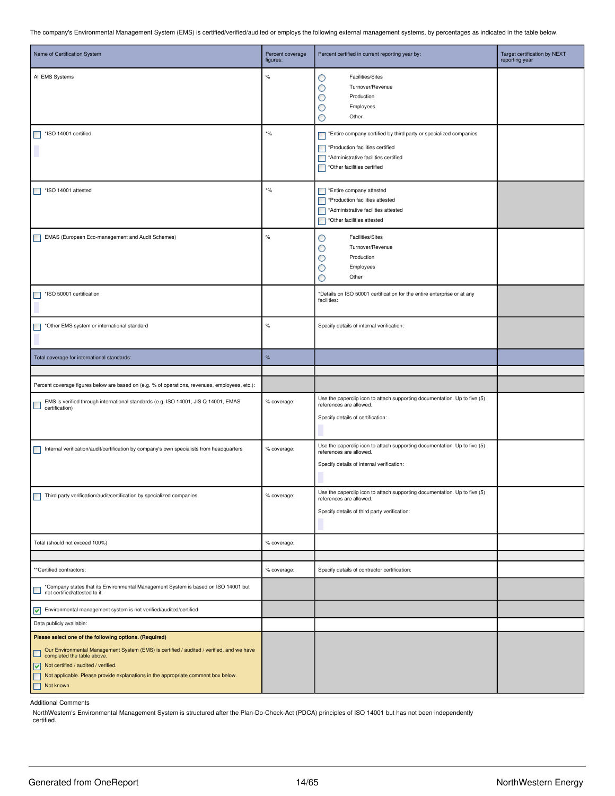The company's Environmental Management System (EMS) is certified/verified/audited or employs the following external management systems, by percentages as indicated in the table below.

| Name of Certification System                                                                                                                                                                                                                                                                        | Percent coverage<br>figures:          | Percent certified in current reporting year by:                                                                                                                                                            | Target certification by NEXT<br>reporting year |
|-----------------------------------------------------------------------------------------------------------------------------------------------------------------------------------------------------------------------------------------------------------------------------------------------------|---------------------------------------|------------------------------------------------------------------------------------------------------------------------------------------------------------------------------------------------------------|------------------------------------------------|
| All EMS Systems                                                                                                                                                                                                                                                                                     | %                                     | <b>Facilities/Sites</b><br>O<br>Turnover/Revenue<br>O<br>Production<br>O<br>Employees<br>О<br>Other<br>O                                                                                                   |                                                |
| *ISO 14001 certified<br>۰                                                                                                                                                                                                                                                                           | $\boldsymbol{\ast} \circ \! /_{\! 0}$ | *Entire company certified by third party or specialized companies<br>$\Box$<br>*Production facilities certified<br>*Administrative facilities certified<br>$\Box$<br>*Other facilities certified<br>$\Box$ |                                                |
| *ISO 14001 attested                                                                                                                                                                                                                                                                                 | $*$ %                                 | *Entire company attested<br>*Production facilities attested<br>*Administrative facilities attested<br>П<br>*Other facilities attested<br>$\Box$                                                            |                                                |
| EMAS (European Eco-management and Audit Schemes)                                                                                                                                                                                                                                                    | $\%$                                  | <b>Facilities/Sites</b><br>O<br>O<br>Turnover/Revenue<br>Production<br>O<br>Employees<br>O<br>O<br>Other                                                                                                   |                                                |
| *ISO 50001 certification                                                                                                                                                                                                                                                                            |                                       | *Details on ISO 50001 certification for the entire enterprise or at any<br>facilities:                                                                                                                     |                                                |
| *Other EMS system or international standard<br>$\mathcal{L}_{\mathcal{A}}$                                                                                                                                                                                                                          | $\%$                                  | Specify details of internal verification:                                                                                                                                                                  |                                                |
| Total coverage for international standards:                                                                                                                                                                                                                                                         | $\%$                                  |                                                                                                                                                                                                            |                                                |
|                                                                                                                                                                                                                                                                                                     |                                       |                                                                                                                                                                                                            |                                                |
| Percent coverage figures below are based on (e.g. % of operations, revenues, employees, etc.):<br>EMS is verified through international standards (e.g. ISO 14001, JIS Q 14001, EMAS<br>certification)                                                                                              | % coverage:                           | Use the paperclip icon to attach supporting documentation. Up to five (5)<br>references are allowed.<br>Specify details of certification:                                                                  |                                                |
| Internal verification/audit/certification by company's own specialists from headquarters                                                                                                                                                                                                            | % coverage:                           | Use the paperclip icon to attach supporting documentation. Up to five (5)<br>references are allowed.<br>Specify details of internal verification:                                                          |                                                |
| Third party verification/audit/certification by specialized companies.                                                                                                                                                                                                                              | % coverage:                           | Use the paperclip icon to attach supporting documentation. Up to five (5)<br>references are allowed.<br>Specify details of third party verification:                                                       |                                                |
| Total (should not exceed 100%)                                                                                                                                                                                                                                                                      | % coverage:                           |                                                                                                                                                                                                            |                                                |
|                                                                                                                                                                                                                                                                                                     |                                       |                                                                                                                                                                                                            |                                                |
| **Certified contractors:                                                                                                                                                                                                                                                                            | % coverage:                           | Specify details of contractor certification:                                                                                                                                                               |                                                |
| *Company states that its Environmental Management System is based on ISO 14001 but<br>$\mathcal{L}_{\mathcal{A}}$<br>not certified/attested to it.                                                                                                                                                  |                                       |                                                                                                                                                                                                            |                                                |
| Environmental management system is not verified/audited/certified                                                                                                                                                                                                                                   |                                       |                                                                                                                                                                                                            |                                                |
| Data publicly available:                                                                                                                                                                                                                                                                            |                                       |                                                                                                                                                                                                            |                                                |
| Please select one of the following options. (Required)                                                                                                                                                                                                                                              |                                       |                                                                                                                                                                                                            |                                                |
| Our Environmental Management System (EMS) is certified / audited / verified, and we have<br>ш<br>completed the table above.<br>$\sqrt{\phantom{a}}$ Not certified / audited / verified.<br>Not applicable. Please provide explanations in the appropriate comment box below.<br>▉<br>Not known<br>П |                                       |                                                                                                                                                                                                            |                                                |
|                                                                                                                                                                                                                                                                                                     |                                       |                                                                                                                                                                                                            |                                                |

Additional Comments

NorthWestern's Environmental Management System is structured after the Plan-Do-Check-Act (PDCA) principles of ISO 14001 but has not been independently

certified.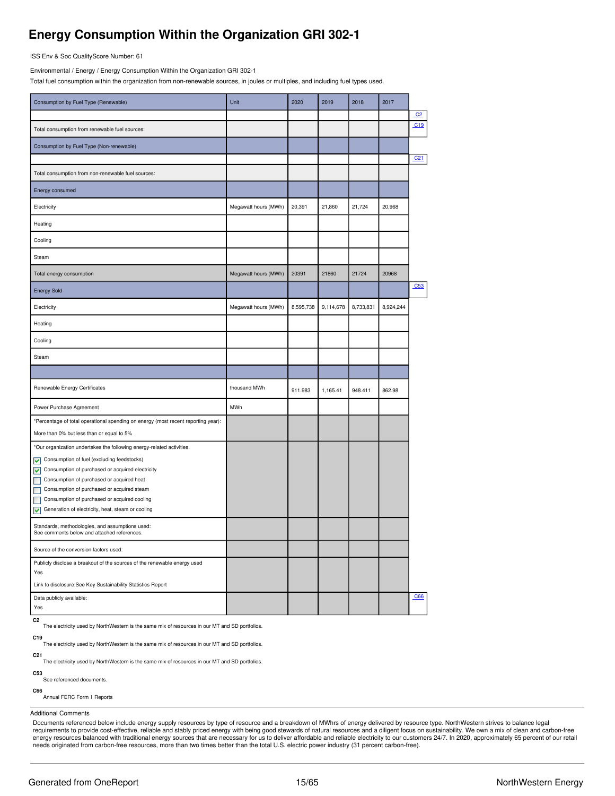## <span id="page-14-0"></span>**Energy Consumption Within the Organization GRI 302-1**

ISS Env & Soc QualityScore Number: 61

Environmental / Energy / Energy Consumption Within the Organization GRI 302-1

Total fuel consumption within the organization from non-renewable sources, in joules or multiples, and including fuel types used.

| Consumption by Fuel Type (Renewable)                                                           | Unit                 | 2020      | 2019      | 2018      | 2017      |                 |
|------------------------------------------------------------------------------------------------|----------------------|-----------|-----------|-----------|-----------|-----------------|
|                                                                                                |                      |           |           |           |           | C <sub>2</sub>  |
| Total consumption from renewable fuel sources:                                                 |                      |           |           |           |           | C19             |
| Consumption by Fuel Type (Non-renewable)                                                       |                      |           |           |           |           |                 |
|                                                                                                |                      |           |           |           |           | C <sub>21</sub> |
| Total consumption from non-renewable fuel sources:                                             |                      |           |           |           |           |                 |
| Energy consumed                                                                                |                      |           |           |           |           |                 |
| Electricity                                                                                    | Megawatt hours (MWh) | 20,391    | 21,860    | 21,724    | 20,968    |                 |
| Heating                                                                                        |                      |           |           |           |           |                 |
| Cooling                                                                                        |                      |           |           |           |           |                 |
| Steam                                                                                          |                      |           |           |           |           |                 |
| Total energy consumption                                                                       | Megawatt hours (MWh) | 20391     | 21860     | 21724     | 20968     |                 |
| <b>Energy Sold</b>                                                                             |                      |           |           |           |           | C53             |
| Electricity                                                                                    | Megawatt hours (MWh) | 8,595,738 | 9,114,678 | 8,733,831 | 8,924,244 |                 |
| Heating                                                                                        |                      |           |           |           |           |                 |
| Cooling                                                                                        |                      |           |           |           |           |                 |
| Steam                                                                                          |                      |           |           |           |           |                 |
|                                                                                                |                      |           |           |           |           |                 |
| Renewable Energy Certificates                                                                  | thousand MWh         | 911.983   | 1,165.41  | 948.411   | 862.98    |                 |
| Power Purchase Agreement                                                                       | MWh                  |           |           |           |           |                 |
| *Percentage of total operational spending on energy (most recent reporting year):              |                      |           |           |           |           |                 |
| More than 0% but less than or equal to 5%                                                      |                      |           |           |           |           |                 |
| *Our organization undertakes the following energy-related activities.                          |                      |           |           |           |           |                 |
| Consumption of fuel (excluding feedstocks)<br>⊽                                                |                      |           |           |           |           |                 |
| Consumption of purchased or acquired electricity<br>⊽                                          |                      |           |           |           |           |                 |
| Consumption of purchased or acquired heat<br>$\blacksquare$                                    |                      |           |           |           |           |                 |
| Consumption of purchased or acquired steam<br>Г                                                |                      |           |           |           |           |                 |
| Consumption of purchased or acquired cooling<br>г                                              |                      |           |           |           |           |                 |
| Generation of electricity, heat, steam or cooling<br>▽                                         |                      |           |           |           |           |                 |
| Standards, methodologies, and assumptions used:<br>See comments below and attached references. |                      |           |           |           |           |                 |
| Source of the conversion factors used:                                                         |                      |           |           |           |           |                 |
| Publicly disclose a breakout of the sources of the renewable energy used                       |                      |           |           |           |           |                 |
| Yes<br>Link to disclosure: See Key Sustainability Statistics Report                            |                      |           |           |           |           |                 |
|                                                                                                |                      |           |           |           |           |                 |
| Data publicly available:                                                                       |                      |           |           |           |           | C66             |
| Yes                                                                                            |                      |           |           |           |           |                 |

<span id="page-14-1"></span>**C2**

The electricity used by NorthWestern is the same mix of resources in our MT and SD portfolios.

<span id="page-14-2"></span>**C19** The electricity used by NorthWestern is the same mix of resources in our MT and SD portfolios.

<span id="page-14-3"></span>**C21**

The electricity used by NorthWestern is the same mix of resources in our MT and SD portfolios.

<span id="page-14-4"></span>**C53** See referenced documents.

<span id="page-14-5"></span>**C66**

Annual FERC Form 1 Reports

#### Additional Comments

Documents referenced below include energy supply resources by type of resource and a breakdown of MWhrs of energy delivered by resource type. NorthWestern strives to balance legal<br>requirements to provide cost-effective, re needs originated from carbon-free resources, more than two times better than the total U.S. electric power industry (31 percent carbon-free).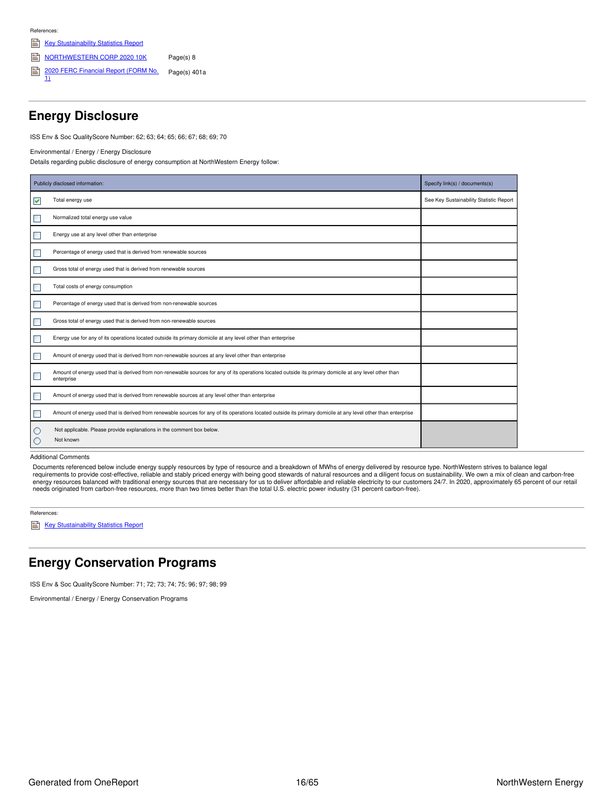**References** 

- Key [Stustainability](https://www.northwesternenergy.com/docs/default-source/documents/esg/ESG-Sustainability-Statistics-Nov-2020.pdf) Statistics Report
- [NORTHWESTERN](https://www.northwesternenergy.com/genPDF.aspx?id=14226) CORP 2020 10K Page(s) 8
- 2020 FERC [Financial](https://www.northwesternenergy.com/docs/default-source/documents/taxes/nwe-ff1-2020-final-as-filed.pdf) Report (FORM No.<br>1) Page(s) 401a

## <span id="page-15-0"></span>**Energy Disclosure**

ISS Env & Soc QualityScore Number: 62; 63; 64; 65; 66; 67; 68; 69; 70

Environmental / Energy / Energy Disclosure

Details regarding public disclosure of energy consumption at NorthWestern Energy follow:

|                    | Publicly disclosed information:                                                                                                                                       | Specify link(s) / documents(s)          |
|--------------------|-----------------------------------------------------------------------------------------------------------------------------------------------------------------------|-----------------------------------------|
| V                  | Total energy use                                                                                                                                                      | See Key Sustainability Statistic Report |
| $\Box$             | Normalized total energy use value                                                                                                                                     |                                         |
| $\Box$             | Energy use at any level other than enterprise                                                                                                                         |                                         |
| $\blacksquare$     | Percentage of energy used that is derived from renewable sources                                                                                                      |                                         |
| $\Box$             | Gross total of energy used that is derived from renewable sources                                                                                                     |                                         |
| $\Box$             | Total costs of energy consumption                                                                                                                                     |                                         |
| $\blacksquare$     | Percentage of energy used that is derived from non-renewable sources                                                                                                  |                                         |
| $\Box$             | Gross total of energy used that is derived from non-renewable sources                                                                                                 |                                         |
| $\blacksquare$     | Energy use for any of its operations located outside its primary domicile at any level other than enterprise                                                          |                                         |
| $\Box$             | Amount of energy used that is derived from non-renewable sources at any level other than enterprise                                                                   |                                         |
| $\Box$             | Amount of energy used that is derived from non-renewable sources for any of its operations located outside its primary domicile at any level other than<br>enterprise |                                         |
| $\Box$             | Amount of energy used that is derived from renewable sources at any level other than enterprise                                                                       |                                         |
| $\Box$             | Amount of energy used that is derived from renewable sources for any of its operations located outside its primary domicile at any level other than enterprise        |                                         |
| $\circ$<br>$\circ$ | Not applicable. Please provide explanations in the comment box below.<br>Not known                                                                                    |                                         |

Additional Comments

Documents referenced below include energy supply resources by type of resource and a breakdown of MWhs of energy delivered by resource type. NorthWestern strives to balance legal<br>requirements to provide cost-effective, rel

References:

Key [Stustainability](https://www.northwesternenergy.com/docs/default-source/documents/esg/ESG-Sustainability-Statistics-Nov-2020.pdf) Statistics Report

## <span id="page-15-1"></span>**Energy Conservation Programs**

ISS Env & Soc QualityScore Number: 71; 72; 73; 74; 75; 96; 97; 98; 99

Environmental / Energy / Energy Conservation Programs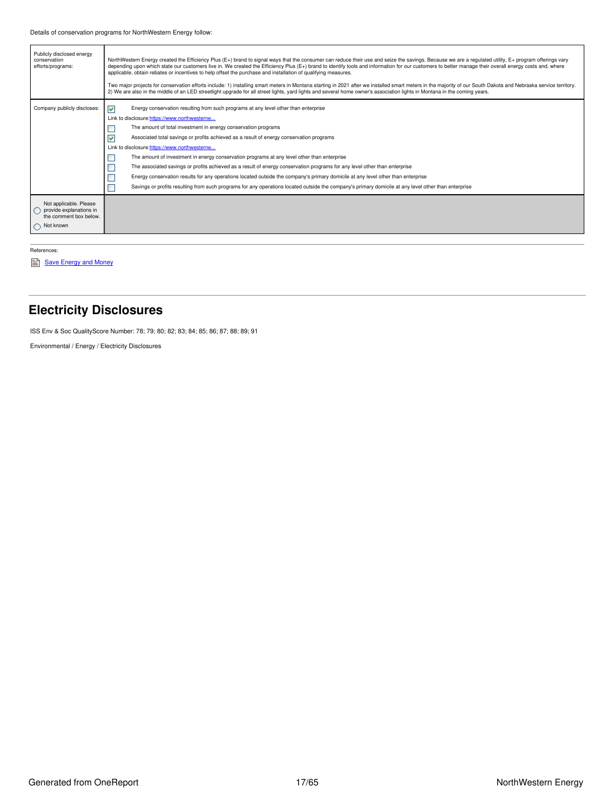| Publicly disclosed energy<br>conservation<br>efforts/programs:                           | NorthWestern Energy created the Efficiency Plus (E+) brand to signal ways that the consumer can reduce their use and seize the savings. Because we are a regulated utility, E+ program offerings vary<br>depending upon which state our customers live in. We created the Efficiency Plus (E+) brand to identify tools and information for our customers to better manage their overall energy costs and, where<br>applicable, obtain rebates or incentives to help offset the purchase and installation of qualifying measures.<br>Two major projects for conservation efforts include: 1) installing smart meters in Montana starting in 2021 after we installed smart meters in the majority of our South Dakota and Nebraska service territory.<br>2) We are also in the middle of an LED streetlight upgrade for all street lights, yard lights and several home owner's association lights in Montana in the coming years. |  |  |  |  |  |  |
|------------------------------------------------------------------------------------------|----------------------------------------------------------------------------------------------------------------------------------------------------------------------------------------------------------------------------------------------------------------------------------------------------------------------------------------------------------------------------------------------------------------------------------------------------------------------------------------------------------------------------------------------------------------------------------------------------------------------------------------------------------------------------------------------------------------------------------------------------------------------------------------------------------------------------------------------------------------------------------------------------------------------------------|--|--|--|--|--|--|
| Company publicly discloses:                                                              | Energy conservation resulting from such programs at any level other than enterprise<br>▿<br>Link to disclosure: https://www.northwesterne<br>The amount of total investment in energy conservation programs<br>⊽<br>Associated total savings or profits achieved as a result of energy conservation programs<br>Link to disclosure:https://www.northwesterne<br>The amount of investment in energy conservation programs at any level other than enterprise<br>The associated savings or profits achieved as a result of energy conservation programs for any level other than enterprise<br>Energy conservation results for any operations located outside the company's primary domicile at any level other than enterprise<br>Savings or profits resulting from such programs for any operations located outside the company's primary domicile at any level other than enterprise                                            |  |  |  |  |  |  |
| Not applicable. Please<br>provide explanations in<br>the comment box below.<br>Not known |                                                                                                                                                                                                                                                                                                                                                                                                                                                                                                                                                                                                                                                                                                                                                                                                                                                                                                                                  |  |  |  |  |  |  |

References:

Save [Energy](https://www.northwesternenergy.com/save-energy-money/save-energy-and-money) and Money

## <span id="page-16-0"></span>**Electricity Disclosures**

ISS Env & Soc QualityScore Number: 78; 79; 80; 82; 83; 84; 85; 86; 87; 88; 89; 91

Environmental / Energy / Electricity Disclosures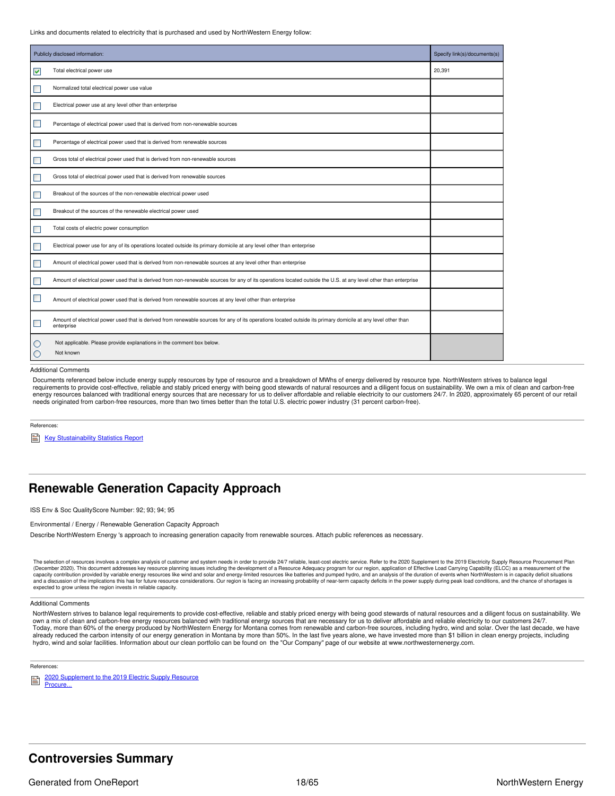Links and documents related to electricity that is purchased and used by NorthWestern Energy follow:

|        | Publicly disclosed information:                                                                                                                                             | Specify link(s)/documents(s) |
|--------|-----------------------------------------------------------------------------------------------------------------------------------------------------------------------------|------------------------------|
| ☑      | Total electrical power use                                                                                                                                                  | 20,391                       |
|        | Normalized total electrical power use value                                                                                                                                 |                              |
| ٠      | Electrical power use at any level other than enterprise                                                                                                                     |                              |
| ٠      | Percentage of electrical power used that is derived from non-renewable sources                                                                                              |                              |
|        | Percentage of electrical power used that is derived from renewable sources                                                                                                  |                              |
|        | Gross total of electrical power used that is derived from non-renewable sources                                                                                             |                              |
|        | Gross total of electrical power used that is derived from renewable sources                                                                                                 |                              |
|        | Breakout of the sources of the non-renewable electrical power used                                                                                                          |                              |
|        | Breakout of the sources of the renewable electrical power used                                                                                                              |                              |
|        | Total costs of electric power consumption                                                                                                                                   |                              |
| ٠      | Electrical power use for any of its operations located outside its primary domicile at any level other than enterprise                                                      |                              |
|        | Amount of electrical power used that is derived from non-renewable sources at any level other than enterprise                                                               |                              |
|        | Amount of electrical power used that is derived from non-renewable sources for any of its operations located outside the U.S. at any level other than enterprise            |                              |
| ш      | Amount of electrical power used that is derived from renewable sources at any level other than enterprise                                                                   |                              |
|        | Amount of electrical power used that is derived from renewable sources for any of its operations located outside its primary domicile at any level other than<br>enterprise |                              |
| U<br>C | Not applicable. Please provide explanations in the comment box below.<br>Not known                                                                                          |                              |

#### Additional Comments

Documents referenced below include energy supply resources by type of resource and a breakdown of MWhs of energy delivered by resource type. NorthWestern strives to balance legal requirements to provide cost-effective, reliable and stably priced energy with being good stewards of natural resources and a diligent focus on sustainability. We own a mix of clean and carbon-free energy resources balanced with traditional energy sources that are necessary for us to deliver affordable and reliable electricity to our customers 24/7. In 2020, approximately 65 percent of our retail needs originated from carbon-free resources, more than two times better than the total U.S. electric power industry (31 percent carbon-free).

References:

Key [Stustainability](https://www.northwesternenergy.com/docs/default-source/documents/esg/ESG-Sustainability-Statistics-Nov-2020.pdf) Statistics Report

### <span id="page-17-0"></span>**Renewable Generation Capacity Approach**

ISS Env & Soc QualityScore Number: 92; 93; 94; 95

#### Environmental / Energy / Renewable Generation Capacity Approach

Describe NorthWestern Energy 's approach to increasing generation capacity from renewable sources. Attach public references as necessary.

The selection of resources involves a complex analysis of customer and system needs in order to provide 24/7 reliable, least-cost electric service. Refer to the 2020 Supplement to the 2019 Electricity Supply Resource Procu (December 2020). This document addresses key resource planning issues including the development of a Resource Adequacy program for our region, application of Effective Load Carrying Capability (ELCC) as a measurement of th expected to grow unless the region invests in reliable capacity.

#### Additional Comments

NorthWestern strives to balance legal requirements to provide cost-effective, reliable and stably priced energy with being good stewards of natural resources and a diligent focus on sustainability. We own a mix of clean and carbon-free energy resources balanced with traditional energy sources that are necessary for us to deliver affordable and reliable electricity to our customers 24/7. Today, more than 60% of the energy produced by NorthWestern Energy for Montana comes from renewable and carbon-free sources, including hydro, wind and solar. Over the last decade, we have already reduced the carbon intensity of our energy generation in Montana by more than 50%. In the last five years alone, we have invested more than \$1 billion in clean energy projects, including hydro, wind and solar facilities. Information about our clean portfolio can be found on the "Our Company" page of our website at www.northwesternenergy.com.

References:

2020 [Supplement](https://www.northwesternenergy.com/docs/default-source/documents/defaultsupply/2020_supplement_to_2019_procurement_plan.pdf) to the 2019 Electric Supply Resource Procure...

### <span id="page-17-1"></span>**Controversies Summary**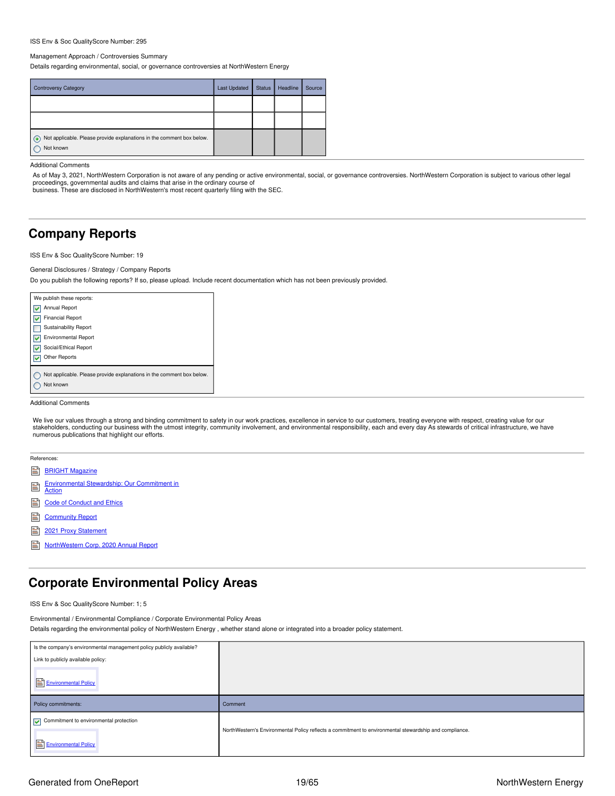#### ISS Env & Soc QualityScore Number: 295

#### Management Approach / Controversies Summary

Details regarding environmental, social, or governance controversies at NorthWestern Energy

| <b>Controversy Category</b>                                                        | <b>Last Updated</b> | <b>Status</b> | Headline | Source |
|------------------------------------------------------------------------------------|---------------------|---------------|----------|--------|
|                                                                                    |                     |               |          |        |
|                                                                                    |                     |               |          |        |
| Not applicable. Please provide explanations in the comment box below.<br>Not known |                     |               |          |        |

Additional Comments

As of May 3, 2021, NorthWestern Corporation is not aware of any pending or active environmental, social, or governance controversies. NorthWestern Corporation is subject to various other legal proceedings, governmental audits and claims that arise in the ordinary course of

business. These are disclosed in NorthWestern's most recent quarterly filing with the SEC.

### <span id="page-18-0"></span>**Company Reports**

ISS Env & Soc QualityScore Number: 19

#### General Disclosures / Strategy / Company Reports

Do you publish the following reports? If so, please upload. Include recent documentation which has not been previously provided.

| We publish these reports:                                             |
|-----------------------------------------------------------------------|
| Annual Report                                                         |
| <b>Financial Report</b>                                               |
| <b>Sustainability Report</b>                                          |
| <b>Environmental Report</b>                                           |
| Social/Ethical Report                                                 |
| <b>Other Reports</b>                                                  |
|                                                                       |
| Not applicable. Please provide explanations in the comment box below. |
| Not known                                                             |
|                                                                       |

#### Additional Comments

We live our values through a strong and binding commitment to safety in our work practices, excellence in service to our customers, treating everyone with respect, creating value for our stakeholders, conducting our business with the utmost integrity, community involvement, and environmental responsibility, each and every day As stewards of critical infrastructure, we have numerous publications that highlight our efforts.

|   | References:                                            |
|---|--------------------------------------------------------|
|   | <b>BRIGHT Magazine</b>                                 |
| Ë | Environmental Stewardship: Our Commitment in<br>Action |
|   | <b>Code of Conduct and Ethics</b>                      |
|   | <b>Community Report</b>                                |
|   | 2021 Proxy Statement                                   |

[NorthWestern](https://www.northwesternenergy.com/docs/default-source/documents/annual-report/2020-annual-report-10k-final.pdf) Corp. 2020 Annual Report

## <span id="page-18-1"></span>**Corporate Environmental Policy Areas**

ISS Env & Soc QualityScore Number: 1; 5

Environmental / Environmental Compliance / Corporate Environmental Policy Areas Details regarding the environmental policy of NorthWestern Energy , whether stand alone or integrated into a broader policy statement.

| Is the company's environmental management policy publicly available? |         |
|----------------------------------------------------------------------|---------|
| Link to publicly available policy:                                   |         |
| Environmental Policy                                                 |         |
| Policy commitments:                                                  | Comment |
| $\sqrt{\phantom{a}}$ Commitment to environmental protection          |         |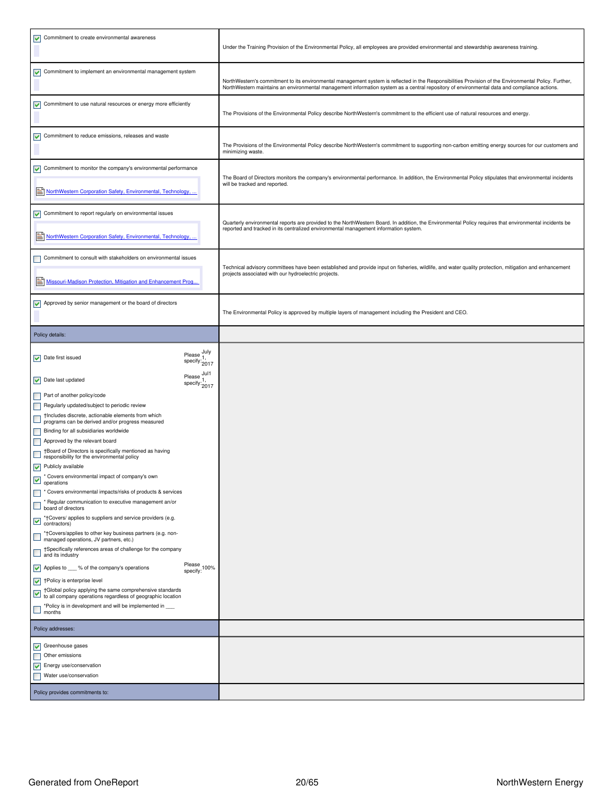| $\triangleright$ Commitment to create environmental awareness                                                                                                                                                                                                                                                                                                                                                                                                                                                                                                                                                                                                                                                                                                                                                                                                                                                                                                                                                                                                                                                                                                                                                                                                                                                   |                                      | Under the Training Provision of the Environmental Policy, all employees are provided environmental and stewardship awareness training.                                                                                                                                                               |
|-----------------------------------------------------------------------------------------------------------------------------------------------------------------------------------------------------------------------------------------------------------------------------------------------------------------------------------------------------------------------------------------------------------------------------------------------------------------------------------------------------------------------------------------------------------------------------------------------------------------------------------------------------------------------------------------------------------------------------------------------------------------------------------------------------------------------------------------------------------------------------------------------------------------------------------------------------------------------------------------------------------------------------------------------------------------------------------------------------------------------------------------------------------------------------------------------------------------------------------------------------------------------------------------------------------------|--------------------------------------|------------------------------------------------------------------------------------------------------------------------------------------------------------------------------------------------------------------------------------------------------------------------------------------------------|
| Commitment to implement an environmental management system                                                                                                                                                                                                                                                                                                                                                                                                                                                                                                                                                                                                                                                                                                                                                                                                                                                                                                                                                                                                                                                                                                                                                                                                                                                      |                                      | NorthWestern's commitment to its environmental management system is reflected in the Responsibilities Provision of the Environmental Policy. Further,<br>NorthWestern maintains an environmental management information system as a central repository of environmental data and compliance actions. |
| Commitment to use natural resources or energy more efficiently                                                                                                                                                                                                                                                                                                                                                                                                                                                                                                                                                                                                                                                                                                                                                                                                                                                                                                                                                                                                                                                                                                                                                                                                                                                  |                                      | The Provisions of the Environmental Policy describe NorthWestern's commitment to the efficient use of natural resources and energy.                                                                                                                                                                  |
| $\triangleright$ Commitment to reduce emissions, releases and waste                                                                                                                                                                                                                                                                                                                                                                                                                                                                                                                                                                                                                                                                                                                                                                                                                                                                                                                                                                                                                                                                                                                                                                                                                                             |                                      | The Provisions of the Environmental Policy describe NorthWestern's commitment to supporting non-carbon emitting energy sources for our customers and<br>minimizing waste.                                                                                                                            |
| Commitment to monitor the company's environmental performance<br>NorthWestern Corporation Safety, Environmental, Technology,                                                                                                                                                                                                                                                                                                                                                                                                                                                                                                                                                                                                                                                                                                                                                                                                                                                                                                                                                                                                                                                                                                                                                                                    |                                      | The Board of Directors monitors the company's environmental performance. In addition, the Environmental Policy stipulates that environmental incidents<br>will be tracked and reported.                                                                                                              |
| Commitment to report regularly on environmental issues<br>NorthWestern Corporation Safety, Environmental, Technology,                                                                                                                                                                                                                                                                                                                                                                                                                                                                                                                                                                                                                                                                                                                                                                                                                                                                                                                                                                                                                                                                                                                                                                                           |                                      | Quarterly environmental reports are provided to the NorthWestern Board. In addition, the Environmental Policy requires that environmental incidents be<br>reported and tracked in its centralized environmental management information system.                                                       |
| Commitment to consult with stakeholders on environmental issues<br>Missouri-Madison Protection, Mitigation and Enhancement Prog                                                                                                                                                                                                                                                                                                                                                                                                                                                                                                                                                                                                                                                                                                                                                                                                                                                                                                                                                                                                                                                                                                                                                                                 |                                      | Technical advisory committees have been established and provide input on fisheries, wildlife, and water quality protection, mitigation and enhancement<br>projects associated with our hydroelectric projects.                                                                                       |
| Approved by senior management or the board of directors                                                                                                                                                                                                                                                                                                                                                                                                                                                                                                                                                                                                                                                                                                                                                                                                                                                                                                                                                                                                                                                                                                                                                                                                                                                         |                                      | The Environmental Policy is approved by multiple layers of management including the President and CEO.                                                                                                                                                                                               |
| Policy details:                                                                                                                                                                                                                                                                                                                                                                                                                                                                                                                                                                                                                                                                                                                                                                                                                                                                                                                                                                                                                                                                                                                                                                                                                                                                                                 |                                      |                                                                                                                                                                                                                                                                                                      |
| $\triangleright$ Date first issued                                                                                                                                                                                                                                                                                                                                                                                                                                                                                                                                                                                                                                                                                                                                                                                                                                                                                                                                                                                                                                                                                                                                                                                                                                                                              | Please July<br>specify: 1,<br>2017   |                                                                                                                                                                                                                                                                                                      |
| $\triangleright$ Date last updated                                                                                                                                                                                                                                                                                                                                                                                                                                                                                                                                                                                                                                                                                                                                                                                                                                                                                                                                                                                                                                                                                                                                                                                                                                                                              | Please Jul1<br>specify: 1,<br>2017   |                                                                                                                                                                                                                                                                                                      |
| Part of another policy/code<br>Regularly updated/subject to periodic review<br>Thicludes discrete, actionable elements from which<br>programs can be derived and/or progress measured<br>Binding for all subsidiaries worldwide<br>Approved by the relevant board<br>†Board of Directors is specifically mentioned as having<br>responsibility for the environmental policy<br>$\sqrt{\phantom{a}}$ Publicly available<br>* Covers environmental impact of company's own<br>operations<br><sup>*</sup> Covers environmental impacts/risks of products & services<br>* Regular communication to executive management an/or<br>board of directors<br>*†Covers/ applies to suppliers and service providers (e.g.<br>$\overline{\phantom{a}}$ contractors)<br>*†Covers/applies to other key business partners (e.g. non-<br>managed operations, JV partners, etc.)<br>†Specifically references areas of challenge for the company<br>$\Box$ and its industry<br>Applies to ___ % of the company's operations<br>$\blacktriangleright$ † Policy is enterprise level<br>†Global policy applying the same comprehensive standards<br>Tuloual policy applying the call company of the all company operations regardless of geographic location<br>*Policy is in development and will be implemented in<br>$\Box$ months | Please<br>$specify:$ <sup>100%</sup> |                                                                                                                                                                                                                                                                                                      |
| Policy addresses:                                                                                                                                                                                                                                                                                                                                                                                                                                                                                                                                                                                                                                                                                                                                                                                                                                                                                                                                                                                                                                                                                                                                                                                                                                                                                               |                                      |                                                                                                                                                                                                                                                                                                      |
| $\sqrt{\phantom{a}}$ Greenhouse gases<br>Other emissions<br>$\triangleright$ Energy use/conservation<br>Water use/conservation<br>Policy provides commitments to:                                                                                                                                                                                                                                                                                                                                                                                                                                                                                                                                                                                                                                                                                                                                                                                                                                                                                                                                                                                                                                                                                                                                               |                                      |                                                                                                                                                                                                                                                                                                      |
|                                                                                                                                                                                                                                                                                                                                                                                                                                                                                                                                                                                                                                                                                                                                                                                                                                                                                                                                                                                                                                                                                                                                                                                                                                                                                                                 |                                      |                                                                                                                                                                                                                                                                                                      |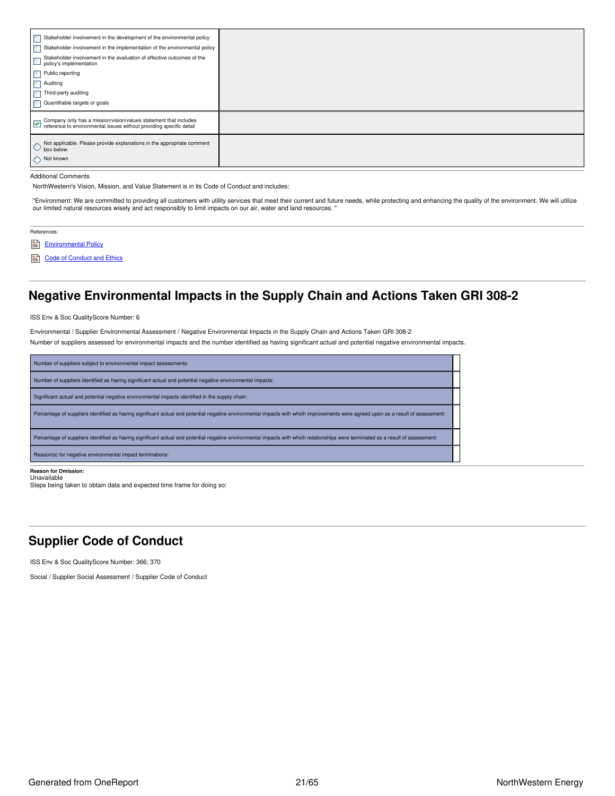| Stakeholder involvement in the implementation of the environmental policy |
|---------------------------------------------------------------------------|
|                                                                           |
|                                                                           |
|                                                                           |
|                                                                           |
|                                                                           |
|                                                                           |
|                                                                           |
|                                                                           |

#### Additional Comments

NorthWestern's Vision, Mission, and Value Statement is in its Code of Conduct and includes:

"Environment: We are committed to providing all customers with utility services that meet their current and future needs, while protecting and enhancing the quality of the environment. We will utilize our limited natural resources wisely and act responsibly to limit impacts on our air, water and land resources.

### References:

[Environmental](https://www.northwesternenergy.com/docs/default-source/documents/environment/environmental-commitment/environmental-policy-07012017.pdf) Policy

Code of [Conduct](https://www.northwesternenergy.com/docs/default-source/documents/corporategovernance/nwe_2021_code_lowres.pdf) and Ethics

## <span id="page-20-0"></span>**Negative Environmental Impacts in the Supply Chain and Actions Taken GRI 308-2**

ISS Env & Soc QualityScore Number: 6

Environmental / Supplier Environmental Assessment / Negative Environmental Impacts in the Supply Chain and Actions Taken GRI 308-2

Number of suppliers assessed for environmental impacts and the number identified as having significant actual and potential negative environmental impacts.

| Number of suppliers subject to environmental impact assessments:                                                                                                                 |
|----------------------------------------------------------------------------------------------------------------------------------------------------------------------------------|
| Number of suppliers identified as having significant actual and potential negative environmental impacts:                                                                        |
| Significant actual and potential negative environmental impacts identified in the supply chain:                                                                                  |
| Percentage of suppliers identified as having significant actual and potential negative environmental impacts with which improvements were agreed upon as a result of assessment: |
| Percentage of suppliers identified as having significant actual and potential negative environmental impacts with which relationships were terminated as a result of assessment: |
| Reason(s) for negative environmental impact terminations:                                                                                                                        |

### **Reason for Omission:** Unavailable

Steps being taken to obtain data and expected time frame for doing so:

### <span id="page-20-1"></span>**Supplier Code of Conduct**

ISS Env & Soc QualityScore Number: 366; 370

Social / Supplier Social Assessment / Supplier Code of Conduct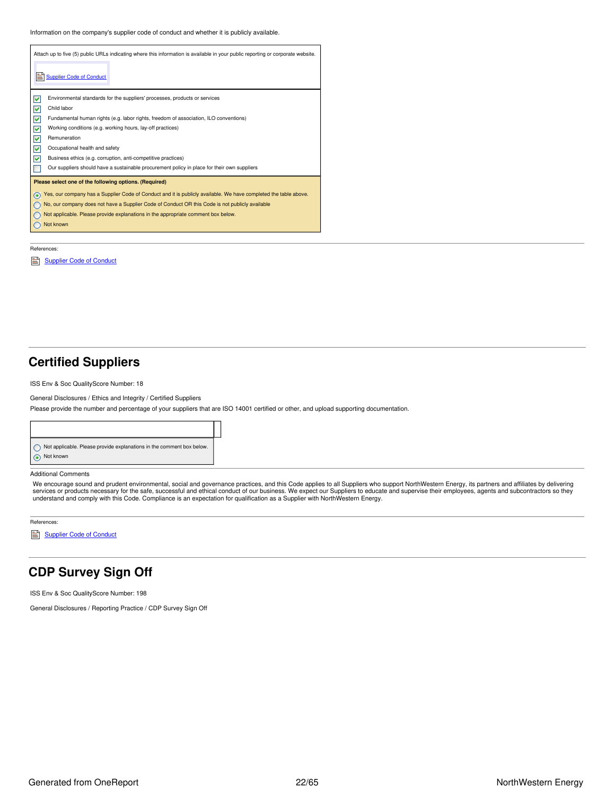Information on the company's supplier code of conduct and whether it is publicly available.

| Attach up to five (5) public URLs indicating where this information is available in your public reporting or corporate website. |
|---------------------------------------------------------------------------------------------------------------------------------|
| <b>Supplier Code of Conduct</b>                                                                                                 |
| ▽<br>Environmental standards for the suppliers' processes, products or services                                                 |
| Child labor<br>▽                                                                                                                |
| ☑<br>Fundamental human rights (e.g. labor rights, freedom of association, ILO conventions)                                      |
| ⊽<br>Working conditions (e.g. working hours, lay-off practices)                                                                 |
| ⊽<br>Remuneration                                                                                                               |
| ⊽<br>Occupational health and safety                                                                                             |
| M<br>Business ethics (e.g. corruption, anti-competitive practices)                                                              |
| Our suppliers should have a sustainable procurement policy in place for their own suppliers                                     |
| Please select one of the following options. (Required)                                                                          |
| Yes, our company has a Supplier Code of Conduct and it is publicly available. We have completed the table above.                |
| No, our company does not have a Supplier Code of Conduct OR this Code is not publicly available                                 |
| Not applicable. Please provide explanations in the appropriate comment box below.                                               |
| Not known                                                                                                                       |
|                                                                                                                                 |

#### References:

[Supplier](https://www.northwesternenergy.com/docs/default-source/documents/corporategovernance/suppliercodeofconduct_10-2020.pdf) Code of Conduct

### <span id="page-21-0"></span>**Certified Suppliers**

ISS Env & Soc QualityScore Number: 18

General Disclosures / Ethics and Integrity / Certified Suppliers

Please provide the number and percentage of your suppliers that are ISO 14001 certified or other, and upload supporting documentation.



#### Additional Comments

We encourage sound and prudent environmental, social and governance practices, and this Code applies to all Suppliers who support NorthWestern Energy, its partners and affiliates by delivering<br>services or products necessar

References:

[Supplier](https://www.northwesternenergy.com/docs/default-source/documents/corporategovernance/suppliercodeofconduct_10-2020.pdf) Code of Conduct

## <span id="page-21-1"></span>**CDP Survey Sign Off**

ISS Env & Soc QualityScore Number: 198

General Disclosures / Reporting Practice / CDP Survey Sign Off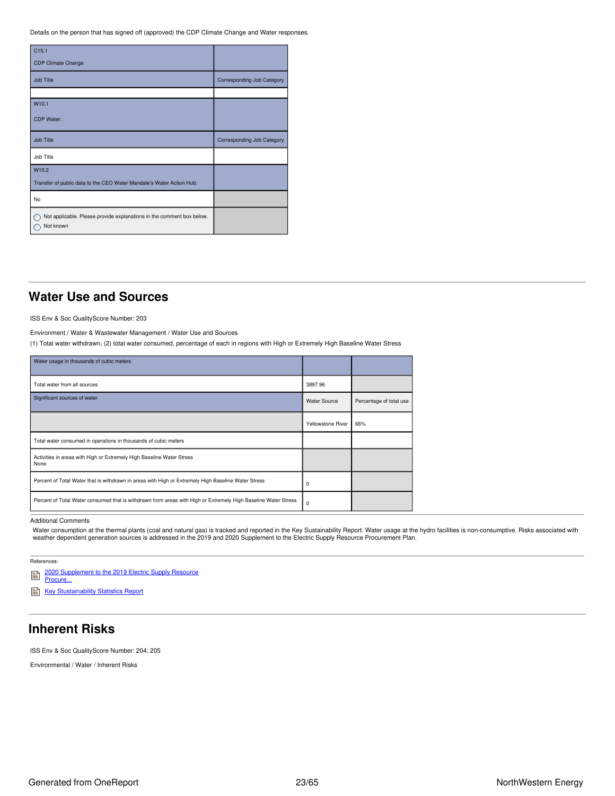Details on the person that has signed off (approved) the CDP Climate Change and Water responses.

| C <sub>15.1</sub>                                                                  |                                   |
|------------------------------------------------------------------------------------|-----------------------------------|
| <b>CDP Climate Change</b>                                                          |                                   |
| <b>Job Title</b>                                                                   | <b>Corresponding Job Category</b> |
|                                                                                    |                                   |
| W <sub>10.1</sub>                                                                  |                                   |
| CDP Water:                                                                         |                                   |
| <b>Job Title</b>                                                                   | <b>Corresponding Job Category</b> |
| Job Title                                                                          |                                   |
| W10.2                                                                              |                                   |
| Transfer of public data to the CEO Water Mandate's Water Action Hub:               |                                   |
| No                                                                                 |                                   |
| Not applicable. Please provide explanations in the comment box below.<br>Not known |                                   |

### <span id="page-22-0"></span>**Water Use and Sources**

ISS Env & Soc QualityScore Number: 203

Environment / Water & Wastewater Management / Water Use and Sources

(1) Total water withdrawn, (2) total water consumed, percentage of each in regions with High or Extremely High Baseline Water Stress

| Water usage in thousands of cubic meters                                                                       |                          |                         |
|----------------------------------------------------------------------------------------------------------------|--------------------------|-------------------------|
| Total water from all sources                                                                                   | 3897.96                  |                         |
| Significant sources of water                                                                                   | <b>Water Source</b>      | Percentage of total use |
|                                                                                                                | <b>Yellowstone River</b> | 66%                     |
| Total water consumed in operations in thousands of cubic meters                                                |                          |                         |
| Activities in areas with High or Extremely High Baseline Water Stress<br>None                                  |                          |                         |
| Percent of Total Water that is withdrawn in areas with High or Extremely High Baseline Water Stress            | 0                        |                         |
| Percent of Total Water consumed that is withdrawn from areas with High or Extremely High Baseline Water Stress | 0                        |                         |

Additional Comments

Water consumption at the thermal plants (coal and natural gas) is tracked and reported in the Key Sustainability Report. Water usage at the hydro facilities is non-consumptive. Risks associated with<br>weather dependent gener

References:

E 2020 [Supplement](https://www.northwesternenergy.com/docs/default-source/documents/defaultsupply/2020_supplement_to_2019_procurement_plan.pdf) to the 2019 Electric Supply Resource Procure...

Key [Stustainability](https://www.northwesternenergy.com/docs/default-source/documents/esg/ESG-Sustainability-Statistics-Nov-2020.pdf) Statistics Report

## <span id="page-22-1"></span>**Inherent Risks**

ISS Env & Soc QualityScore Number: 204; 205

Environmental / Water / Inherent Risks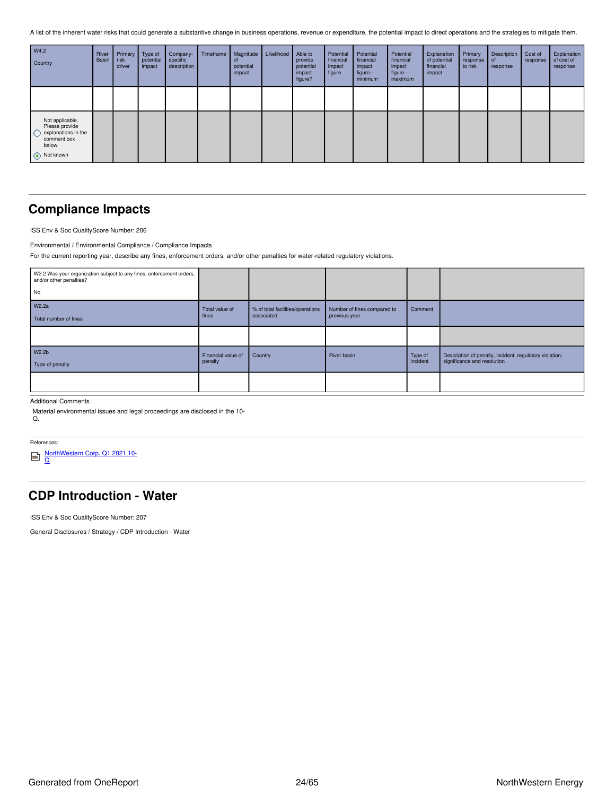A list of the inherent water risks that could generate a substantive change in business operations, revenue or expenditure, the potential impact to direct operations and the strategies to mitigate them.

| W4.2<br>Country                                                                                | River<br>Basin | Primary<br>risk<br>driver | Type of<br>potential<br>impact | Company-<br>specific<br>description | Timeframe | Magnitude<br>ot<br>potential<br>impact | Likelihood | Able to<br>provide<br>potential<br>impact<br>figure? | Potential<br>financial<br>impact<br>figure | Potential<br>financial<br>impact<br>figure -<br>minimum | Potential<br>financial<br>impact<br>figure -<br>maximum | Explanation<br>of potential<br>financial<br>impact | Primary<br>response<br>to risk | Description<br>l of<br>response | Cost of<br>response | Explanation<br>of cost of<br>response |
|------------------------------------------------------------------------------------------------|----------------|---------------------------|--------------------------------|-------------------------------------|-----------|----------------------------------------|------------|------------------------------------------------------|--------------------------------------------|---------------------------------------------------------|---------------------------------------------------------|----------------------------------------------------|--------------------------------|---------------------------------|---------------------|---------------------------------------|
|                                                                                                |                |                           |                                |                                     |           |                                        |            |                                                      |                                            |                                                         |                                                         |                                                    |                                |                                 |                     |                                       |
| Not applicable.<br>Please provide<br>explanations in the<br>comment box<br>below.<br>Not known |                |                           |                                |                                     |           |                                        |            |                                                      |                                            |                                                         |                                                         |                                                    |                                |                                 |                     |                                       |

## <span id="page-23-0"></span>**Compliance Impacts**

ISS Env & Soc QualityScore Number: 206

Environmental / Environmental Compliance / Compliance Impacts

For the current reporting year, describe any fines, enforcement orders, and/or other penalties for water-related regulatory violations.

| W2.2 Was your organization subject to any fines, enforcement orders,<br>and/or other penalties? |                    |                                  |                             |          |                                                         |
|-------------------------------------------------------------------------------------------------|--------------------|----------------------------------|-----------------------------|----------|---------------------------------------------------------|
| No                                                                                              |                    |                                  |                             |          |                                                         |
| W2.2a                                                                                           | Total value of     | % of total facilities/operations | Number of fines compared to | Comment  |                                                         |
| Total number of fines                                                                           | fines              | associated                       | previous year               |          |                                                         |
|                                                                                                 |                    |                                  |                             |          |                                                         |
| W2.2b                                                                                           | Financial value of | Country                          | River basin                 | Type of  | Description of penalty, incident, regulatory violation, |
| Type of penalty                                                                                 | penalty            |                                  |                             | incident | significance and resolution                             |
|                                                                                                 |                    |                                  |                             |          |                                                         |
|                                                                                                 |                    |                                  |                             |          |                                                         |

Additional Comments

Material environmental issues and legal proceedings are disclosed in the 10-  $\Omega$ .

References:

<u>[NorthWestern](https://www.northwesternenergy.com/genPDF.aspx?id=14756) Corp. Q1 2021 10-</u><br><u>Q</u>

## <span id="page-23-1"></span>**CDP Introduction - Water**

ISS Env & Soc QualityScore Number: 207

General Disclosures / Strategy / CDP Introduction - Water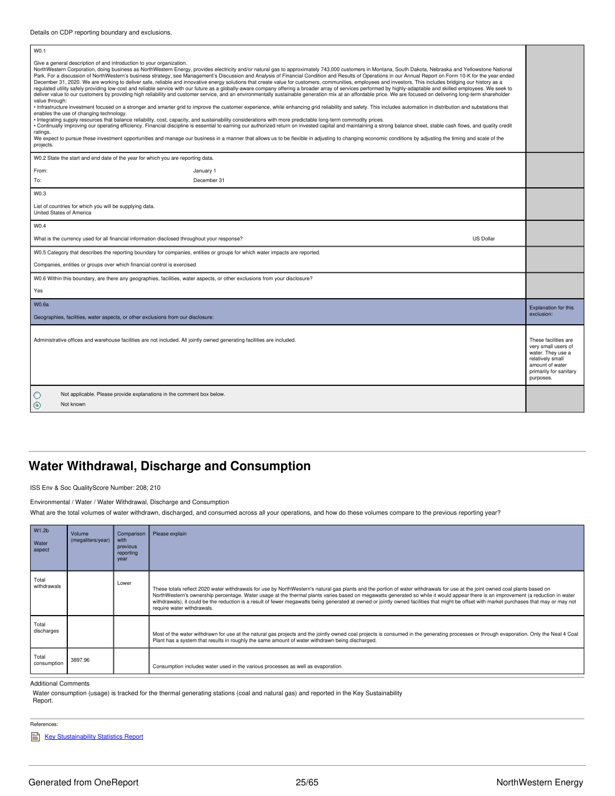|--|

| Give a general description of and introduction to your organization.<br>NorthWestern Corporation, doing business as NorthWestern Energy, provides electricity and/or natural gas to approximately 743,000 customers in Montana, South Dakota, Nebraska and Yellowstone National<br>Park. For a discussion of NorthWestern's business strategy, see Management's Discussion and Analysis of Financial Condition and Results of Operations in our Annual Report on Form 10-K for the year ended<br>December 31, 2020. We are working to deliver safe, reliable and innovative energy solutions that create value for customers, communities, employees and investors. This includes bridging our history as a<br>regulated utility safely providing low-cost and reliable service with our future as a globally-aware company offering a broader array of services performed by highly-adaptable and skilled employees. We seek to<br>deliver value to our customers by providing high reliability and customer service, and an environmentally sustainable generation mix at an affordable price. We are focused on delivering long-term shareholder<br>value through:<br>Infrastructure investment focused on a stronger and smarter grid to improve the customer experience, while enhancing grid reliability and safety. This includes automation in distribution and substations that<br>enables the use of changing technology.<br>Integrating supply resources that balance reliability, cost, capacity, and sustainability considerations with more predictable long-term commodity prices.<br>Continually improving our operating efficiency. Financial discipline is essential to earning our authorized return on invested capital and maintaining a strong balance sheet, stable cash flows, and quality credit<br>ratings.<br>We expect to pursue these investment opportunities and manage our business in a manner that allows us to be flexible in adjusting to changing economic conditions by adjusting the timing and scale of the<br>projects. |             |                  |                             |  |  |
|------------------------------------------------------------------------------------------------------------------------------------------------------------------------------------------------------------------------------------------------------------------------------------------------------------------------------------------------------------------------------------------------------------------------------------------------------------------------------------------------------------------------------------------------------------------------------------------------------------------------------------------------------------------------------------------------------------------------------------------------------------------------------------------------------------------------------------------------------------------------------------------------------------------------------------------------------------------------------------------------------------------------------------------------------------------------------------------------------------------------------------------------------------------------------------------------------------------------------------------------------------------------------------------------------------------------------------------------------------------------------------------------------------------------------------------------------------------------------------------------------------------------------------------------------------------------------------------------------------------------------------------------------------------------------------------------------------------------------------------------------------------------------------------------------------------------------------------------------------------------------------------------------------------------------------------------------------------------------------------------------------------------------------------------------------------|-------------|------------------|-----------------------------|--|--|
| W0.2 State the start and end date of the year for which you are reporting data.                                                                                                                                                                                                                                                                                                                                                                                                                                                                                                                                                                                                                                                                                                                                                                                                                                                                                                                                                                                                                                                                                                                                                                                                                                                                                                                                                                                                                                                                                                                                                                                                                                                                                                                                                                                                                                                                                                                                                                                  |             |                  |                             |  |  |
| From:                                                                                                                                                                                                                                                                                                                                                                                                                                                                                                                                                                                                                                                                                                                                                                                                                                                                                                                                                                                                                                                                                                                                                                                                                                                                                                                                                                                                                                                                                                                                                                                                                                                                                                                                                                                                                                                                                                                                                                                                                                                            | January 1   |                  |                             |  |  |
| To:                                                                                                                                                                                                                                                                                                                                                                                                                                                                                                                                                                                                                                                                                                                                                                                                                                                                                                                                                                                                                                                                                                                                                                                                                                                                                                                                                                                                                                                                                                                                                                                                                                                                                                                                                                                                                                                                                                                                                                                                                                                              | December 31 |                  |                             |  |  |
| W0.3                                                                                                                                                                                                                                                                                                                                                                                                                                                                                                                                                                                                                                                                                                                                                                                                                                                                                                                                                                                                                                                                                                                                                                                                                                                                                                                                                                                                                                                                                                                                                                                                                                                                                                                                                                                                                                                                                                                                                                                                                                                             |             |                  |                             |  |  |
| List of countries for which you will be supplying data.<br>United States of America                                                                                                                                                                                                                                                                                                                                                                                                                                                                                                                                                                                                                                                                                                                                                                                                                                                                                                                                                                                                                                                                                                                                                                                                                                                                                                                                                                                                                                                                                                                                                                                                                                                                                                                                                                                                                                                                                                                                                                              |             |                  |                             |  |  |
| W0.4                                                                                                                                                                                                                                                                                                                                                                                                                                                                                                                                                                                                                                                                                                                                                                                                                                                                                                                                                                                                                                                                                                                                                                                                                                                                                                                                                                                                                                                                                                                                                                                                                                                                                                                                                                                                                                                                                                                                                                                                                                                             |             |                  |                             |  |  |
| What is the currency used for all financial information disclosed throughout your response?                                                                                                                                                                                                                                                                                                                                                                                                                                                                                                                                                                                                                                                                                                                                                                                                                                                                                                                                                                                                                                                                                                                                                                                                                                                                                                                                                                                                                                                                                                                                                                                                                                                                                                                                                                                                                                                                                                                                                                      |             | <b>US Dollar</b> |                             |  |  |
| W0.5 Category that describes the reporting boundary for companies, entities or groups for which water impacts are reported.                                                                                                                                                                                                                                                                                                                                                                                                                                                                                                                                                                                                                                                                                                                                                                                                                                                                                                                                                                                                                                                                                                                                                                                                                                                                                                                                                                                                                                                                                                                                                                                                                                                                                                                                                                                                                                                                                                                                      |             |                  |                             |  |  |
| Companies, entities or groups over which financial control is exercised                                                                                                                                                                                                                                                                                                                                                                                                                                                                                                                                                                                                                                                                                                                                                                                                                                                                                                                                                                                                                                                                                                                                                                                                                                                                                                                                                                                                                                                                                                                                                                                                                                                                                                                                                                                                                                                                                                                                                                                          |             |                  |                             |  |  |
| W0.6 Within this boundary, are there any geographies, facilities, water aspects, or other exclusions from your disclosure?                                                                                                                                                                                                                                                                                                                                                                                                                                                                                                                                                                                                                                                                                                                                                                                                                                                                                                                                                                                                                                                                                                                                                                                                                                                                                                                                                                                                                                                                                                                                                                                                                                                                                                                                                                                                                                                                                                                                       |             |                  |                             |  |  |
| Yes                                                                                                                                                                                                                                                                                                                                                                                                                                                                                                                                                                                                                                                                                                                                                                                                                                                                                                                                                                                                                                                                                                                                                                                                                                                                                                                                                                                                                                                                                                                                                                                                                                                                                                                                                                                                                                                                                                                                                                                                                                                              |             |                  |                             |  |  |
| <b>W0.6a</b>                                                                                                                                                                                                                                                                                                                                                                                                                                                                                                                                                                                                                                                                                                                                                                                                                                                                                                                                                                                                                                                                                                                                                                                                                                                                                                                                                                                                                                                                                                                                                                                                                                                                                                                                                                                                                                                                                                                                                                                                                                                     |             |                  | <b>Explanation for this</b> |  |  |
| Geographies, facilities, water aspects, or other exclusions from our disclosure:                                                                                                                                                                                                                                                                                                                                                                                                                                                                                                                                                                                                                                                                                                                                                                                                                                                                                                                                                                                                                                                                                                                                                                                                                                                                                                                                                                                                                                                                                                                                                                                                                                                                                                                                                                                                                                                                                                                                                                                 |             |                  | exclusion:                  |  |  |
| Administrative offices and warehouse facilities are not included. All jointly owned generating facilities are included.                                                                                                                                                                                                                                                                                                                                                                                                                                                                                                                                                                                                                                                                                                                                                                                                                                                                                                                                                                                                                                                                                                                                                                                                                                                                                                                                                                                                                                                                                                                                                                                                                                                                                                                                                                                                                                                                                                                                          |             |                  |                             |  |  |
| O<br>Not applicable. Please provide explanations in the comment box below.<br>◉<br>Not known                                                                                                                                                                                                                                                                                                                                                                                                                                                                                                                                                                                                                                                                                                                                                                                                                                                                                                                                                                                                                                                                                                                                                                                                                                                                                                                                                                                                                                                                                                                                                                                                                                                                                                                                                                                                                                                                                                                                                                     |             |                  |                             |  |  |
|                                                                                                                                                                                                                                                                                                                                                                                                                                                                                                                                                                                                                                                                                                                                                                                                                                                                                                                                                                                                                                                                                                                                                                                                                                                                                                                                                                                                                                                                                                                                                                                                                                                                                                                                                                                                                                                                                                                                                                                                                                                                  |             |                  |                             |  |  |

## <span id="page-24-0"></span>**Water Withdrawal, Discharge and Consumption**

ISS Env & Soc QualityScore Number: 208; 210

Environmental / Water / Water Withdrawal, Discharge and Consumption

What are the total volumes of water withdrawn, discharged, and consumed across all your operations, and how do these volumes compare to the previous reporting year?

| W1.2b<br>Water<br>aspect | Volume<br>(megaliters/year) | Comparison<br>with<br>previous<br>reporting<br>year | Please explain                                                                                                                                                                                                                                                                                                                                                                                                                                                                                                                                                                                 |
|--------------------------|-----------------------------|-----------------------------------------------------|------------------------------------------------------------------------------------------------------------------------------------------------------------------------------------------------------------------------------------------------------------------------------------------------------------------------------------------------------------------------------------------------------------------------------------------------------------------------------------------------------------------------------------------------------------------------------------------------|
| Total<br>withdrawals     |                             | Lower                                               | These totals reflect 2020 water withdrawals for use by NorthWestern's natural gas plants and the portion of water withdrawals for use at the joint owned coal plants based on<br>NorthWestern's ownership percentage. Water usage at the thermal plants varies based on megawatts generated so while it would appear there is an improvement (a reduction in water<br>withdrawals), it could be the reduction is a result of fewer megawatts being generated at owned or jointly owned facilities that might be offset with market purchases that may or may not<br>require water withdrawals. |
| Total<br>discharges      |                             |                                                     | Most of the water withdrawn for use at the natural gas projects and the jointly owned coal projects is consumed in the generating processes or through evaporation. Only the Neal 4 Coal<br>Plant has a system that results in roughly the same amount of water withdrawn being discharged.                                                                                                                                                                                                                                                                                                    |
| Total<br>consumption     | 3897.96                     |                                                     | Consumption includes water used in the various processes as well as evaporation.                                                                                                                                                                                                                                                                                                                                                                                                                                                                                                               |

Additional Comments

Water consumption (usage) is tracked for the thermal generating stations (coal and natural gas) and reported in the Key Sustainability

Report.

References:

Key [Stustainability](https://www.northwesternenergy.com/docs/default-source/documents/esg/ESG-Sustainability-Statistics-Nov-2020.pdf) Statistics Report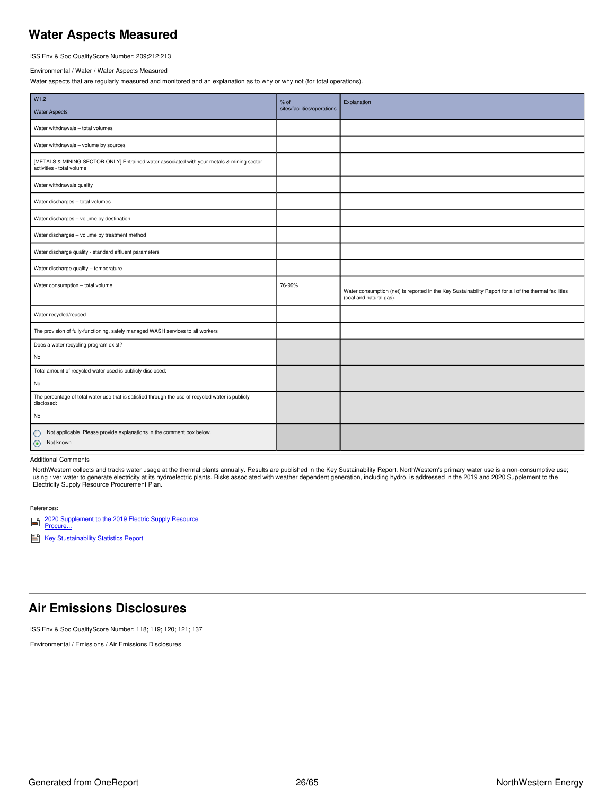## <span id="page-25-0"></span>**Water Aspects Measured**

ISS Env & Soc QualityScore Number: 209;212;213

#### Environmental / Water / Water Aspects Measured

Water aspects that are regularly measured and monitored and an explanation as to why or why not (for total operations).

| W1.2<br><b>Water Aspects</b>                                                                                           | $%$ of<br>sites/facilities/operations | Explanation                                                                                                                       |
|------------------------------------------------------------------------------------------------------------------------|---------------------------------------|-----------------------------------------------------------------------------------------------------------------------------------|
| Water withdrawals - total volumes                                                                                      |                                       |                                                                                                                                   |
| Water withdrawals - volume by sources                                                                                  |                                       |                                                                                                                                   |
| [METALS & MINING SECTOR ONLY] Entrained water associated with your metals & mining sector<br>activities - total volume |                                       |                                                                                                                                   |
| Water withdrawals quality                                                                                              |                                       |                                                                                                                                   |
| Water discharges - total volumes                                                                                       |                                       |                                                                                                                                   |
| Water discharges - volume by destination                                                                               |                                       |                                                                                                                                   |
| Water discharges - volume by treatment method                                                                          |                                       |                                                                                                                                   |
| Water discharge quality - standard effluent parameters                                                                 |                                       |                                                                                                                                   |
| Water discharge quality - temperature                                                                                  |                                       |                                                                                                                                   |
| Water consumption - total volume                                                                                       | 76-99%                                | Water consumption (net) is reported in the Key Sustainability Report for all of the thermal facilities<br>(coal and natural gas). |
| Water recycled/reused                                                                                                  |                                       |                                                                                                                                   |
| The provision of fully-functioning, safely managed WASH services to all workers                                        |                                       |                                                                                                                                   |
| Does a water recycling program exist?<br>No                                                                            |                                       |                                                                                                                                   |
| Total amount of recycled water used is publicly disclosed:                                                             |                                       |                                                                                                                                   |
| No                                                                                                                     |                                       |                                                                                                                                   |
| The percentage of total water use that is satisfied through the use of recycled water is publicly<br>disclosed:        |                                       |                                                                                                                                   |
| No                                                                                                                     |                                       |                                                                                                                                   |
| Not applicable. Please provide explanations in the comment box below.<br>$\circ$<br>$\odot$<br>Not known               |                                       |                                                                                                                                   |

### Additional Comments

NorthWestern collects and tracks water usage at the thermal plants annually. Results are published in the Key Sustainability Report. NorthWestern's primary water use is a non-consumptive use; using river water to generate electricity at its hydroelectric plants. Risks associated with weather dependent generation, including hydro, is addressed in the 2019 and 2020 Supplement to the Electricity Supply Resource Procurement Plan.

#### References:

2020 [Supplement](https://www.northwesternenergy.com/docs/default-source/documents/defaultsupply/2020_supplement_to_2019_procurement_plan.pdf) to the 2019 Electric Supply Resource Procure... ₿

Key [Stustainability](https://www.northwesternenergy.com/docs/default-source/documents/esg/ESG-Sustainability-Statistics-Nov-2020.pdf) Statistics Report

### <span id="page-25-1"></span>**Air Emissions Disclosures**

ISS Env & Soc QualityScore Number: 118; 119; 120; 121; 137

Environmental / Emissions / Air Emissions Disclosures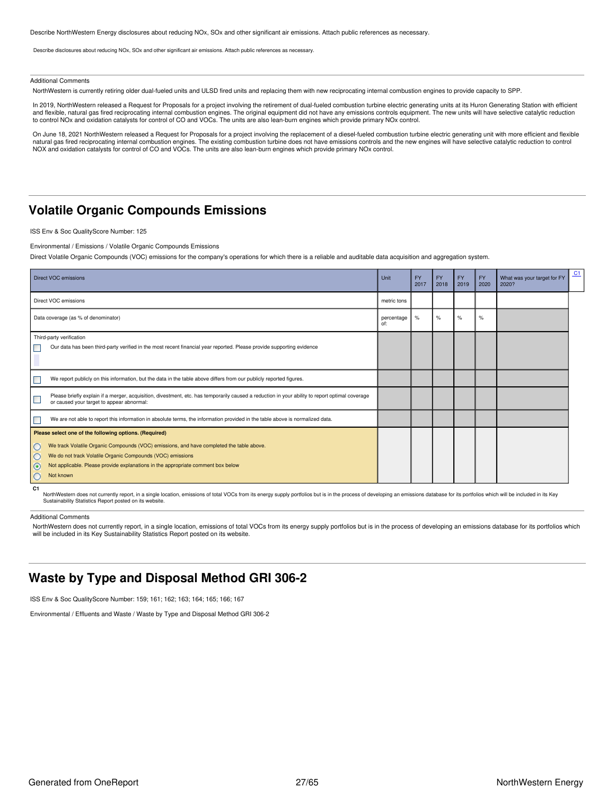Describe NorthWestern Energy disclosures about reducing NOx, SOx and other significant air emissions. Attach public references as necessary.

Describe disclosures about reducing NOx, SOx and other significant air emissions. Attach public references as necessary.

#### Additional Comments

NorthWestern is currently retiring older dual-fueled units and ULSD fired units and replacing them with new reciprocating internal combustion engines to provide capacity to SPP.

In 2019, NorthWestern released a Request for Proposals for a project involving the retirement of dual-fueled combustion turbine electric generating units at its Huron Generating Station with efficient and flexible, natural gas fired reciprocating internal combustion engines. The original equipment did not have any emissions controls equipment. The new units will have selective catalytic reduction to control NOx and oxidation catalysts for control of CO and VOCs. The units are also lean-burn engines which provide primary NOx control.

On June 18, 2021 NorthWestern released a Request for Proposals for a project involving the replacement of a diesel-fueled combustion turbine electric generating unit with more efficient and flexible natural gas fired reciprocating internal combustion engines. The existing combustion turbine does not have emissions controls and the new engines will have selective catalytic reduction to control NOX and oxidation catalysts for control of CO and VOCs. The units are also lean-burn engines which provide primary NOx control.

### <span id="page-26-0"></span>**Volatile Organic Compounds Emissions**

ISS Env & Soc QualityScore Number: 125

Environmental / Emissions / Volatile Organic Compounds Emissions

Direct Volatile Organic Compounds (VOC) emissions for the company's operations for which there is a reliable and auditable data acquisition and aggregation system.

| <b>Direct VOC emissions</b>                                                                                                                                                                                                                                                                                                                       | Unit              | <b>FY</b><br>2017 | <b>FY</b><br>2018 | <b>FY</b><br>2019 | <b>FY</b><br>2020 | What was your target for FY<br>2020? | C1 |
|---------------------------------------------------------------------------------------------------------------------------------------------------------------------------------------------------------------------------------------------------------------------------------------------------------------------------------------------------|-------------------|-------------------|-------------------|-------------------|-------------------|--------------------------------------|----|
| Direct VOC emissions                                                                                                                                                                                                                                                                                                                              | metric tons       |                   |                   |                   |                   |                                      |    |
| Data coverage (as % of denominator)                                                                                                                                                                                                                                                                                                               | percentage<br>of: | $\%$              | $\%$              | $\%$              | $\frac{9}{6}$     |                                      |    |
| Third-party verification<br>Our data has been third-party verified in the most recent financial year reported. Please provide supporting evidence                                                                                                                                                                                                 |                   |                   |                   |                   |                   |                                      |    |
| We report publicly on this information, but the data in the table above differs from our publicly reported figures.                                                                                                                                                                                                                               |                   |                   |                   |                   |                   |                                      |    |
| Please briefly explain if a merger, acquisition, divestment, etc. has temporarily caused a reduction in your ability to report optimal coverage<br>□<br>or caused your target to appear abnormal:                                                                                                                                                 |                   |                   |                   |                   |                   |                                      |    |
| П<br>We are not able to report this information in absolute terms, the information provided in the table above is normalized data.                                                                                                                                                                                                                |                   |                   |                   |                   |                   |                                      |    |
| Please select one of the following options. (Required)<br>We track Volatile Organic Compounds (VOC) emissions, and have completed the table above.<br>O<br>$\circ$<br>We do not track Volatile Organic Compounds (VOC) emissions<br>$\odot$<br>Not applicable. Please provide explanations in the appropriate comment box below<br>Not known<br>O |                   |                   |                   |                   |                   |                                      |    |
| C <sub>1</sub>                                                                                                                                                                                                                                                                                                                                    |                   |                   |                   |                   |                   |                                      |    |

<span id="page-26-2"></span>NorthWestern does not currently report, in a single location, emissions of total VOCs from its energy supply portfolios but is in the process of developing an emissions database for its portfolios which will be included in

Additional Comments

NorthWestern does not currently report, in a single location, emissions of total VOCs from its energy supply portfolios but is in the process of developing an emissions database for its portfolios which<br>will be included in

### <span id="page-26-1"></span>**Waste by Type and Disposal Method GRI 306-2**

ISS Env & Soc QualityScore Number: 159; 161; 162; 163; 164; 165; 166; 167

Environmental / Effluents and Waste / Waste by Type and Disposal Method GRI 306-2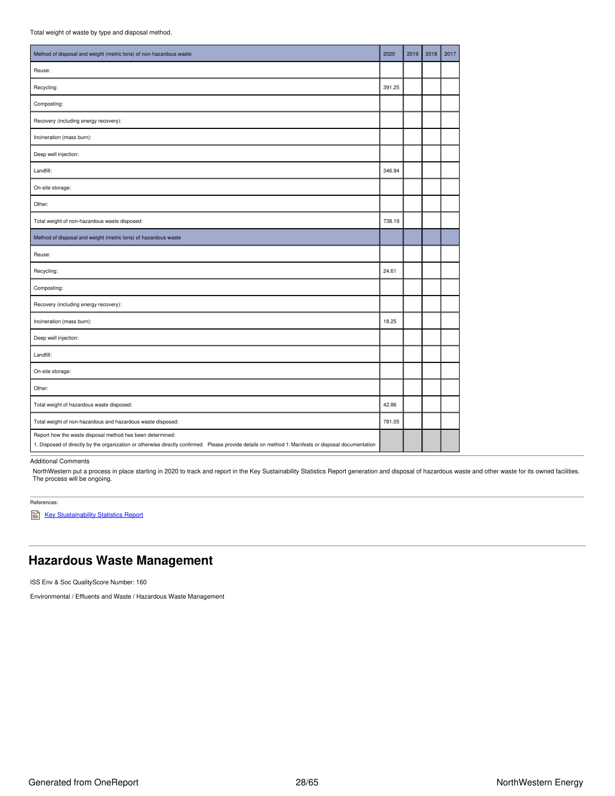| Method of disposal and weight (metric tons) of non-hazardous waste                                                                                                                                               | 2020   | 2019 | 2018 | 2017 |
|------------------------------------------------------------------------------------------------------------------------------------------------------------------------------------------------------------------|--------|------|------|------|
| Reuse:                                                                                                                                                                                                           |        |      |      |      |
| Recycling:                                                                                                                                                                                                       | 391.25 |      |      |      |
| Composting:                                                                                                                                                                                                      |        |      |      |      |
| Recovery (including energy recovery):                                                                                                                                                                            |        |      |      |      |
| Incineration (mass burn):                                                                                                                                                                                        |        |      |      |      |
| Deep well injection:                                                                                                                                                                                             |        |      |      |      |
| Landfill:                                                                                                                                                                                                        | 346.94 |      |      |      |
| On-site storage:                                                                                                                                                                                                 |        |      |      |      |
| Other:                                                                                                                                                                                                           |        |      |      |      |
| Total weight of non-hazardous waste disposed:                                                                                                                                                                    | 738.19 |      |      |      |
| Method of disposal and weight (metric tons) of hazardous waste                                                                                                                                                   |        |      |      |      |
| Reuse:                                                                                                                                                                                                           |        |      |      |      |
| Recycling:                                                                                                                                                                                                       | 24.61  |      |      |      |
| Composting:                                                                                                                                                                                                      |        |      |      |      |
| Recovery (including energy recovery):                                                                                                                                                                            |        |      |      |      |
| Incineration (mass burn):                                                                                                                                                                                        | 18.25  |      |      |      |
| Deep well injection:                                                                                                                                                                                             |        |      |      |      |
| Landfill:                                                                                                                                                                                                        |        |      |      |      |
| On-site storage:                                                                                                                                                                                                 |        |      |      |      |
| Other:                                                                                                                                                                                                           |        |      |      |      |
| Total weight of hazardous waste disposed:                                                                                                                                                                        | 42.86  |      |      |      |
| Total weight of non-hazardous and hazardous waste disposed:                                                                                                                                                      | 781.05 |      |      |      |
| Report how the waste disposal method has been determined:<br>1. Disposed of directly by the organization or otherwise directly confirmed Please provide details on method 1: Manifests or disposal documentation |        |      |      |      |

Additional Comments

NorthWestern put a process in place starting in 2020 to track and report in the Key Sustainability Statistics Report generation and disposal of hazardous waste and other waste for its owned facilities. The process will be ongoing.

References:

Key [Stustainability](https://www.northwesternenergy.com/docs/default-source/documents/esg/ESG-Sustainability-Statistics-Nov-2020.pdf) Statistics Report

## <span id="page-27-0"></span>**Hazardous Waste Management**

ISS Env & Soc QualityScore Number: 160

Environmental / Effluents and Waste / Hazardous Waste Management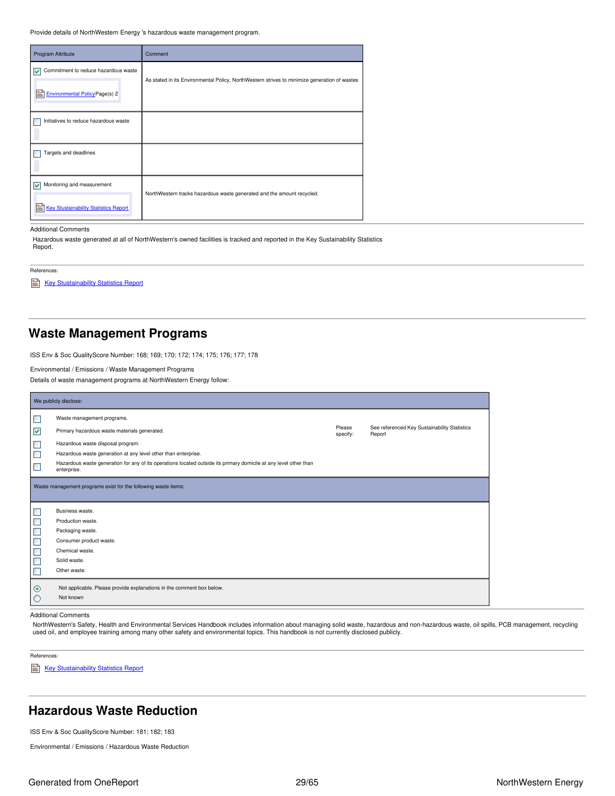Provide details of NorthWestern Energy 's hazardous waste management program.

| Program Attribute                                                                        | Comment                                                                                      |
|------------------------------------------------------------------------------------------|----------------------------------------------------------------------------------------------|
| Commitment to reduce hazardous waste<br>M<br>Eì<br><b>Environmental Policy Page(s) 2</b> | As stated in its Environmental Policy, NorthWestern strives to minimize generation of wastes |
| Initiatives to reduce hazardous waste                                                    |                                                                                              |
| Targets and deadlines                                                                    |                                                                                              |
| Monitoring and measurement<br>Ei<br><b>Key Stustainability Statistics Report</b>         | NorthWestern tracks hazardous waste generated and the amount recycled.                       |

#### Additional Comments

Hazardous waste generated at all of NorthWestern's owned facilities is tracked and reported in the Key Sustainability Statistics Report.

References:

Key [Stustainability](https://www.northwesternenergy.com/docs/default-source/documents/esg/ESG-Sustainability-Statistics-Nov-2020.pdf) Statistics Report

## <span id="page-28-0"></span>**Waste Management Programs**

ISS Env & Soc QualityScore Number: 168; 169; 170; 172; 174; 175; 176; 177; 178

Environmental / Emissions / Waste Management Programs

Details of waste management programs at NorthWestern Energy follow:

|                             | We publicly disclose:                                                                                                            |                    |                                                        |  |  |
|-----------------------------|----------------------------------------------------------------------------------------------------------------------------------|--------------------|--------------------------------------------------------|--|--|
| $\Box$                      | Waste management programs.                                                                                                       |                    |                                                        |  |  |
| $\blacktriangledown$        | Primary hazardous waste materials generated.                                                                                     | Please<br>specify: | See referenced Key Sustainability Statistics<br>Report |  |  |
| $\mathcal{L}_{\mathcal{A}}$ | Hazardous waste disposal program.                                                                                                |                    |                                                        |  |  |
| $\Box$                      | Hazardous waste generation at any level other than enterprise.                                                                   |                    |                                                        |  |  |
| $\Box$                      | Hazardous waste generation for any of its operations located outside its primary domicile at any level other than<br>enterprise. |                    |                                                        |  |  |
|                             |                                                                                                                                  |                    |                                                        |  |  |
|                             | Waste management programs exist for the following waste items:                                                                   |                    |                                                        |  |  |
|                             | Business waste.                                                                                                                  |                    |                                                        |  |  |
|                             | Production waste.                                                                                                                |                    |                                                        |  |  |
|                             | Packaging waste.                                                                                                                 |                    |                                                        |  |  |
|                             | Consumer product waste.                                                                                                          |                    |                                                        |  |  |
|                             | Chemical waste.                                                                                                                  |                    |                                                        |  |  |
|                             | Solid waste.                                                                                                                     |                    |                                                        |  |  |
| $\Box$<br>$\Box$<br>popo    | Other waste.                                                                                                                     |                    |                                                        |  |  |
| $\odot$                     | Not applicable. Please provide explanations in the comment box below.                                                            |                    |                                                        |  |  |

#### Additional Comments

NorthWestern's Safety, Health and Environmental Services Handbook includes information about managing solid waste, hazardous and non-hazardous waste, oil spills, PCB management, recycling used oil, and employee training among many other safety and environmental topics. This handbook is not currently disclosed publicly.

References:

Key [Stustainability](https://www.northwesternenergy.com/docs/default-source/documents/esg/ESG-Sustainability-Statistics-Nov-2020.pdf) Statistics Report

## <span id="page-28-1"></span>**Hazardous Waste Reduction**

ISS Env & Soc QualityScore Number: 181; 182; 183

Environmental / Emissions / Hazardous Waste Reduction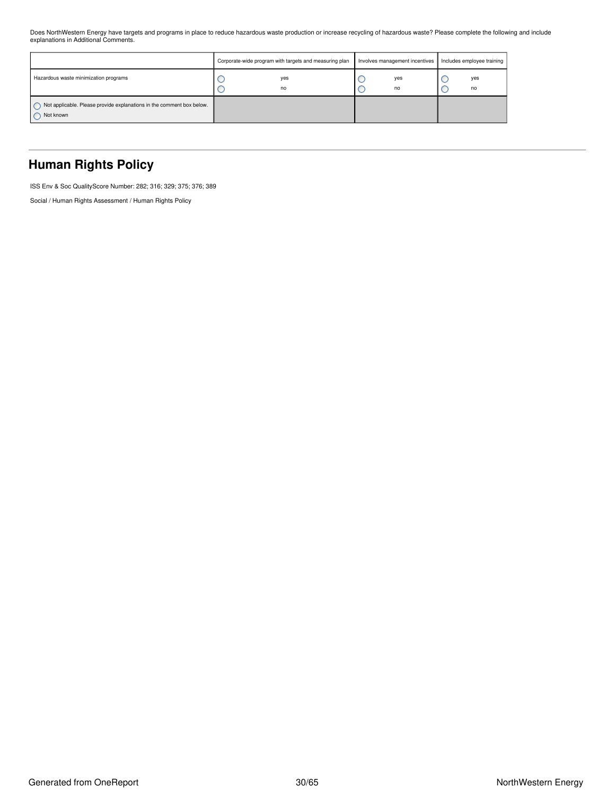Does NorthWestern Energy have targets and programs in place to reduce hazardous waste production or increase recycling of hazardous waste? Please complete the following and include explanations in Additional Comments.

|                                                                                    | Corporate-wide program with targets and measuring plan | Involves management incentives | Includes employee training |
|------------------------------------------------------------------------------------|--------------------------------------------------------|--------------------------------|----------------------------|
| Hazardous waste minimization programs                                              | yes<br>no                                              | yes<br>no                      | yes<br>no                  |
| Not applicable. Please provide explanations in the comment box below.<br>Not known |                                                        |                                |                            |

## <span id="page-29-0"></span>**Human Rights Policy**

ISS Env & Soc QualityScore Number: 282; 316; 329; 375; 376; 389

Social / Human Rights Assessment / Human Rights Policy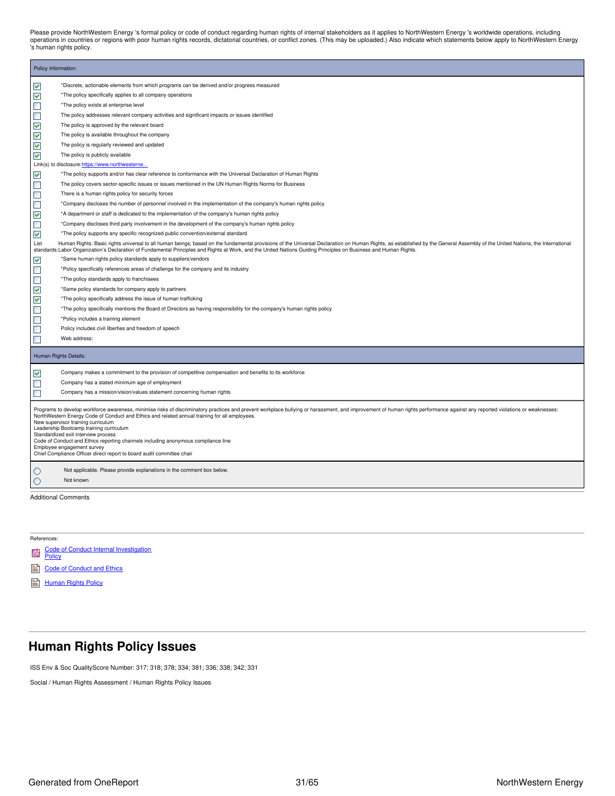Please provide NorthWestern Energy 's formal policy or code of conduct regarding human rights of internal stakeholders as it applies to NorthWestern Energy 's worldwide operations, including<br>operations in countries or regi 's human rights policy.

| Policy Information: |                                                                                                                                                                                                                                                                                                                                                                                                                                                                                                                                                                                                                                                   |
|---------------------|---------------------------------------------------------------------------------------------------------------------------------------------------------------------------------------------------------------------------------------------------------------------------------------------------------------------------------------------------------------------------------------------------------------------------------------------------------------------------------------------------------------------------------------------------------------------------------------------------------------------------------------------------|
| ⊻                   | *Discrete, actionable elements from which programs can be derived and/or progress measured                                                                                                                                                                                                                                                                                                                                                                                                                                                                                                                                                        |
| M                   | *The policy specifically applies to all company operations                                                                                                                                                                                                                                                                                                                                                                                                                                                                                                                                                                                        |
| ▉                   | *The policy exists at enterprise level                                                                                                                                                                                                                                                                                                                                                                                                                                                                                                                                                                                                            |
| Ξ                   | The policy addresses relevant company activities and significant impacts or issues identified                                                                                                                                                                                                                                                                                                                                                                                                                                                                                                                                                     |
| ▽                   | The policy is approved by the relevant board                                                                                                                                                                                                                                                                                                                                                                                                                                                                                                                                                                                                      |
| M                   | The policy is available throughout the company                                                                                                                                                                                                                                                                                                                                                                                                                                                                                                                                                                                                    |
| ⊽                   | The policy is regularly reviewed and updated                                                                                                                                                                                                                                                                                                                                                                                                                                                                                                                                                                                                      |
| ☑                   | The policy is publicly available                                                                                                                                                                                                                                                                                                                                                                                                                                                                                                                                                                                                                  |
|                     | Link(s) to disclosure:https://www.northwesterne                                                                                                                                                                                                                                                                                                                                                                                                                                                                                                                                                                                                   |
| ☑                   | *The policy supports and/or has clear reference to conformance with the Universal Declaration of Human Rights                                                                                                                                                                                                                                                                                                                                                                                                                                                                                                                                     |
| ▉                   | The policy covers sector-specific issues or issues mentioned in the UN Human Rights Norms for Business                                                                                                                                                                                                                                                                                                                                                                                                                                                                                                                                            |
| $\blacksquare$      | There is a human rights policy for security forces                                                                                                                                                                                                                                                                                                                                                                                                                                                                                                                                                                                                |
| ▉                   | *Company discloses the number of personnel involved in the implementation of the company's human rights policy                                                                                                                                                                                                                                                                                                                                                                                                                                                                                                                                    |
| ☑                   | *A department or staff is dedicated to the implementation of the company's human rights policy                                                                                                                                                                                                                                                                                                                                                                                                                                                                                                                                                    |
| ▉                   | *Company discloses third party involvement in the development of the company's human rights policy                                                                                                                                                                                                                                                                                                                                                                                                                                                                                                                                                |
| ⊻                   | *The policy supports any specific recognized public convention/external standard                                                                                                                                                                                                                                                                                                                                                                                                                                                                                                                                                                  |
| List                | Human Rights: Basic rights universal to all human beings, based on the fundamental provisions of the Universal Declaration on Human Rights, as established by the General Assembly of the United Nations, the International<br>standards:Labor Organization's Declaration of Fundamental Principles and Rights at Work, and the United Nations Guiding Principles on Business and Human Rights.                                                                                                                                                                                                                                                   |
| ⊻                   | *Same human rights policy standards apply to suppliers/vendors                                                                                                                                                                                                                                                                                                                                                                                                                                                                                                                                                                                    |
| $\blacksquare$      | *Policy specifically references areas of challenge for the company and its industry                                                                                                                                                                                                                                                                                                                                                                                                                                                                                                                                                               |
| $\Box$              | *The policy standards apply to franchisees                                                                                                                                                                                                                                                                                                                                                                                                                                                                                                                                                                                                        |
| ☑                   | *Same policy standards for company apply to partners                                                                                                                                                                                                                                                                                                                                                                                                                                                                                                                                                                                              |
| ⊻                   | *The policy specifically address the issue of human trafficking                                                                                                                                                                                                                                                                                                                                                                                                                                                                                                                                                                                   |
| ▉                   | *The policy specifically mentions the Board of Directors as having responsibility for the company's human rights policy                                                                                                                                                                                                                                                                                                                                                                                                                                                                                                                           |
| ▉                   | *Policy includes a training element                                                                                                                                                                                                                                                                                                                                                                                                                                                                                                                                                                                                               |
| $\blacksquare$      | Policy includes civil liberties and freedom of speech                                                                                                                                                                                                                                                                                                                                                                                                                                                                                                                                                                                             |
| П                   | Web address:                                                                                                                                                                                                                                                                                                                                                                                                                                                                                                                                                                                                                                      |
|                     | Human Rights Details:                                                                                                                                                                                                                                                                                                                                                                                                                                                                                                                                                                                                                             |
| ⊽                   | Company makes a commitment to the provision of competitive compensation and benefits to its workforce                                                                                                                                                                                                                                                                                                                                                                                                                                                                                                                                             |
| ■                   | Company has a stated minimum age of employment                                                                                                                                                                                                                                                                                                                                                                                                                                                                                                                                                                                                    |
| ▉                   | Company has a mission/vision/values statement concerning human rights                                                                                                                                                                                                                                                                                                                                                                                                                                                                                                                                                                             |
|                     | Programs to develop workforce awareness, minimise risks of discriminatory practices and prevent workplace bullying or harassment, and improvement of human rights performance against any reported violations or weaknesses:<br>NorthWestern Energy Code of Conduct and Ethics and related annual training for all employees.<br>New supervisor training curriculum<br>Leadership Bootcamp training curriculum<br>Standardized exit interview process<br>Code of Conduct and Ethics reporting channels including anonymous compliance line<br>Employee engagement survey<br>Chief Compliance Officer direct report to board audit committee chair |
| O                   | Not applicable. Please provide explanations in the comment box below.                                                                                                                                                                                                                                                                                                                                                                                                                                                                                                                                                                             |
| O                   | Not known                                                                                                                                                                                                                                                                                                                                                                                                                                                                                                                                                                                                                                         |
|                     |                                                                                                                                                                                                                                                                                                                                                                                                                                                                                                                                                                                                                                                   |
|                     | <b>Additional Comments</b>                                                                                                                                                                                                                                                                                                                                                                                                                                                                                                                                                                                                                        |

References:

| <b>24</b> Code of Conduct Internal Investigation<br>Policy |
|------------------------------------------------------------|
|                                                            |

- code of [Conduct](https://www.northwesternenergy.com/docs/default-source/documents/corporategovernance/nwe_2021_code_lowres.pdf) and Ethics
- [Human](https://www.northwesternenergy.com/docs/default-source/documents/corporategovernance/human-rights-policy.pdf) Rights Policy

## <span id="page-30-0"></span>**Human Rights Policy Issues**

ISS Env & Soc QualityScore Number: 317; 318; 378; 334; 381; 336; 338; 342; 331

Social / Human Rights Assessment / Human Rights Policy Issues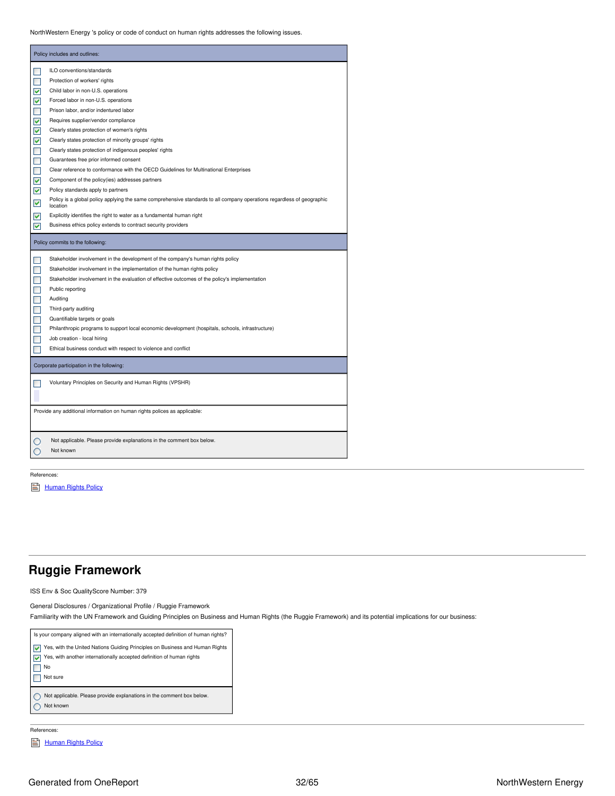NorthWestern Energy 's policy or code of conduct on human rights addresses the following issues.

|                | Policy includes and outlines:                                                                                                      |
|----------------|------------------------------------------------------------------------------------------------------------------------------------|
| П              | ILO conventions/standards                                                                                                          |
| П              | Protection of workers' rights                                                                                                      |
| ⊽              | Child labor in non-U.S. operations                                                                                                 |
| ⊽              | Forced labor in non-U.S. operations                                                                                                |
| П              | Prison labor, and/or indentured labor                                                                                              |
| ⊽              | Requires supplier/vendor compliance                                                                                                |
| ⊽              | Clearly states protection of women's rights                                                                                        |
| V              | Clearly states protection of minority groups' rights                                                                               |
| $\Box$         | Clearly states protection of indigenous peoples' rights                                                                            |
| П              | Guarantees free prior informed consent                                                                                             |
| П              | Clear reference to conformance with the OECD Guidelines for Multinational Enterprises                                              |
| V              | Component of the policy (ies) addresses partners                                                                                   |
| ⊽              | Policy standards apply to partners                                                                                                 |
| ⊻              | Policy is a global policy applying the same comprehensive standards to all company operations regardless of geographic<br>location |
| ▿              | Explicitly identifies the right to water as a fundamental human right                                                              |
| ☑              | Business ethics policy extends to contract security providers                                                                      |
|                | Policy commits to the following:                                                                                                   |
| П              | Stakeholder involvement in the development of the company's human rights policy                                                    |
| П              | Stakeholder involvement in the implementation of the human rights policy                                                           |
| $\blacksquare$ | Stakeholder involvement in the evaluation of effective outcomes of the policy's implementation                                     |
| П              | Public reporting                                                                                                                   |
| П              | Auditing                                                                                                                           |
| П              |                                                                                                                                    |
|                | Third-party auditing                                                                                                               |
| П              | Quantifiable targets or goals                                                                                                      |
| П              | Philanthropic programs to support local economic development (hospitals, schools, infrastructure)                                  |
| П              | Job creation - local hiring                                                                                                        |
| <b>FR</b>      | Ethical business conduct with respect to violence and conflict                                                                     |
|                | Corporate participation in the following:                                                                                          |
|                | Voluntary Principles on Security and Human Rights (VPSHR)                                                                          |
|                | Provide any additional information on human rights polices as applicable:                                                          |
|                | Not applicable. Please provide explanations in the comment box below.<br>Not known                                                 |

References:

[Human](https://www.northwesternenergy.com/docs/default-source/documents/corporategovernance/human-rights-policy.pdf) Rights Policy

### <span id="page-31-0"></span>**Ruggie Framework**

ISS Env & Soc QualityScore Number: 379

General Disclosures / Organizational Profile / Ruggie Framework

Familiarity with the UN Framework and Guiding Principles on Business and Human Rights (the Ruggie Framework) and its potential implications for our business:



### References:

[Human](https://www.northwesternenergy.com/docs/default-source/documents/corporategovernance/human-rights-policy.pdf) Rights Policy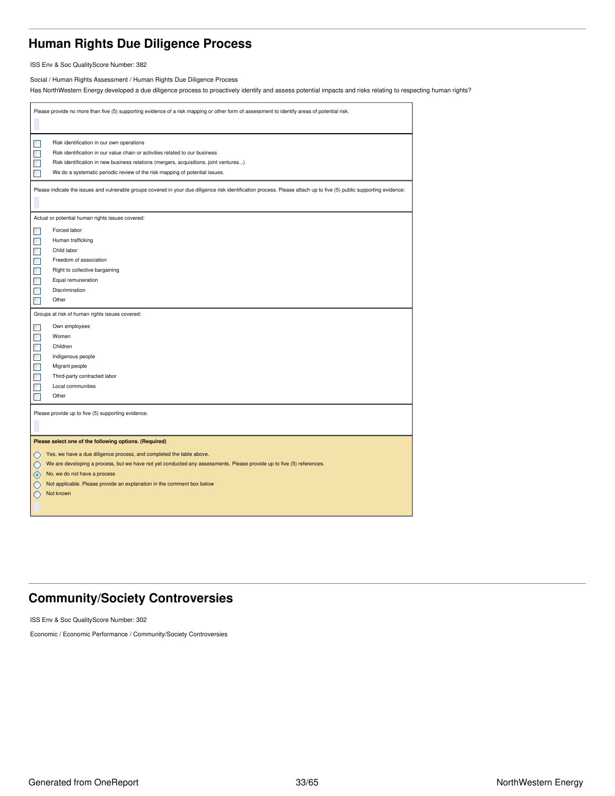## <span id="page-32-0"></span>**Human Rights Due Diligence Process**

ISS Env & Soc QualityScore Number: 382

Social / Human Rights Assessment / Human Rights Due Diligence Process

Has NorthWestern Energy developed a due diligence process to proactively identify and assess potential impacts and risks relating to respecting human rights?

|                            | Please provide no more than five (5) supporting evidence of a risk mapping or other form of assessment to identify areas of potential risk.                                                                                                                                                             |
|----------------------------|---------------------------------------------------------------------------------------------------------------------------------------------------------------------------------------------------------------------------------------------------------------------------------------------------------|
| ۰<br>П<br>П                | Risk identification in our own operations<br>Risk identification in our value chain or activities related to our business<br>Risk identification in new business relations (mergers, acquisitions, joint ventures)<br>We do a systematic periodic review of the risk mapping of potential issues.       |
|                            | Please indicate the issues and vulnerable groups covered in your due diligence risk identification process. Please attach up to five (5) public supporting evidence:                                                                                                                                    |
|                            | Actual or potential human rights issues covered:                                                                                                                                                                                                                                                        |
| ш                          | Forced labor                                                                                                                                                                                                                                                                                            |
| П                          | Human trafficking                                                                                                                                                                                                                                                                                       |
| $\Box$                     | Child labor                                                                                                                                                                                                                                                                                             |
| $\Box$                     | Freedom of association                                                                                                                                                                                                                                                                                  |
| $\Box$                     | Right to collective bargaining                                                                                                                                                                                                                                                                          |
| $\Box$                     | Equal remuneration                                                                                                                                                                                                                                                                                      |
| $\Box$                     | Discrimination                                                                                                                                                                                                                                                                                          |
| П                          | Other                                                                                                                                                                                                                                                                                                   |
|                            | Groups at risk of human rights issues covered:                                                                                                                                                                                                                                                          |
| ۰                          | Own employees                                                                                                                                                                                                                                                                                           |
| $\Box$                     | Women                                                                                                                                                                                                                                                                                                   |
| $\Box$                     | Children                                                                                                                                                                                                                                                                                                |
| $\Box$                     | Indigenous people                                                                                                                                                                                                                                                                                       |
| $\Box$                     | Migrant people                                                                                                                                                                                                                                                                                          |
| $\blacksquare$             | Third-party contracted labor                                                                                                                                                                                                                                                                            |
| П                          | Local communities                                                                                                                                                                                                                                                                                       |
|                            | Other                                                                                                                                                                                                                                                                                                   |
|                            | Please provide up to five (5) supporting evidence.                                                                                                                                                                                                                                                      |
|                            | Please select one of the following options. (Required)                                                                                                                                                                                                                                                  |
| $\bigcirc$<br>$\circ$<br>O | Yes, we have a due diligence process, and completed the table above.<br>We are developing a process, but we have not yet conducted any assessments. Please provide up to five (5) references.<br>No, we do not have a process<br>Not applicable. Please provide an explanation in the comment box below |
| О                          | Not known                                                                                                                                                                                                                                                                                               |

## <span id="page-32-1"></span>**Community/Society Controversies**

ISS Env & Soc QualityScore Number: 302

Economic / Economic Performance / Community/Society Controversies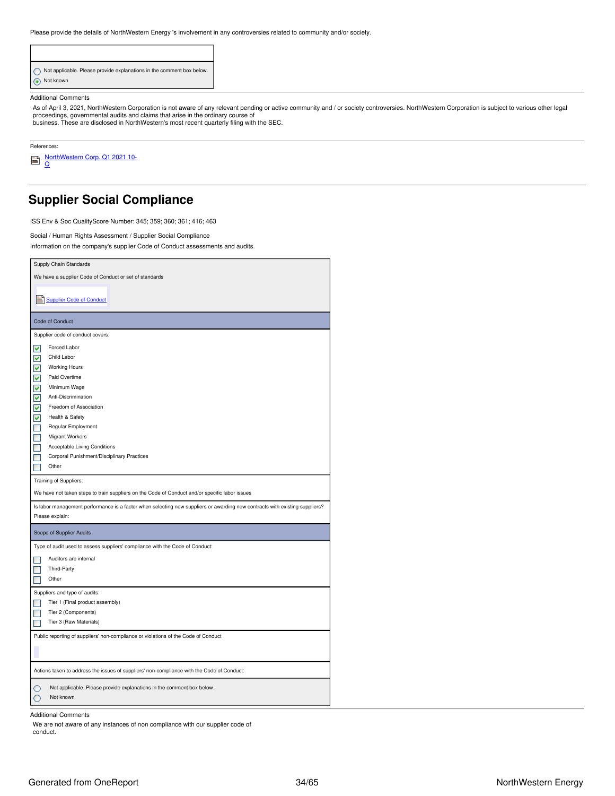Please provide the details of NorthWestern Energy 's involvement in any controversies related to community and/or society.

| Not applicable. Please provide explanations in the comment box below. |
|-----------------------------------------------------------------------|
| Not known                                                             |

#### Additional Comments

As of April 3, 2021, NorthWestern Corporation is not aware of any relevant pending or active community and / or society controversies. NorthWestern Corporation is subject to various other legal proceedings, governmental audits and claims that arise in the ordinary course of business. These are disclosed in NorthWestern's most recent quarterly filing with the SEC.

References:

r.

<u>[NorthWestern](https://www.northwesternenergy.com/genPDF.aspx?id=14756) Corp. Q1 2021 10-</u><br><u>Q</u>

## <span id="page-33-0"></span>**Supplier Social Compliance**

ISS Env & Soc QualityScore Number: 345; 359; 360; 361; 416; 463

Social / Human Rights Assessment / Supplier Social Compliance

Information on the company's supplier Code of Conduct assessments and audits.

| Supply Chain Standards                                                                                                                         |
|------------------------------------------------------------------------------------------------------------------------------------------------|
| We have a supplier Code of Conduct or set of standards                                                                                         |
|                                                                                                                                                |
| Supplier Code of Conduct                                                                                                                       |
| Code of Conduct                                                                                                                                |
| Supplier code of conduct covers:                                                                                                               |
| $\overline{\mathsf{v}}$<br>Forced Labor                                                                                                        |
| Child Labor<br>⊽                                                                                                                               |
| ⊽<br><b>Working Hours</b>                                                                                                                      |
| $\blacktriangledown$<br>Paid Overtime                                                                                                          |
| V<br>Minimum Wage                                                                                                                              |
| ▽<br>Anti-Discrimination                                                                                                                       |
| ▽<br>Freedom of Association                                                                                                                    |
| V<br>Health & Safety                                                                                                                           |
| ┓<br>Regular Employment                                                                                                                        |
| $\blacksquare$<br><b>Migrant Workers</b>                                                                                                       |
| Acceptable Living Conditions                                                                                                                   |
| Corporal Punishment/Disciplinary Practices                                                                                                     |
| Other                                                                                                                                          |
| Training of Suppliers:                                                                                                                         |
| We have not taken steps to train suppliers on the Code of Conduct and/or specific labor issues                                                 |
| Is labor management performance is a factor when selecting new suppliers or awarding new contracts with existing suppliers?<br>Please explain: |
| Scope of Supplier Audits                                                                                                                       |
| Type of audit used to assess suppliers' compliance with the Code of Conduct:                                                                   |
| Auditors are internal                                                                                                                          |
| Third-Party                                                                                                                                    |
| Other                                                                                                                                          |
| Suppliers and type of audits:                                                                                                                  |
| Tier 1 (Final product assembly)                                                                                                                |
| Tier 2 (Components)                                                                                                                            |
| Tier 3 (Raw Materials)                                                                                                                         |
| Public reporting of suppliers' non-compliance or violations of the Code of Conduct                                                             |
|                                                                                                                                                |
| Actions taken to address the issues of suppliers' non-compliance with the Code of Conduct:                                                     |
| Not applicable. Please provide explanations in the comment box below.<br>Not known                                                             |

Additional Comments

We are not aware of any instances of non compliance with our supplier code of conduct.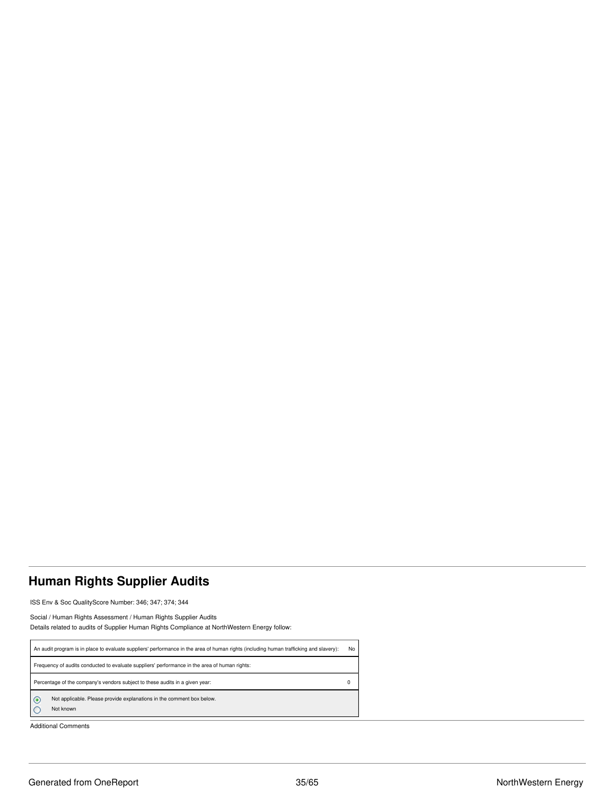## <span id="page-34-0"></span>**Human Rights Supplier Audits**

ISS Env & Soc QualityScore Number: 346; 347; 374; 344

Social / Human Rights Assessment / Human Rights Supplier Audits Details related to audits of Supplier Human Rights Compliance at NorthWestern Energy follow:

| An audit program is in place to evaluate suppliers' performance in the area of human rights (including human trafficking and slavery): |                                                                                               |  |  |  |  |
|----------------------------------------------------------------------------------------------------------------------------------------|-----------------------------------------------------------------------------------------------|--|--|--|--|
|                                                                                                                                        | Frequency of audits conducted to evaluate suppliers' performance in the area of human rights: |  |  |  |  |
|                                                                                                                                        | Percentage of the company's vendors subject to these audits in a given year:                  |  |  |  |  |
| $\circ$                                                                                                                                | Not applicable. Please provide explanations in the comment box below.<br>Not known            |  |  |  |  |

Additional Comments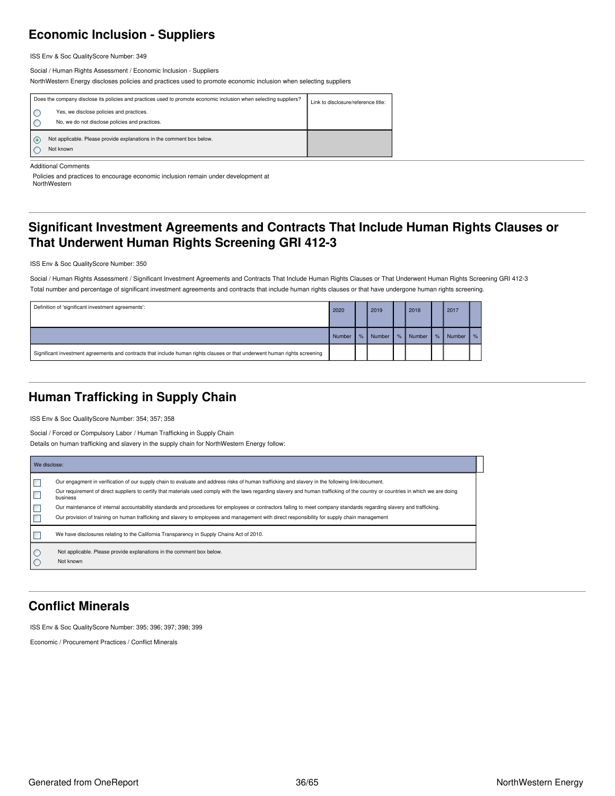## <span id="page-35-0"></span>**Economic Inclusion - Suppliers**

ISS Env & Soc QualityScore Number: 349

Social / Human Rights Assessment / Economic Inclusion - Suppliers NorthWestern Energy discloses policies and practices used to promote economic inclusion when selecting suppliers

| Does the company disclose its policies and practices used to promote economic inclusion when selecting suppliers?<br>Yes, we disclose policies and practices.<br>No, we do not disclose policies and practices. | Link to disclosure/reference title: |
|-----------------------------------------------------------------------------------------------------------------------------------------------------------------------------------------------------------------|-------------------------------------|
| Not applicable. Please provide explanations in the comment box below.<br>Not known                                                                                                                              |                                     |

Additional Comments

Policies and practices to encourage economic inclusion remain under development at NorthWestern

## <span id="page-35-1"></span>**Significant Investment Agreements and Contracts That Include Human Rights Clauses or That Underwent Human Rights Screening GRI 412-3**

ISS Env & Soc QualityScore Number: 350

Social / Human Rights Assessment / Significant Investment Agreements and Contracts That Include Human Rights Clauses or That Underwent Human Rights Screening GRI 412-3 Total number and percentage of significant investment agreements and contracts that include human rights clauses or that have undergone human rights screening.

| Definition of 'significant investment agreements':                                                                         | 2020   |   | 2019   |        | 2018   |      | 2017   |               |
|----------------------------------------------------------------------------------------------------------------------------|--------|---|--------|--------|--------|------|--------|---------------|
|                                                                                                                            | Number | % | Number | $\%$ . | Number | $\%$ | Number | $\frac{9}{6}$ |
| Significant investment agreements and contracts that include human rights clauses or that underwent human rights screening |        |   |        |        |        |      |        |               |

## <span id="page-35-2"></span>**Human Trafficking in Supply Chain**

ISS Env & Soc QualityScore Number: 354; 357; 358

Social / Forced or Compulsory Labor / Human Trafficking in Supply Chain

Details on human trafficking and slavery in the supply chain for NorthWestern Energy follow:

|            | We disclose:                                                                                                                                                                                                                                                                                                                                                                                                                                                                                                                                                                                                                                                                |  |  |  |  |  |
|------------|-----------------------------------------------------------------------------------------------------------------------------------------------------------------------------------------------------------------------------------------------------------------------------------------------------------------------------------------------------------------------------------------------------------------------------------------------------------------------------------------------------------------------------------------------------------------------------------------------------------------------------------------------------------------------------|--|--|--|--|--|
|            | Our engagment in verification of our supply chain to evaluate and address risks of human trafficking and slavery in the following link/document.<br>Our requirement of direct suppliers to certify that materials used comply with the laws regarding slavery and human trafficking of the country or countries in which we are doing<br>business<br>Our maintenance of internal accountability standards and procedures for employees or contractors failing to meet company standards regarding slavery and trafficking.<br>Our provision of training on human trafficking and slavery to employees and management with direct responsibility for supply chain management |  |  |  |  |  |
|            | We have disclosures relating to the California Transparency in Supply Chains Act of 2010.                                                                                                                                                                                                                                                                                                                                                                                                                                                                                                                                                                                   |  |  |  |  |  |
| I O<br>I C | Not applicable. Please provide explanations in the comment box below.<br>Not known                                                                                                                                                                                                                                                                                                                                                                                                                                                                                                                                                                                          |  |  |  |  |  |

## <span id="page-35-3"></span>**Conflict Minerals**

ISS Env & Soc QualityScore Number: 395; 396; 397; 398; 399

Economic / Procurement Practices / Conflict Minerals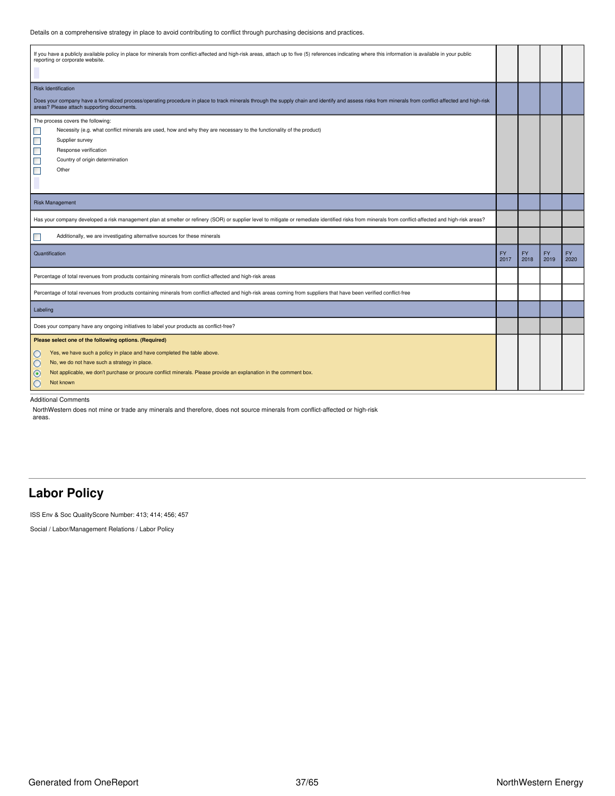Details on a comprehensive strategy in place to avoid contributing to conflict through purchasing decisions and practices.

| If you have a publicly available policy in place for minerals from conflict-affected and high-risk areas, attach up to five (5) references indicating where this information is available in your public<br>reporting or corporate website.        |  |                   |                   |                   |
|----------------------------------------------------------------------------------------------------------------------------------------------------------------------------------------------------------------------------------------------------|--|-------------------|-------------------|-------------------|
| <b>Risk Identification</b>                                                                                                                                                                                                                         |  |                   |                   |                   |
| Does your company have a formalized process/operating procedure in place to track minerals through the supply chain and identify and assess risks from minerals from conflict-affected and high-risk<br>areas? Please attach supporting documents. |  |                   |                   |                   |
| The process covers the following:                                                                                                                                                                                                                  |  |                   |                   |                   |
| $\mathcal{L}_{\mathcal{A}}$<br>Necessity (e.g. what conflict minerals are used, how and why they are necessary to the functionality of the product)                                                                                                |  |                   |                   |                   |
| $\Box$<br>Supplier survey                                                                                                                                                                                                                          |  |                   |                   |                   |
| $\Box$<br>Response verification                                                                                                                                                                                                                    |  |                   |                   |                   |
| Country of origin determination                                                                                                                                                                                                                    |  |                   |                   |                   |
| $\Box$<br>Other                                                                                                                                                                                                                                    |  |                   |                   |                   |
|                                                                                                                                                                                                                                                    |  |                   |                   |                   |
| <b>Risk Management</b>                                                                                                                                                                                                                             |  |                   |                   |                   |
| Has your company developed a risk management plan at smelter or refinery (SOR) or supplier level to mitigate or remediate identified risks from minerals from conflict-affected and high-risk areas?                                               |  |                   |                   |                   |
| Additionally, we are investigating alternative sources for these minerals<br>п                                                                                                                                                                     |  |                   |                   |                   |
| Quantification<br>2017                                                                                                                                                                                                                             |  | <b>FY</b><br>2018 | <b>FY</b><br>2019 | <b>FY</b><br>2020 |
| Percentage of total revenues from products containing minerals from conflict-affected and high-risk areas                                                                                                                                          |  |                   |                   |                   |
| Percentage of total revenues from products containing minerals from conflict-affected and high-risk areas coming from suppliers that have been verified conflict-free                                                                              |  |                   |                   |                   |
| Labeling                                                                                                                                                                                                                                           |  |                   |                   |                   |
| Does your company have any ongoing initiatives to label your products as conflict-free?                                                                                                                                                            |  |                   |                   |                   |
| Please select one of the following options. (Required)                                                                                                                                                                                             |  |                   |                   |                   |
| Yes, we have such a policy in place and have completed the table above.<br>O                                                                                                                                                                       |  |                   |                   |                   |
| No, we do not have such a strategy in place.<br>$\circ$                                                                                                                                                                                            |  |                   |                   |                   |
| Not applicable, we don't purchase or procure conflict minerals. Please provide an explanation in the comment box.<br>$\odot$                                                                                                                       |  |                   |                   |                   |
| $\circ$<br>Not known                                                                                                                                                                                                                               |  |                   |                   |                   |

Additional Comments

NorthWestern does not mine or trade any minerals and therefore, does not source minerals from conflict-affected or high-risk areas.

### <span id="page-36-0"></span>**Labor Policy**

ISS Env & Soc QualityScore Number: 413; 414; 456; 457

Social / Labor/Management Relations / Labor Policy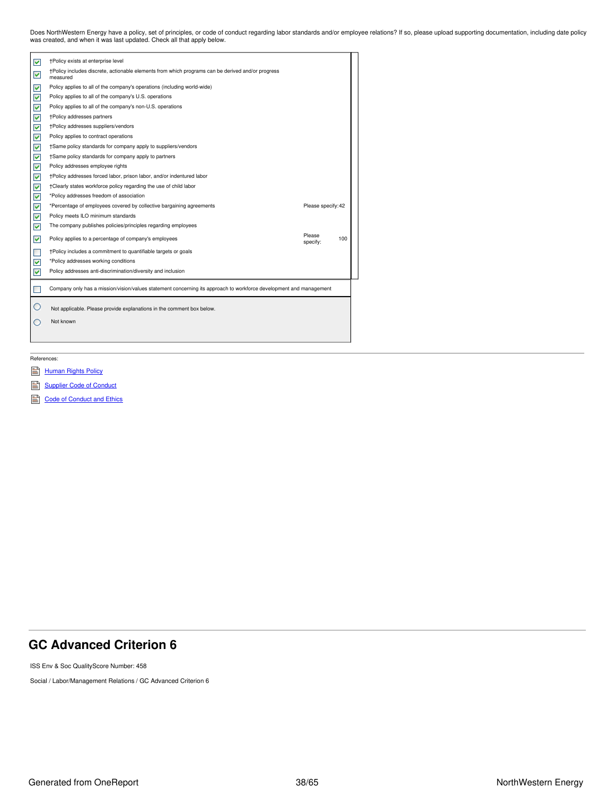Does NorthWestern Energy have a policy, set of principles, or code of conduct regarding labor standards and/or employee relations? If so, please upload supporting documentation, including date policy<br>was created, and when

| ▽              | †Policy exists at enterprise level                                                                                 |                    |     |
|----------------|--------------------------------------------------------------------------------------------------------------------|--------------------|-----|
| ⊽              | †Policy includes discrete, actionable elements from which programs can be derived and/or progress<br>measured      |                    |     |
| ⊽              | Policy applies to all of the company's operations (including world-wide)                                           |                    |     |
| ⊻              | Policy applies to all of the company's U.S. operations                                                             |                    |     |
| ⊻              | Policy applies to all of the company's non-U.S. operations                                                         |                    |     |
| ⊻              | <b>+Policy addresses partners</b>                                                                                  |                    |     |
| ⊻              | †Policy addresses suppliers/vendors                                                                                |                    |     |
| ✔              | Policy applies to contract operations                                                                              |                    |     |
| ✔              | †Same policy standards for company apply to suppliers/vendors                                                      |                    |     |
| ✔              | †Same policy standards for company apply to partners                                                               |                    |     |
| ✔              | Policy addresses employee rights                                                                                   |                    |     |
| V              | †Policy addresses forced labor, prison labor, and/or indentured labor                                              |                    |     |
| ✔              | †Clearly states workforce policy regarding the use of child labor                                                  |                    |     |
| ⊻              | *Policy addresses freedom of association                                                                           |                    |     |
| ✔              | *Percentage of employees covered by collective bargaining agreements                                               | Please specify: 42 |     |
| ⊻              | Policy meets ILO minimum standards                                                                                 |                    |     |
| ▽              | The company publishes policies/principles regarding employees                                                      |                    |     |
| ⊽              | Policy applies to a percentage of company's employees                                                              | Please<br>specify: | 100 |
| $\blacksquare$ | +Policy includes a commitment to quantifiable targets or goals                                                     |                    |     |
| ⊻              | *Policy addresses working conditions                                                                               |                    |     |
| ⊽              | Policy addresses anti-discrimination/diversity and inclusion                                                       |                    |     |
|                | Company only has a mission/vision/values statement concerning its approach to workforce development and management |                    |     |
|                | Not applicable. Please provide explanations in the comment box below.                                              |                    |     |
|                | Not known                                                                                                          |                    |     |
|                |                                                                                                                    |                    |     |
|                |                                                                                                                    |                    |     |
|                |                                                                                                                    |                    |     |

References:

- **[Human](https://www.northwesternenergy.com/docs/default-source/documents/corporategovernance/human-rights-policy.pdf) Rights Policy**
- [Supplier](https://www.northwesternenergy.com/docs/default-source/documents/corporategovernance/suppliercodeofconduct_10-2020.pdf) Code of Conduct
- Code of [Conduct](https://www.northwesternenergy.com/docs/default-source/documents/corporategovernance/nwe_2021_code_lowres.pdf) and Ethics

## <span id="page-37-0"></span>**GC Advanced Criterion 6**

ISS Env & Soc QualityScore Number: 458

Social / Labor/Management Relations / GC Advanced Criterion 6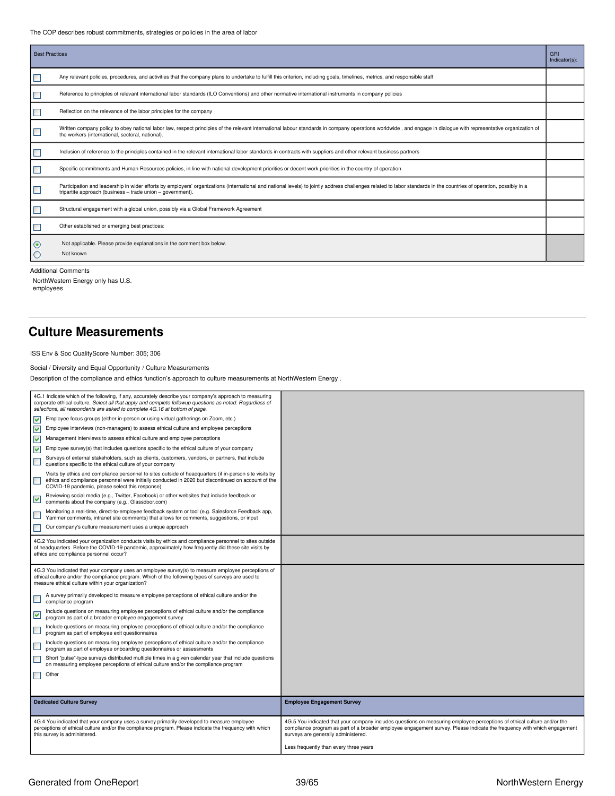The COP describes robust commitments, strategies or policies in the area of labor

| <b>Best Practices</b> |                                                                                                                                                                                                                                                                                   | GRI<br>Indicator(s): |
|-----------------------|-----------------------------------------------------------------------------------------------------------------------------------------------------------------------------------------------------------------------------------------------------------------------------------|----------------------|
|                       | Any relevant policies, procedures, and activities that the company plans to undertake to fulfill this criterion, including goals, timelines, metrics, and responsible staff                                                                                                       |                      |
| П                     | Reference to principles of relevant international labor standards (ILO Conventions) and other normative international instruments in company policies                                                                                                                             |                      |
|                       | Reflection on the relevance of the labor principles for the company                                                                                                                                                                                                               |                      |
| $\Box$                | Written company policy to obey national labor law, respect principles of the relevant international labour standards in company operations worldwide, and engage in dialogue with representative organization of<br>the workers (international, sectoral, national).              |                      |
| L                     | Inclusion of reference to the principles contained in the relevant international labor standards in contracts with suppliers and other relevant business partners                                                                                                                 |                      |
| $\Box$                | Specific commitments and Human Resources policies, in line with national development priorities or decent work priorities in the country of operation                                                                                                                             |                      |
|                       | Participation and leadership in wider efforts by employers' organizations (international and national levels) to jointly address challenges related to labor standards in the countries of operation, possibly in a<br>tripartite approach (business - trade union - government). |                      |
| Е                     | Structural engagement with a global union, possibly via a Global Framework Agreement                                                                                                                                                                                              |                      |
| □                     | Other established or emerging best practices:                                                                                                                                                                                                                                     |                      |
| ◉<br>O                | Not applicable. Please provide explanations in the comment box below.<br>Not known                                                                                                                                                                                                |                      |

Additional Comments

NorthWestern Energy only has U.S. employees

## <span id="page-38-0"></span>**Culture Measurements**

ISS Env & Soc QualityScore Number: 305; 306

Social / Diversity and Equal Opportunity / Culture Measurements

Description of the compliance and ethics function's approach to culture measurements at NorthWestern Energy .

| 4G.1 Indicate which of the following, if any, accurately describe your company's approach to measuring<br>corporate ethical culture. Select all that apply and complete followup questions as noted. Regardless of<br>selections, all respondents are asked to complete 4G.16 at bottom of page. |                                                                                                                                                                                                                                                                                           |
|--------------------------------------------------------------------------------------------------------------------------------------------------------------------------------------------------------------------------------------------------------------------------------------------------|-------------------------------------------------------------------------------------------------------------------------------------------------------------------------------------------------------------------------------------------------------------------------------------------|
| Employee focus groups (either in-person or using virtual gatherings on Zoom, etc.)<br>$\blacktriangledown$                                                                                                                                                                                       |                                                                                                                                                                                                                                                                                           |
| $\blacktriangledown$<br>Employee interviews (non-managers) to assess ethical culture and employee perceptions                                                                                                                                                                                    |                                                                                                                                                                                                                                                                                           |
| ⊽<br>Management interviews to assess ethical culture and employee perceptions                                                                                                                                                                                                                    |                                                                                                                                                                                                                                                                                           |
| Employee survey(s) that includes questions specific to the ethical culture of your company<br>$\blacktriangledown$                                                                                                                                                                               |                                                                                                                                                                                                                                                                                           |
| Surveys of external stakeholders, such as clients, customers, vendors, or partners, that include<br>$\Box$<br>questions specific to the ethical culture of your company                                                                                                                          |                                                                                                                                                                                                                                                                                           |
| Visits by ethics and compliance personnel to sites outside of headquarters (if in-person site visits by<br><b>Tale</b><br>ethics and compliance personnel were initially conducted in 2020 but discontinued on account of the<br>COVID-19 pandemic, please select this response)                 |                                                                                                                                                                                                                                                                                           |
| Reviewing social media (e.g., Twitter, Facebook) or other websites that include feedback or<br>$\blacktriangledown$<br>comments about the company (e.g., Glassdoor.com)                                                                                                                          |                                                                                                                                                                                                                                                                                           |
| Monitoring a real-time, direct-to-employee feedback system or tool (e.g. Salesforce Feedback app,<br>Yammer comments, intranet site comments) that allows for comments, suggestions, or input                                                                                                    |                                                                                                                                                                                                                                                                                           |
| Our company's culture measurement uses a unique approach                                                                                                                                                                                                                                         |                                                                                                                                                                                                                                                                                           |
| 4G.2 You indicated your organization conducts visits by ethics and compliance personnel to sites outside<br>of headquarters. Before the COVID-19 pandemic, approximately how frequently did these site visits by<br>ethics and compliance personnel occur?                                       |                                                                                                                                                                                                                                                                                           |
| 4G.3 You indicated that your company uses an employee survey(s) to measure employee perceptions of<br>ethical culture and/or the compliance program. Which of the following types of surveys are used to<br>measure ethical culture within your organization?                                    |                                                                                                                                                                                                                                                                                           |
| A survey primarily developed to measure employee perceptions of ethical culture and/or the<br>compliance program                                                                                                                                                                                 |                                                                                                                                                                                                                                                                                           |
| Include questions on measuring employee perceptions of ethical culture and/or the compliance<br>$\blacktriangledown$<br>program as part of a broader employee engagement survey                                                                                                                  |                                                                                                                                                                                                                                                                                           |
| Include questions on measuring employee perceptions of ethical culture and/or the compliance<br>Г<br>program as part of employee exit questionnaires                                                                                                                                             |                                                                                                                                                                                                                                                                                           |
| Include questions on measuring employee perceptions of ethical culture and/or the compliance<br>Г<br>program as part of employee onboarding questionnaires or assessments                                                                                                                        |                                                                                                                                                                                                                                                                                           |
| Short "pulse"-type surveys distributed multiple times in a given calendar year that include questions<br>$\overline{\phantom{a}}$<br>on measuring employee perceptions of ethical culture and/or the compliance program                                                                          |                                                                                                                                                                                                                                                                                           |
| Other<br>П                                                                                                                                                                                                                                                                                       |                                                                                                                                                                                                                                                                                           |
|                                                                                                                                                                                                                                                                                                  |                                                                                                                                                                                                                                                                                           |
| <b>Dedicated Culture Survey</b>                                                                                                                                                                                                                                                                  | <b>Employee Engagement Survey</b>                                                                                                                                                                                                                                                         |
|                                                                                                                                                                                                                                                                                                  |                                                                                                                                                                                                                                                                                           |
| 4G.4 You indicated that your company uses a survey primarily developed to measure employee<br>perceptions of ethical culture and/or the compliance program. Please indicate the frequency with which<br>this survey is administered.                                                             | 4G.5 You indicated that your company includes questions on measuring employee perceptions of ethical culture and/or the<br>compliance program as part of a broader employee engagement survey. Please indicate the frequency with which engagement<br>surveys are generally administered. |
|                                                                                                                                                                                                                                                                                                  | Less frequently than every three years                                                                                                                                                                                                                                                    |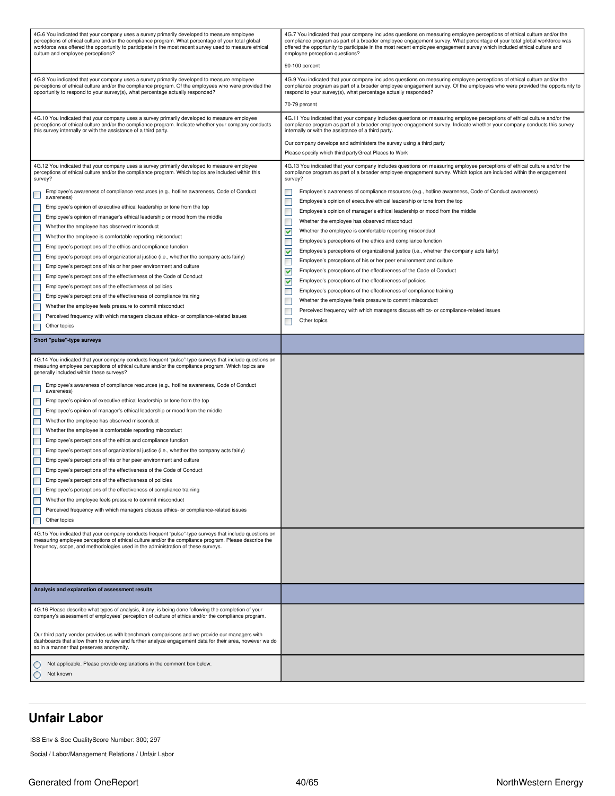| 4G.6 You indicated that your company uses a survey primarily developed to measure employee<br>perceptions of ethical culture and/or the compliance program. What percentage of your total global<br>workforce was offered the opportunity to participate in the most recent survey used to measure ethical<br>culture and employee perceptions? | 4G.7 You indicated that your company includes questions on measuring employee perceptions of ethical culture and/or the<br>compliance program as part of a broader employee engagement survey. What percentage of your total global workforce was<br>offered the opportunity to participate in the most recent employee engagement survey which included ethical culture and<br>employee perception questions? |  |  |  |  |  |
|-------------------------------------------------------------------------------------------------------------------------------------------------------------------------------------------------------------------------------------------------------------------------------------------------------------------------------------------------|----------------------------------------------------------------------------------------------------------------------------------------------------------------------------------------------------------------------------------------------------------------------------------------------------------------------------------------------------------------------------------------------------------------|--|--|--|--|--|
|                                                                                                                                                                                                                                                                                                                                                 | 90-100 percent                                                                                                                                                                                                                                                                                                                                                                                                 |  |  |  |  |  |
| 4G.8 You indicated that your company uses a survey primarily developed to measure employee<br>perceptions of ethical culture and/or the compliance program. Of the employees who were provided the<br>opportunity to respond to your survey(s), what percentage actually responded?                                                             | 4G.9 You indicated that your company includes questions on measuring employee perceptions of ethical culture and/or the<br>compliance program as part of a broader employee engagement survey. Of the employees who were provided the opportunity to<br>respond to your survey(s), what percentage actually responded?                                                                                         |  |  |  |  |  |
|                                                                                                                                                                                                                                                                                                                                                 | 70-79 percent                                                                                                                                                                                                                                                                                                                                                                                                  |  |  |  |  |  |
| 4G.10 You indicated that your company uses a survey primarily developed to measure employee<br>perceptions of ethical culture and/or the compliance program. Indicate whether your company conducts<br>this survey internally or with the assistance of a third party.                                                                          | 4G.11 You indicated that your company includes questions on measuring employee perceptions of ethical culture and/or the<br>compliance program as part of a broader employee engagement survey. Indicate whether your company conducts this survey<br>internally or with the assistance of a third party.                                                                                                      |  |  |  |  |  |
|                                                                                                                                                                                                                                                                                                                                                 | Our company develops and administers the survey using a third party<br>Please specify which third party Great Places to Work                                                                                                                                                                                                                                                                                   |  |  |  |  |  |
| 4G.12 You indicated that your company uses a survey primarily developed to measure employee<br>perceptions of ethical culture and/or the compliance program. Which topics are included within this<br>survey?                                                                                                                                   | 4G.13 You indicated that your company includes questions on measuring employee perceptions of ethical culture and/or the<br>compliance program as part of a broader employee engagement survey. Which topics are included within the engagement<br>survey?                                                                                                                                                     |  |  |  |  |  |
| Employee's awareness of compliance resources (e.g., hotline awareness, Code of Conduct<br>ш<br>awareness)                                                                                                                                                                                                                                       | Employee's awareness of compliance resources (e.g., hotline awareness, Code of Conduct awareness)                                                                                                                                                                                                                                                                                                              |  |  |  |  |  |
| Employee's opinion of executive ethical leadership or tone from the top<br>$\overline{\phantom{a}}$                                                                                                                                                                                                                                             | Employee's opinion of executive ethical leadership or tone from the top                                                                                                                                                                                                                                                                                                                                        |  |  |  |  |  |
| Employee's opinion of manager's ethical leadership or mood from the middle<br>$\overline{\phantom{a}}$                                                                                                                                                                                                                                          | Employee's opinion of manager's ethical leadership or mood from the middle<br>П                                                                                                                                                                                                                                                                                                                                |  |  |  |  |  |
| E<br>Whether the employee has observed misconduct                                                                                                                                                                                                                                                                                               | Whether the employee has observed misconduct                                                                                                                                                                                                                                                                                                                                                                   |  |  |  |  |  |
| $\overline{\phantom{a}}$<br>Whether the employee is comfortable reporting misconduct                                                                                                                                                                                                                                                            | ⊽<br>Whether the employee is comfortable reporting misconduct                                                                                                                                                                                                                                                                                                                                                  |  |  |  |  |  |
| Employee's perceptions of the ethics and compliance function<br>$\overline{\phantom{a}}$                                                                                                                                                                                                                                                        | Employee's perceptions of the ethics and compliance function                                                                                                                                                                                                                                                                                                                                                   |  |  |  |  |  |
| П<br>Employee's perceptions of organizational justice (i.e., whether the company acts fairly)                                                                                                                                                                                                                                                   | ▽<br>Employee's perceptions of organizational justice (i.e., whether the company acts fairly)                                                                                                                                                                                                                                                                                                                  |  |  |  |  |  |
| T.<br>Employee's perceptions of his or her peer environment and culture                                                                                                                                                                                                                                                                         | Employee's perceptions of his or her peer environment and culture                                                                                                                                                                                                                                                                                                                                              |  |  |  |  |  |
| Employee's perceptions of the effectiveness of the Code of Conduct<br>$\overline{\phantom{a}}$                                                                                                                                                                                                                                                  | Employee's perceptions of the effectiveness of the Code of Conduct<br>⊽                                                                                                                                                                                                                                                                                                                                        |  |  |  |  |  |
| П<br>Employee's perceptions of the effectiveness of policies                                                                                                                                                                                                                                                                                    | Employee's perceptions of the effectiveness of policies<br>▽                                                                                                                                                                                                                                                                                                                                                   |  |  |  |  |  |
| $\Box$<br>Employee's perceptions of the effectiveness of compliance training                                                                                                                                                                                                                                                                    | Employee's perceptions of the effectiveness of compliance training                                                                                                                                                                                                                                                                                                                                             |  |  |  |  |  |
| Whether the employee feels pressure to commit misconduct<br>П                                                                                                                                                                                                                                                                                   | Whether the employee feels pressure to commit misconduct                                                                                                                                                                                                                                                                                                                                                       |  |  |  |  |  |
| Perceived frequency with which managers discuss ethics- or compliance-related issues<br>н                                                                                                                                                                                                                                                       | Perceived frequency with which managers discuss ethics- or compliance-related issues<br>Other topics                                                                                                                                                                                                                                                                                                           |  |  |  |  |  |
| Other topics                                                                                                                                                                                                                                                                                                                                    |                                                                                                                                                                                                                                                                                                                                                                                                                |  |  |  |  |  |
| Short "pulse"-type surveys                                                                                                                                                                                                                                                                                                                      |                                                                                                                                                                                                                                                                                                                                                                                                                |  |  |  |  |  |
| 4G.14 You indicated that your company conducts frequent "pulse"-type surveys that include questions on<br>measuring employee perceptions of ethical culture and/or the compliance program. Which topics are<br>generally included within these surveys?                                                                                         |                                                                                                                                                                                                                                                                                                                                                                                                                |  |  |  |  |  |
| Employee's awareness of compliance resources (e.g., hotline awareness, Code of Conduct<br>$\mathbb{R}^n$<br>awareness)                                                                                                                                                                                                                          |                                                                                                                                                                                                                                                                                                                                                                                                                |  |  |  |  |  |
| Employee's opinion of executive ethical leadership or tone from the top                                                                                                                                                                                                                                                                         |                                                                                                                                                                                                                                                                                                                                                                                                                |  |  |  |  |  |
| $\Box$<br>Employee's opinion of manager's ethical leadership or mood from the middle                                                                                                                                                                                                                                                            |                                                                                                                                                                                                                                                                                                                                                                                                                |  |  |  |  |  |
| $\overline{\phantom{a}}$<br>Whether the employee has observed misconduct                                                                                                                                                                                                                                                                        |                                                                                                                                                                                                                                                                                                                                                                                                                |  |  |  |  |  |
| П<br>Whether the employee is comfortable reporting misconduct                                                                                                                                                                                                                                                                                   |                                                                                                                                                                                                                                                                                                                                                                                                                |  |  |  |  |  |
| $\overline{\phantom{a}}$<br>Employee's perceptions of the ethics and compliance function                                                                                                                                                                                                                                                        |                                                                                                                                                                                                                                                                                                                                                                                                                |  |  |  |  |  |
| Employee's perceptions of organizational justice (i.e., whether the company acts fairly)                                                                                                                                                                                                                                                        |                                                                                                                                                                                                                                                                                                                                                                                                                |  |  |  |  |  |
| Employee's perceptions of his or her peer environment and culture<br>$\overline{\phantom{a}}$                                                                                                                                                                                                                                                   |                                                                                                                                                                                                                                                                                                                                                                                                                |  |  |  |  |  |
| Employee's perceptions of the effectiveness of the Code of Conduct                                                                                                                                                                                                                                                                              |                                                                                                                                                                                                                                                                                                                                                                                                                |  |  |  |  |  |
| Employee's perceptions of the effectiveness of policies                                                                                                                                                                                                                                                                                         |                                                                                                                                                                                                                                                                                                                                                                                                                |  |  |  |  |  |
| $\overline{\phantom{a}}$<br>Employee's perceptions of the effectiveness of compliance training                                                                                                                                                                                                                                                  |                                                                                                                                                                                                                                                                                                                                                                                                                |  |  |  |  |  |
| Whether the employee feels pressure to commit misconduct<br>T.<br>Perceived frequency with which managers discuss ethics- or compliance-related issues                                                                                                                                                                                          |                                                                                                                                                                                                                                                                                                                                                                                                                |  |  |  |  |  |
| $\overline{\phantom{a}}$<br>Other topics                                                                                                                                                                                                                                                                                                        |                                                                                                                                                                                                                                                                                                                                                                                                                |  |  |  |  |  |
| $\Box$                                                                                                                                                                                                                                                                                                                                          |                                                                                                                                                                                                                                                                                                                                                                                                                |  |  |  |  |  |
| 4G.15 You indicated that your company conducts frequent "pulse"-type surveys that include questions on<br>measuring employee perceptions of ethical culture and/or the compliance program. Please describe the<br>frequency, scope, and methodologies used in the administration of these surveys.                                              |                                                                                                                                                                                                                                                                                                                                                                                                                |  |  |  |  |  |
|                                                                                                                                                                                                                                                                                                                                                 |                                                                                                                                                                                                                                                                                                                                                                                                                |  |  |  |  |  |
| Analysis and explanation of assessment results                                                                                                                                                                                                                                                                                                  |                                                                                                                                                                                                                                                                                                                                                                                                                |  |  |  |  |  |
| 4G.16 Please describe what types of analysis, if any, is being done following the completion of your                                                                                                                                                                                                                                            |                                                                                                                                                                                                                                                                                                                                                                                                                |  |  |  |  |  |
| company's assessment of employees' perception of culture of ethics and/or the compliance program.                                                                                                                                                                                                                                               |                                                                                                                                                                                                                                                                                                                                                                                                                |  |  |  |  |  |
| Our third party vendor provides us with benchmark comparisons and we provide our managers with                                                                                                                                                                                                                                                  |                                                                                                                                                                                                                                                                                                                                                                                                                |  |  |  |  |  |
| dashboards that allow them to review and further analyze engagement data for their area, however we do<br>so in a manner that preserves anonymity.                                                                                                                                                                                              |                                                                                                                                                                                                                                                                                                                                                                                                                |  |  |  |  |  |
| Not applicable. Please provide explanations in the comment box below.<br>U<br>Not known                                                                                                                                                                                                                                                         |                                                                                                                                                                                                                                                                                                                                                                                                                |  |  |  |  |  |

## <span id="page-39-0"></span>**Unfair Labor**

ISS Env & Soc QualityScore Number: 300; 297

Social / Labor/Management Relations / Unfair Labor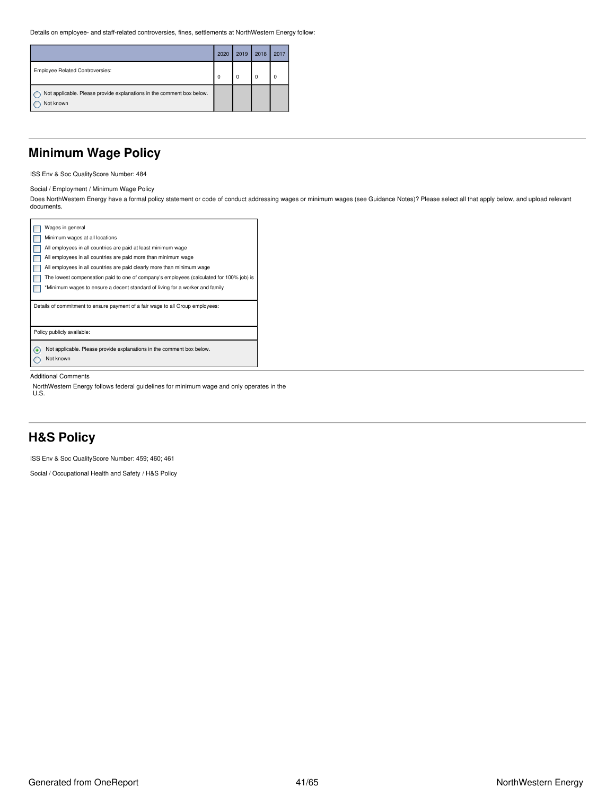Details on employee- and staff-related controversies, fines, settlements at NorthWestern Energy follow:

|                                                                                    | 2020     | 2019 | 2018     | 2017 |
|------------------------------------------------------------------------------------|----------|------|----------|------|
| <b>Employee Related Controversies:</b>                                             | $\Omega$ | 0    | $\Omega$ |      |
| Not applicable. Please provide explanations in the comment box below.<br>Not known |          |      |          |      |

## <span id="page-40-0"></span>**Minimum Wage Policy**

ISS Env & Soc QualityScore Number: 484

Social / Employment / Minimum Wage Policy

Does NorthWestern Energy have a formal policy statement or code of conduct addressing wages or minimum wages (see Guidance Notes)? Please select all that apply below, and upload relevant documents.

| Wages in general                                                                        |
|-----------------------------------------------------------------------------------------|
| Minimum wages at all locations                                                          |
| All employees in all countries are paid at least minimum wage                           |
| All employees in all countries are paid more than minimum wage                          |
| All employees in all countries are paid clearly more than minimum wage                  |
| The lowest compensation paid to one of company's employees (calculated for 100% job) is |
| *Minimum wages to ensure a decent standard of living for a worker and family            |
|                                                                                         |
| Details of commitment to ensure payment of a fair wage to all Group employees:          |
|                                                                                         |
|                                                                                         |
| Policy publicly available:                                                              |
| Not applicable. Please provide explanations in the comment box below.<br>ſ.             |
| Not known                                                                               |

#### Additional Comments

NorthWestern Energy follows federal guidelines for minimum wage and only operates in the U.S.

## <span id="page-40-1"></span>**H&S Policy**

ISS Env & Soc QualityScore Number: 459; 460; 461

Social / Occupational Health and Safety / H&S Policy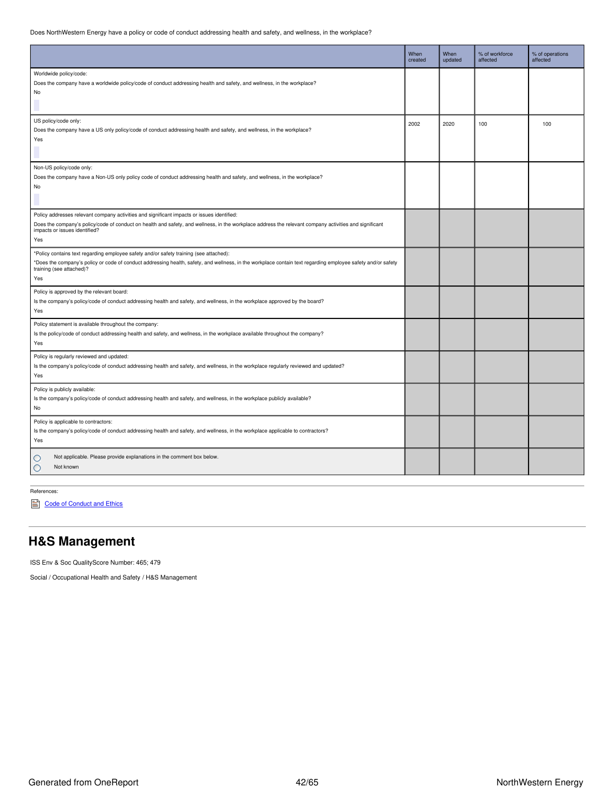Does NorthWestern Energy have a policy or code of conduct addressing health and safety, and wellness, in the workplace?

|                                                                                                                                                                                                                                                                                              | When<br>created | When<br>updated | % of workforce<br>affected | % of operations<br>affected |
|----------------------------------------------------------------------------------------------------------------------------------------------------------------------------------------------------------------------------------------------------------------------------------------------|-----------------|-----------------|----------------------------|-----------------------------|
| Worldwide policy/code:<br>Does the company have a worldwide policy/code of conduct addressing health and safety, and wellness, in the workplace?<br>No                                                                                                                                       |                 |                 |                            |                             |
| US policy/code only:<br>Does the company have a US only policy/code of conduct addressing health and safety, and wellness, in the workplace?<br>Yes                                                                                                                                          | 2002            | 2020            | 100                        | 100                         |
| Non-US policy/code only:<br>Does the company have a Non-US only policy code of conduct addressing health and safety, and wellness, in the workplace?<br>No                                                                                                                                   |                 |                 |                            |                             |
| Policy addresses relevant company activities and significant impacts or issues identified:<br>Does the company's policy/code of conduct on health and safety, and wellness, in the workplace address the relevant company activities and significant<br>impacts or issues identified?<br>Yes |                 |                 |                            |                             |
| *Policy contains text regarding employee safety and/or safety training (see attached):<br>*Does the company's policy or code of conduct addressing health, safety, and wellness, in the workplace contain text regarding employee safety and/or safety<br>training (see attached)?<br>Yes    |                 |                 |                            |                             |
| Policy is approved by the relevant board:<br>Is the company's policy/code of conduct addressing health and safety, and wellness, in the workplace approved by the board?<br>Yes                                                                                                              |                 |                 |                            |                             |
| Policy statement is available throughout the company:<br>Is the policy/code of conduct addressing health and safety, and wellness, in the workplace available throughout the company?<br>Yes                                                                                                 |                 |                 |                            |                             |
| Policy is regularly reviewed and updated:<br>Is the company's policy/code of conduct addressing health and safety, and wellness, in the workplace regularly reviewed and updated?<br>Yes                                                                                                     |                 |                 |                            |                             |
| Policy is publicly available:<br>Is the company's policy/code of conduct addressing health and safety, and wellness, in the workplace publicly available?<br>No                                                                                                                              |                 |                 |                            |                             |
| Policy is applicable to contractors:<br>Is the company's policy/code of conduct addressing health and safety, and wellness, in the workplace applicable to contractors?<br>Yes                                                                                                               |                 |                 |                            |                             |
| Not applicable. Please provide explanations in the comment box below.<br>O<br>Not known<br>$\circ$                                                                                                                                                                                           |                 |                 |                            |                             |

References:

Code of [Conduct](https://www.northwesternenergy.com/docs/default-source/documents/corporategovernance/nwe_2021_code_lowres.pdf) and Ethics

## <span id="page-41-0"></span>**H&S Management**

ISS Env & Soc QualityScore Number: 465; 479

Social / Occupational Health and Safety / H&S Management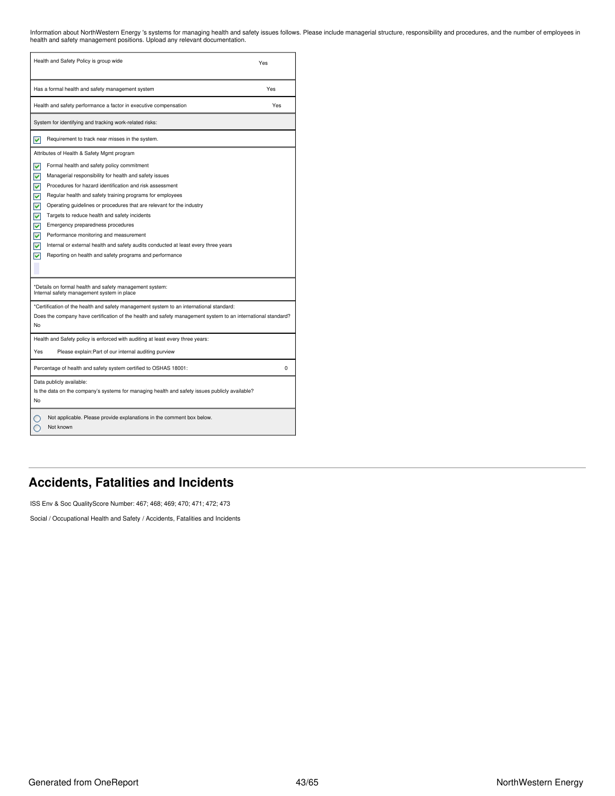Information about NorthWestern Energy 's systems for managing health and safety issues follows. Please include managerial structure, responsibility and procedures, and the number of employees in<br>health and safety managemen

| Health and Safety Policy is group wide                                                                                                                                                                                                                                                                                                                                                                                                                                                                                                                                                                                                                                                  | Yes      |
|-----------------------------------------------------------------------------------------------------------------------------------------------------------------------------------------------------------------------------------------------------------------------------------------------------------------------------------------------------------------------------------------------------------------------------------------------------------------------------------------------------------------------------------------------------------------------------------------------------------------------------------------------------------------------------------------|----------|
| Has a formal health and safety management system                                                                                                                                                                                                                                                                                                                                                                                                                                                                                                                                                                                                                                        | Yes      |
| Health and safety performance a factor in executive compensation                                                                                                                                                                                                                                                                                                                                                                                                                                                                                                                                                                                                                        | Yes      |
| System for identifying and tracking work-related risks:                                                                                                                                                                                                                                                                                                                                                                                                                                                                                                                                                                                                                                 |          |
| M<br>Requirement to track near misses in the system.                                                                                                                                                                                                                                                                                                                                                                                                                                                                                                                                                                                                                                    |          |
| Attributes of Health & Safety Mgmt program<br>Formal health and safety policy commitment<br>⊽<br>M<br>Managerial responsibility for health and safety issues<br>Procedures for hazard identification and risk assessment<br>M<br>⊽<br>Regular health and safety training programs for employees<br>⊽<br>Operating guidelines or procedures that are relevant for the industry<br>⊽<br>Targets to reduce health and safety incidents<br>⊽<br>Emergency preparedness procedures<br>M<br>Performance monitoring and measurement<br>Internal or external health and safety audits conducted at least every three years<br>v<br>Reporting on health and safety programs and performance<br>v |          |
| *Details on formal health and safety management system:<br>Internal safety management system in place                                                                                                                                                                                                                                                                                                                                                                                                                                                                                                                                                                                   |          |
| *Certification of the health and safety management system to an international standard:<br>Does the company have certification of the health and safety management system to an international standard?<br>No                                                                                                                                                                                                                                                                                                                                                                                                                                                                           |          |
| Health and Safety policy is enforced with auditing at least every three years:<br>Yes<br>Please explain: Part of our internal auditing purview                                                                                                                                                                                                                                                                                                                                                                                                                                                                                                                                          |          |
| Percentage of health and safety system certified to OSHAS 18001:                                                                                                                                                                                                                                                                                                                                                                                                                                                                                                                                                                                                                        | $\Omega$ |
| Data publicly available:<br>Is the data on the company's systems for managing health and safety issues publicly available?<br>No                                                                                                                                                                                                                                                                                                                                                                                                                                                                                                                                                        |          |
| Not applicable. Please provide explanations in the comment box below.<br>Not known                                                                                                                                                                                                                                                                                                                                                                                                                                                                                                                                                                                                      |          |

## <span id="page-42-0"></span>**Accidents, Fatalities and Incidents**

ISS Env & Soc QualityScore Number: 467; 468; 469; 470; 471; 472; 473

Social / Occupational Health and Safety / Accidents, Fatalities and Incidents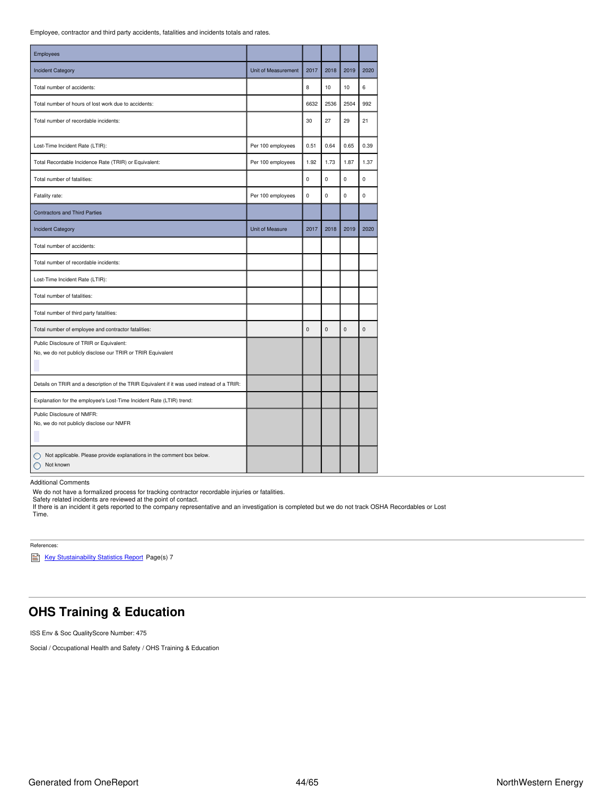Employee, contractor and third party accidents, fatalities and incidents totals and rates.

| Employees                                                                                               |                     |             |             |                |             |
|---------------------------------------------------------------------------------------------------------|---------------------|-------------|-------------|----------------|-------------|
| <b>Incident Category</b>                                                                                | Unit of Measurement | 2017        | 2018        | 2019           | 2020        |
| Total number of accidents:                                                                              |                     | 8           | 10          | 10             | 6           |
| Total number of hours of lost work due to accidents:                                                    |                     | 6632        | 2536        | 2504           | 992         |
| Total number of recordable incidents:                                                                   |                     | 30          | 27          | 29             | 21          |
| Lost-Time Incident Rate (LTIR):                                                                         | Per 100 employees   | 0.51        | 0.64        | 0.65           | 0.39        |
| Total Recordable Incidence Rate (TRIR) or Equivalent:                                                   | Per 100 employees   | 1.92        | 1.73        | 1.87           | 1.37        |
| Total number of fatalities:                                                                             |                     | $\mathbf 0$ | $\mathbf 0$ | $\mathbf 0$    | $\mathbf 0$ |
| Fatality rate:                                                                                          | Per 100 employees   | 0           | 0           | 0              | $\pmb{0}$   |
| <b>Contractors and Third Parties</b>                                                                    |                     |             |             |                |             |
| <b>Incident Category</b>                                                                                | Unit of Measure     | 2017        | 2018        | 2019           | 2020        |
| Total number of accidents:                                                                              |                     |             |             |                |             |
| Total number of recordable incidents:                                                                   |                     |             |             |                |             |
| Lost-Time Incident Rate (LTIR):                                                                         |                     |             |             |                |             |
| Total number of fatalities:                                                                             |                     |             |             |                |             |
| Total number of third party fatalities:                                                                 |                     |             |             |                |             |
| Total number of employee and contractor fatalities:                                                     |                     | $\mathbf 0$ | $\mathbf 0$ | $\overline{0}$ | $\mathbf 0$ |
| Public Disclosure of TRIR or Equivalent:<br>No, we do not publicly disclose our TRIR or TRIR Equivalent |                     |             |             |                |             |
| Details on TRIR and a description of the TRIR Equivalent if it was used instead of a TRIR:              |                     |             |             |                |             |
| Explanation for the employee's Lost-Time Incident Rate (LTIR) trend:                                    |                     |             |             |                |             |
| Public Disclosure of NMFR:<br>No, we do not publicly disclose our NMFR                                  |                     |             |             |                |             |
| Not applicable. Please provide explanations in the comment box below.<br>Not known                      |                     |             |             |                |             |

Additional Comments

We do not have a formalized process for tracking contractor recordable injuries or fatalities.<br>Safety related incidents are reviewed at the point of contact.<br>If there is an incident it gets reported to the company represen Time.

References:

Key [Stustainability](https://www.northwesternenergy.com/docs/default-source/documents/esg/ESG-Sustainability-Statistics-Nov-2020.pdf) Statistics Report Page(s) 7

## <span id="page-43-0"></span>**OHS Training & Education**

ISS Env & Soc QualityScore Number: 475

Social / Occupational Health and Safety / OHS Training & Education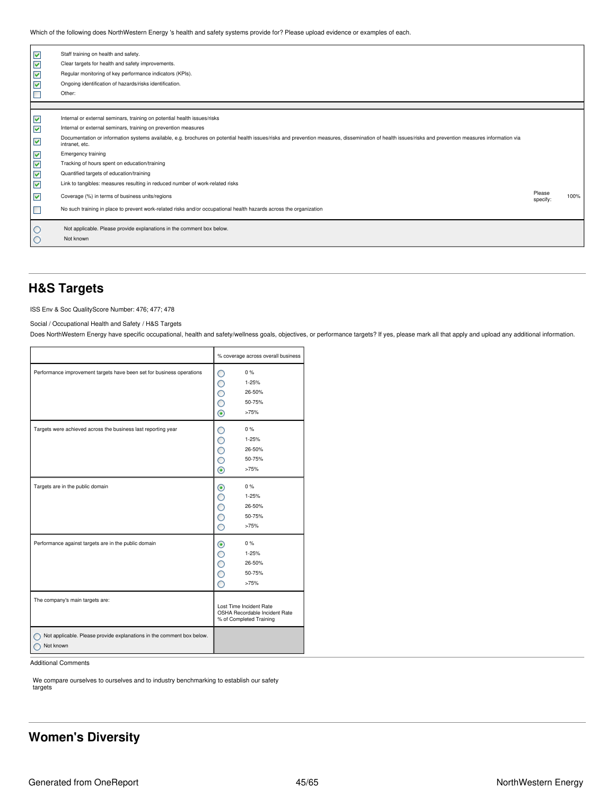Which of the following does NorthWestern Energy 's health and safety systems provide for? Please upload evidence or examples of each.

| V<br>V<br>V<br>V     | Staff training on health and safety.<br>Clear targets for health and safety improvements.<br>Regular monitoring of key performance indicators (KPIs).<br>Ongoing identification of hazards/risks identification.<br>Other: |                    |      |
|----------------------|----------------------------------------------------------------------------------------------------------------------------------------------------------------------------------------------------------------------------|--------------------|------|
|                      |                                                                                                                                                                                                                            |                    |      |
| ▽                    | Internal or external seminars, training on potential health issues/risks                                                                                                                                                   |                    |      |
| $\blacktriangledown$ | Internal or external seminars, training on prevention measures                                                                                                                                                             |                    |      |
| V                    | Documentation or information systems available, e.g. brochures on potential health issues/risks and prevention measures, dissemination of health issues/risks and prevention measures information via<br>intranet, etc.    |                    |      |
| ▽                    | <b>Emergency training</b>                                                                                                                                                                                                  |                    |      |
| V                    | Tracking of hours spent on education/training                                                                                                                                                                              |                    |      |
| V                    | Quantified targets of education/training                                                                                                                                                                                   |                    |      |
| $\blacktriangledown$ | Link to tangibles: measures resulting in reduced number of work-related risks                                                                                                                                              |                    |      |
| ⊻                    | Coverage (%) in terms of business units/regions                                                                                                                                                                            | Please<br>specify: | 100% |
|                      | No such training in place to prevent work-related risks and/or occupational health hazards across the organization                                                                                                         |                    |      |
|                      | Not applicable. Please provide explanations in the comment box below.                                                                                                                                                      |                    |      |
| C                    | Not known                                                                                                                                                                                                                  |                    |      |
|                      |                                                                                                                                                                                                                            |                    |      |

### <span id="page-44-0"></span>**H&S Targets**

ISS Env & Soc QualityScore Number: 476; 477; 478

Social / Occupational Health and Safety / H&S Targets

Does NorthWestern Energy have specific occupational, health and safety/wellness goals, objectives, or performance targets? If yes, please mark all that apply and upload any additional information.

|                                                                                    | % coverage across overall business                                                                |
|------------------------------------------------------------------------------------|---------------------------------------------------------------------------------------------------|
| Performance improvement targets have been set for business operations              | 0%<br>O<br>1-25%<br>O<br>26-50%<br>$\hat{\mathbf{C}}$<br>50-75%<br>$\circledcirc$<br>>75%         |
| Targets were achieved across the business last reporting year                      | $0\%$<br>∩<br>$\overline{O}$<br>$1 - 25%$<br>Ó<br>26-50%<br>Ō<br>50-75%<br>$\circledcirc$<br>>75% |
| Targets are in the public domain                                                   | $0\%$<br>◉<br>C<br>$1 - 25%$<br>26-50%<br>С<br>$\hat{\mathbf{C}}$<br>50-75%<br>О<br>>75%          |
| Performance against targets are in the public domain                               | 0%<br>◉<br>C<br>1-25%<br>С<br>26-50%<br>Ò<br>50-75%<br>Ō<br>>75%                                  |
| The company's main targets are:                                                    | Lost Time Incident Rate<br>OSHA Recordable Incident Rate<br>% of Completed Training               |
| Not applicable. Please provide explanations in the comment box below.<br>Not known |                                                                                                   |

Additional Comments

We compare ourselves to ourselves and to industry benchmarking to establish our safety targets

## <span id="page-44-1"></span>**Women's Diversity**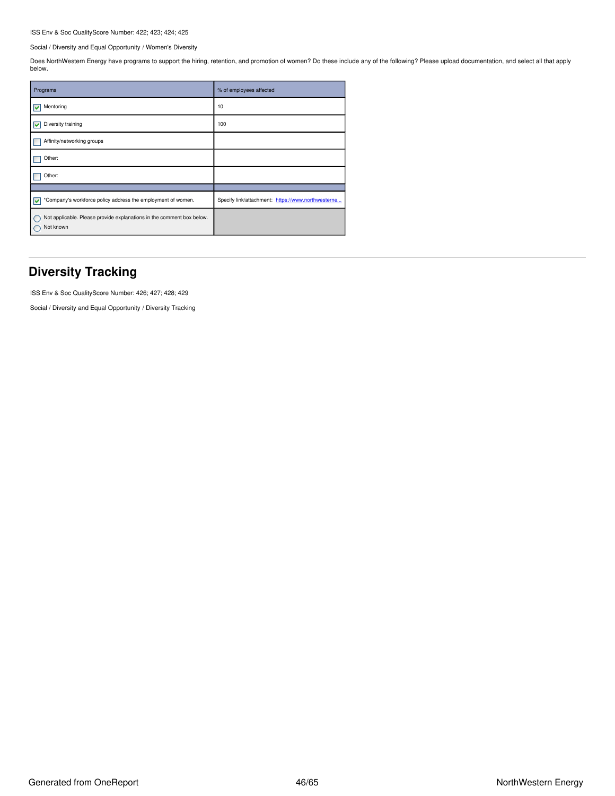### ISS Env & Soc QualityScore Number: 422; 423; 424; 425

Social / Diversity and Equal Opportunity / Women's Diversity

Does NorthWestern Energy have programs to support the hiring, retention, and promotion of women? Do these include any of the following? Please upload documentation, and select all that apply below.

| Programs                                                                           | % of employees affected                            |
|------------------------------------------------------------------------------------|----------------------------------------------------|
| Mentoring<br>M                                                                     | 10                                                 |
| Diversity training<br>M                                                            | 100                                                |
| Affinity/networking groups                                                         |                                                    |
| Other:                                                                             |                                                    |
| Other:                                                                             |                                                    |
|                                                                                    |                                                    |
| *Company's workforce policy address the employment of women.<br>M                  | Specify link/attachment: https://www.northwesterne |
| Not applicable. Please provide explanations in the comment box below.<br>Not known |                                                    |

### <span id="page-45-0"></span>**Diversity Tracking**

ISS Env & Soc QualityScore Number: 426; 427; 428; 429

Social / Diversity and Equal Opportunity / Diversity Tracking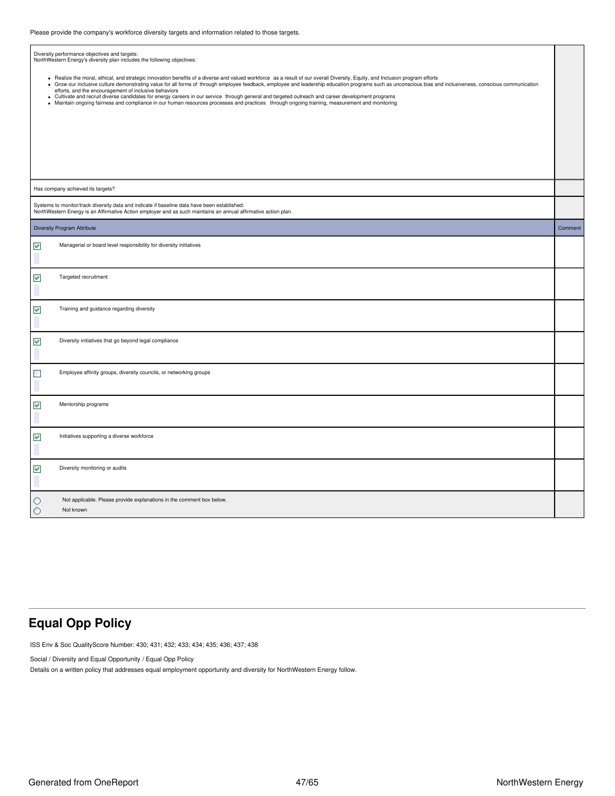|                      | ricase provide the company's workloree diversity targets and imormation related to those targets.                                                                                                                                                                                                                                                                                                                                                                                                                      |         |
|----------------------|------------------------------------------------------------------------------------------------------------------------------------------------------------------------------------------------------------------------------------------------------------------------------------------------------------------------------------------------------------------------------------------------------------------------------------------------------------------------------------------------------------------------|---------|
| $\bullet$            | Diversity performance objectives and targets:<br>NorthWestern Energy's diversity plan includes the following objectives:<br>• Realize the moral, ethical, and strategic innovation benefits of a diverse and valued workforce as a result of our overall Diversity, Equity, and Inclusion program efforts<br>Grow our inclusive culture demonstrating value for all forms of through employee feedback, employee and leadership education programs such as unconscious bias and inclusiveness, conscious communication |         |
| ٠<br>٠               | efforts, and the encouragement of inclusive behaviors<br>Cultivate and recruit diverse candidates for energy careers in our service through general and targeted outreach and career development programs<br>Maintain ongoing fairness and compliance in our human resources processes and practices through ongoing training, measurement and monitoring                                                                                                                                                              |         |
|                      |                                                                                                                                                                                                                                                                                                                                                                                                                                                                                                                        |         |
|                      | Has company achieved its targets?                                                                                                                                                                                                                                                                                                                                                                                                                                                                                      |         |
|                      | Systems to monitor/track diversity data and indicate if baseline data have been established:<br>NorthWestern Energy is an Affirmative Action employer and as such maintains an annual affirmative action plan.                                                                                                                                                                                                                                                                                                         |         |
|                      | <b>Diversity Program Attribute</b>                                                                                                                                                                                                                                                                                                                                                                                                                                                                                     | Comment |
| $\blacktriangledown$ | Managerial or board level responsibility for diversity initiatives                                                                                                                                                                                                                                                                                                                                                                                                                                                     |         |
| $\blacktriangledown$ | Targeted recruitment                                                                                                                                                                                                                                                                                                                                                                                                                                                                                                   |         |
| $\blacktriangledown$ | Training and guidance regarding diversity                                                                                                                                                                                                                                                                                                                                                                                                                                                                              |         |
| $\blacktriangledown$ | Diversity initiatives that go beyond legal compliance                                                                                                                                                                                                                                                                                                                                                                                                                                                                  |         |
| $\Box$               | Employee affinity groups, diversity councils, or networking groups                                                                                                                                                                                                                                                                                                                                                                                                                                                     |         |
| $\blacktriangledown$ | Mentorship programs                                                                                                                                                                                                                                                                                                                                                                                                                                                                                                    |         |
| V                    | Initiatives supporting a diverse workforce                                                                                                                                                                                                                                                                                                                                                                                                                                                                             |         |
| $\blacktriangledown$ | Diversity monitoring or audits                                                                                                                                                                                                                                                                                                                                                                                                                                                                                         |         |
| O<br>O               | Not applicable. Please provide explanations in the comment box below.<br>Not known                                                                                                                                                                                                                                                                                                                                                                                                                                     |         |

## <span id="page-46-0"></span>**Equal Opp Policy**

ISS Env & Soc QualityScore Number: 430; 431; 432; 433; 434; 435; 436; 437; 438

Social / Diversity and Equal Opportunity / Equal Opp Policy

Details on a written policy that addresses equal employment opportunity and diversity for NorthWestern Energy follow.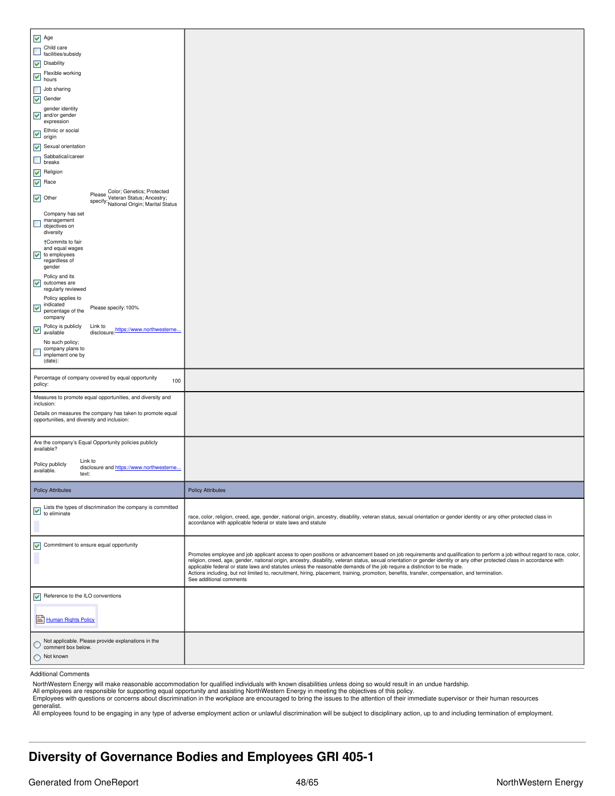| Not known<br>O                                                                                                                         |                                                                                                                                                                                                                                                                                                                                                                                                                                                                                                                                                                                                                                                                |
|----------------------------------------------------------------------------------------------------------------------------------------|----------------------------------------------------------------------------------------------------------------------------------------------------------------------------------------------------------------------------------------------------------------------------------------------------------------------------------------------------------------------------------------------------------------------------------------------------------------------------------------------------------------------------------------------------------------------------------------------------------------------------------------------------------------|
| Not applicable. Please provide explanations in the<br>C<br>comment box below.                                                          |                                                                                                                                                                                                                                                                                                                                                                                                                                                                                                                                                                                                                                                                |
| Human Rights Policy                                                                                                                    |                                                                                                                                                                                                                                                                                                                                                                                                                                                                                                                                                                                                                                                                |
| Reference to the ILO conventions<br>⊽                                                                                                  |                                                                                                                                                                                                                                                                                                                                                                                                                                                                                                                                                                                                                                                                |
| ▽<br>Commitment to ensure equal opportunity                                                                                            | Promotes employee and job applicant access to open positions or advancement based on job requirements and qualification to perform a job without regard to race, color,<br>religion, creed, age, gender, national origin, ancestry, disability, veteran status, sexual orientation or gender identity or any other protected class in accordance with<br>applicable federal or state laws and statutes unless the reasonable demands of the job require a distinction to be made.<br>Actions including, but not limited to, recruitment, hiring, placement, training, promotion, benefits, transfer, compensation, and termination.<br>See additional comments |
| Lists the types of discrimination the company is committed<br>$\overline{v}$ Lists are $v_F$ to eliminate                              | race, color, religion, creed, age, gender, national origin, ancestry, disability, veteran status, sexual orientation or gender identity or any other protected class in<br>accordance with applicable federal or state laws and statute                                                                                                                                                                                                                                                                                                                                                                                                                        |
| <b>Policy Attributes</b>                                                                                                               | <b>Policy Attributes</b>                                                                                                                                                                                                                                                                                                                                                                                                                                                                                                                                                                                                                                       |
| available?<br>Link to<br>Policy publicly<br>disclosure and https://www.northwesterne<br>available.<br>text:                            |                                                                                                                                                                                                                                                                                                                                                                                                                                                                                                                                                                                                                                                                |
| opportunities, and diversity and inclusion:<br>Are the company's Equal Opportunity policies publicly                                   |                                                                                                                                                                                                                                                                                                                                                                                                                                                                                                                                                                                                                                                                |
| Measures to promote equal opportunities, and diversity and<br>inclusion:<br>Details on measures the company has taken to promote equal |                                                                                                                                                                                                                                                                                                                                                                                                                                                                                                                                                                                                                                                                |
| Percentage of company covered by equal opportunity<br>100<br>policy:                                                                   |                                                                                                                                                                                                                                                                                                                                                                                                                                                                                                                                                                                                                                                                |
| No such policy;<br>company plans to<br>$\Box$<br>implement one by<br>(date):                                                           |                                                                                                                                                                                                                                                                                                                                                                                                                                                                                                                                                                                                                                                                |
| company<br>Policy is publicly<br>⊻<br>disclosure: https://www.northwesterne<br>available                                               |                                                                                                                                                                                                                                                                                                                                                                                                                                                                                                                                                                                                                                                                |
| Policy applies to<br>indicated<br>V<br>Please specify: 100%<br>percentage of the                                                       |                                                                                                                                                                                                                                                                                                                                                                                                                                                                                                                                                                                                                                                                |
| gender<br>Policy and its<br>$\blacktriangledown$<br>outcomes are<br>regularly reviewed                                                 |                                                                                                                                                                                                                                                                                                                                                                                                                                                                                                                                                                                                                                                                |
| †Commits to fair<br>and equal wages<br>$\sqrt{\ }$ to employees<br>regardless of                                                       |                                                                                                                                                                                                                                                                                                                                                                                                                                                                                                                                                                                                                                                                |
| specify: Vereran Junus, Antical Status<br>Company has set<br>management<br>L<br>objectives on<br>diversity                             |                                                                                                                                                                                                                                                                                                                                                                                                                                                                                                                                                                                                                                                                |
| Please Color; Genetics; Protected<br>specify: Veteran Status; Ancestry;<br>$\vee$ Other                                                |                                                                                                                                                                                                                                                                                                                                                                                                                                                                                                                                                                                                                                                                |
| $\sqrt{\phantom{a}}$ Religion<br>$\sqrt{ }$ Race                                                                                       |                                                                                                                                                                                                                                                                                                                                                                                                                                                                                                                                                                                                                                                                |
| Sabbatical/career<br>$\Box$<br>breaks                                                                                                  |                                                                                                                                                                                                                                                                                                                                                                                                                                                                                                                                                                                                                                                                |
| origin<br>$\blacktriangleright$ Sexual orientation                                                                                     |                                                                                                                                                                                                                                                                                                                                                                                                                                                                                                                                                                                                                                                                |
| expression<br>Ethnic or social<br>▽                                                                                                    |                                                                                                                                                                                                                                                                                                                                                                                                                                                                                                                                                                                                                                                                |
| gender identity<br>$\sqrt{\phantom{a}}$ and/or gender                                                                                  |                                                                                                                                                                                                                                                                                                                                                                                                                                                                                                                                                                                                                                                                |
| $\Box$<br>Job sharing<br>$\sqrt{\phantom{a}}$ Gender                                                                                   |                                                                                                                                                                                                                                                                                                                                                                                                                                                                                                                                                                                                                                                                |
| Flexible working<br>M hours                                                                                                            |                                                                                                                                                                                                                                                                                                                                                                                                                                                                                                                                                                                                                                                                |
| facilities/subsidy<br>$\triangledown$ Disability                                                                                       |                                                                                                                                                                                                                                                                                                                                                                                                                                                                                                                                                                                                                                                                |
| $\blacktriangleright$ Age<br>Child care<br>$\Box$                                                                                      |                                                                                                                                                                                                                                                                                                                                                                                                                                                                                                                                                                                                                                                                |
|                                                                                                                                        |                                                                                                                                                                                                                                                                                                                                                                                                                                                                                                                                                                                                                                                                |

Additional Comments

NorthWestern Energy will make reasonable accommodation for qualified individuals with known disabilities unless doing so would result in an undue hardship.

All employees are responsible for supporting equal opportunity and assisting NorthWestern Energy in meeting the objectives of this policy.<br>Employees with questions or concerns about discrimination in the workplace are enco generalist.

All employees found to be engaging in any type of adverse employment action or unlawful discrimination will be subject to disciplinary action, up to and including termination of employment.

## <span id="page-47-0"></span>**Diversity of Governance Bodies and Employees GRI 405-1**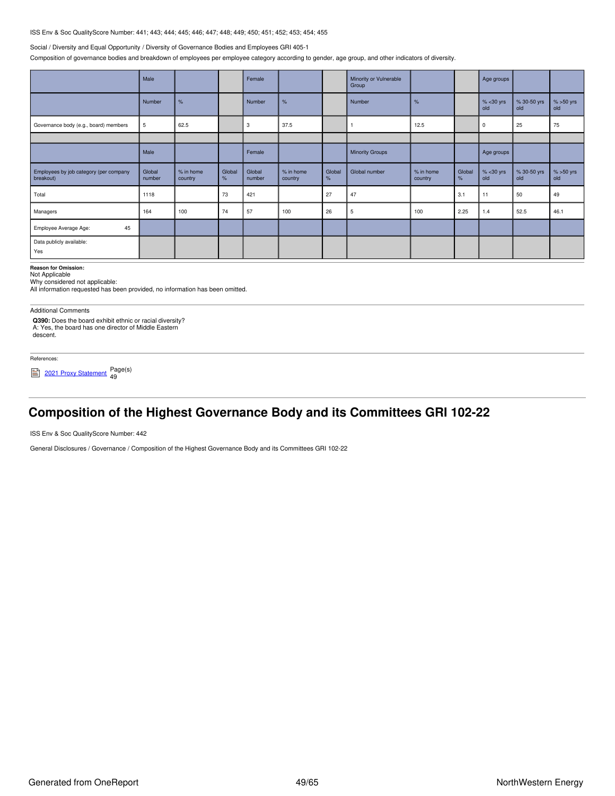### ISS Env & Soc QualityScore Number: 441; 443; 444; 445; 446; 447; 448; 449; 450; 451; 452; 453; 454; 455

#### Social / Diversity and Equal Opportunity / Diversity of Governance Bodies and Employees GRI 405-1

Composition of governance bodies and breakdown of employees per employee category according to gender, age group, and other indicators of diversity.

|                                                     | Male             |                        |                | Female           |                        |             | Minority or Vulnerable<br>Group |                      |             | Age groups            |                    |                    |
|-----------------------------------------------------|------------------|------------------------|----------------|------------------|------------------------|-------------|---------------------------------|----------------------|-------------|-----------------------|--------------------|--------------------|
|                                                     | Number           | %                      |                | Number           | $\%$                   |             | Number                          | %                    |             | $% 30 \text{ yrs}old$ | % 30-50 yrs<br>old | $% >50$ yrs<br>old |
| Governance body (e.g., board) members               | 5                | 62.5                   |                | 3                | 37.5                   |             |                                 | 12.5                 |             | 0                     | 25                 | 75                 |
|                                                     |                  |                        |                |                  |                        |             |                                 |                      |             |                       |                    |                    |
|                                                     | Male             |                        |                | Female           |                        |             | <b>Minority Groups</b>          |                      |             | Age groups            |                    |                    |
| Employees by job category (per company<br>breakout) | Global<br>number | $%$ in home<br>country | Global<br>$\%$ | Global<br>number | $%$ in home<br>country | Global<br>% | Global number                   | % in home<br>country | Global<br>% | $% < 30$ yrs<br>old   | % 30-50 yrs<br>old | $% >50$ yrs<br>old |
| Total                                               | 1118             |                        | 73             | 421              |                        | 27          | 47                              |                      | 3.1         | 11                    | 50                 | 49                 |
| Managers                                            | 164              | 100                    | 74             | 57               | 100                    | 26          | 5                               | 100                  | 2.25        | 1.4                   | 52.5               | 46.1               |
| 45<br>Employee Average Age:                         |                  |                        |                |                  |                        |             |                                 |                      |             |                       |                    |                    |
| Data publicly available:<br>Yes                     |                  |                        |                |                  |                        |             |                                 |                      |             |                       |                    |                    |

**Reason for Omission:**

Not Applicable

Why considered not applicable:

All information requested has been provided, no information has been omitted.

Additional Comments

**Q390:** Does the board exhibit ethnic or racial diversity? A: Yes, the board has one director of Middle Eastern descent.

#### References:

<sup>2021</sup> Proxy [Statement](https://www.northwesternenergy.com/docs/default-source/documents/proxy/2021-Proxy-Statement-Final.pdf) Page(s) 49

## <span id="page-48-0"></span>**Composition of the Highest Governance Body and its Committees GRI 102-22**

ISS Env & Soc QualityScore Number: 442

General Disclosures / Governance / Composition of the Highest Governance Body and its Committees GRI 102-22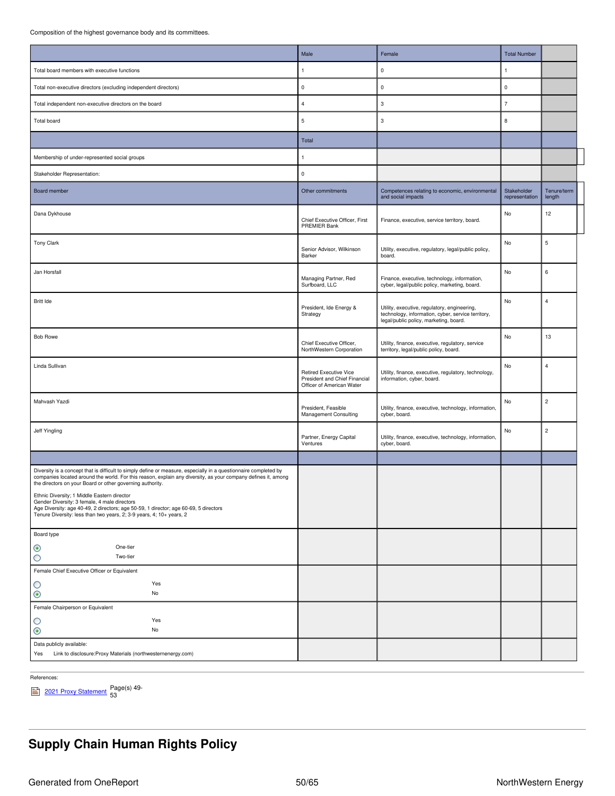Composition of the highest governance body and its committees.

|                                                                                                                                                                                                                                                                                                                                                                                                                                                                                                                                                               | Male                                                                                        | Female                                                                                                                                       | <b>Total Number</b>           |                         |
|---------------------------------------------------------------------------------------------------------------------------------------------------------------------------------------------------------------------------------------------------------------------------------------------------------------------------------------------------------------------------------------------------------------------------------------------------------------------------------------------------------------------------------------------------------------|---------------------------------------------------------------------------------------------|----------------------------------------------------------------------------------------------------------------------------------------------|-------------------------------|-------------------------|
|                                                                                                                                                                                                                                                                                                                                                                                                                                                                                                                                                               |                                                                                             |                                                                                                                                              |                               |                         |
| Total board members with executive functions                                                                                                                                                                                                                                                                                                                                                                                                                                                                                                                  | 1                                                                                           | 0                                                                                                                                            | $\overline{1}$                |                         |
| Total non-executive directors (excluding independent directors)                                                                                                                                                                                                                                                                                                                                                                                                                                                                                               | $\pmb{0}$                                                                                   | 0                                                                                                                                            | $\mathbf 0$                   |                         |
| Total independent non-executive directors on the board                                                                                                                                                                                                                                                                                                                                                                                                                                                                                                        | $\overline{4}$                                                                              | 3                                                                                                                                            | $\overline{7}$                |                         |
| Total board                                                                                                                                                                                                                                                                                                                                                                                                                                                                                                                                                   | $\sqrt{5}$                                                                                  | 3                                                                                                                                            | 8                             |                         |
|                                                                                                                                                                                                                                                                                                                                                                                                                                                                                                                                                               | Total                                                                                       |                                                                                                                                              |                               |                         |
| Membership of under-represented social groups                                                                                                                                                                                                                                                                                                                                                                                                                                                                                                                 |                                                                                             |                                                                                                                                              |                               |                         |
| Stakeholder Representation:                                                                                                                                                                                                                                                                                                                                                                                                                                                                                                                                   | $\mathbf 0$                                                                                 |                                                                                                                                              |                               |                         |
| Board member                                                                                                                                                                                                                                                                                                                                                                                                                                                                                                                                                  | Other commitments                                                                           | Competences relating to economic, environmental<br>and social impacts                                                                        | Stakeholder<br>representation | Tenure/term<br>length   |
| Dana Dykhouse                                                                                                                                                                                                                                                                                                                                                                                                                                                                                                                                                 | Chief Executive Officer, First<br>PREMIER Bank                                              | Finance, executive, service territory, board.                                                                                                | No                            | 12                      |
| <b>Tony Clark</b>                                                                                                                                                                                                                                                                                                                                                                                                                                                                                                                                             | Senior Advisor, Wilkinson<br>Barker                                                         | Utility, executive, regulatory, legal/public policy,<br>board.                                                                               | No                            | 5                       |
| Jan Horsfall                                                                                                                                                                                                                                                                                                                                                                                                                                                                                                                                                  | Managing Partner, Red<br>Surfboard, LLC                                                     | Finance, executive, technology, information,<br>cyber, legal/public policy, marketing, board.                                                | No                            | 6                       |
| Britt Ide                                                                                                                                                                                                                                                                                                                                                                                                                                                                                                                                                     | President, Ide Energy &<br>Strategy                                                         | Utility, executive, regulatory, engineering,<br>technology, information, cyber, service territory,<br>legal/public policy, marketing, board. | No                            | 4                       |
| <b>Bob Rowe</b>                                                                                                                                                                                                                                                                                                                                                                                                                                                                                                                                               | Chief Executive Officer,<br>NorthWestern Corporation                                        | Utility, finance, executive, regulatory, service<br>territory, legal/public policy, board.                                                   | No                            | 13                      |
| Linda Sullivan                                                                                                                                                                                                                                                                                                                                                                                                                                                                                                                                                | <b>Retired Executive Vice</b><br>President and Chief Financial<br>Officer of American Water | Utility, finance, executive, regulatory, technology,<br>information, cyber, board.                                                           | No                            | $\overline{4}$          |
| Mahvash Yazdi                                                                                                                                                                                                                                                                                                                                                                                                                                                                                                                                                 | President, Feasible<br><b>Management Consulting</b>                                         | Utility, finance, executive, technology, information,<br>cyber, board.                                                                       | No                            | $\overline{2}$          |
| Jeff Yingling                                                                                                                                                                                                                                                                                                                                                                                                                                                                                                                                                 | Partner, Energy Capital<br>Ventures                                                         | Utility, finance, executive, technology, information,<br>cyber, board.                                                                       | No                            | $\overline{\mathbf{c}}$ |
|                                                                                                                                                                                                                                                                                                                                                                                                                                                                                                                                                               |                                                                                             |                                                                                                                                              |                               |                         |
| Diversity is a concept that is difficult to simply define or measure, especially in a questionnaire completed by<br>companies located around the world. For this reason, explain any diversity, as your company defines it, among<br>the directors on your Board or other governing authority.<br>Ethnic Diversity; 1 Middle Eastern director<br>Gender Diversity: 3 female, 4 male directors<br>Age Diversity: age 40-49, 2 directors; age 50-59, 1 director; age 60-69, 5 directors<br>Tenure Diversity: less than two years, 2; 3-9 years, 4; 10+ years, 2 |                                                                                             |                                                                                                                                              |                               |                         |
| Board type<br>One-tier<br>◉<br>O<br>Two-tier                                                                                                                                                                                                                                                                                                                                                                                                                                                                                                                  |                                                                                             |                                                                                                                                              |                               |                         |
| Female Chief Executive Officer or Equivalent                                                                                                                                                                                                                                                                                                                                                                                                                                                                                                                  |                                                                                             |                                                                                                                                              |                               |                         |
| Yes<br>O                                                                                                                                                                                                                                                                                                                                                                                                                                                                                                                                                      |                                                                                             |                                                                                                                                              |                               |                         |
| $\odot$<br>No                                                                                                                                                                                                                                                                                                                                                                                                                                                                                                                                                 |                                                                                             |                                                                                                                                              |                               |                         |
| Female Chairperson or Equivalent                                                                                                                                                                                                                                                                                                                                                                                                                                                                                                                              |                                                                                             |                                                                                                                                              |                               |                         |
| Yes<br>O<br>$_{\odot}$<br>No                                                                                                                                                                                                                                                                                                                                                                                                                                                                                                                                  |                                                                                             |                                                                                                                                              |                               |                         |
| Data publicly available:                                                                                                                                                                                                                                                                                                                                                                                                                                                                                                                                      |                                                                                             |                                                                                                                                              |                               |                         |
| Link to disclosure: Proxy Materials (northwesternenergy.com)<br>Yes                                                                                                                                                                                                                                                                                                                                                                                                                                                                                           |                                                                                             |                                                                                                                                              |                               |                         |

References:

<sup>2021</sup> Proxy [Statement](https://www.northwesternenergy.com/docs/default-source/documents/proxy/2021-Proxy-Statement-Final.pdf) Page(s) 49- 53

# <span id="page-49-0"></span>**Supply Chain Human Rights Policy**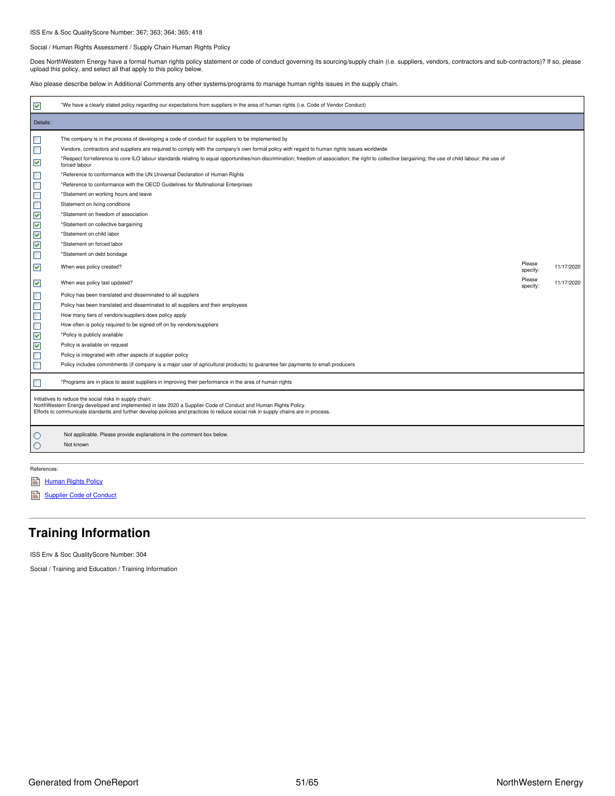### ISS Env & Soc QualityScore Number: 367; 363; 364; 365; 418

#### Social / Human Rights Assessment / Supply Chain Human Rights Policy

Does NorthWestern Energy have a formal human rights policy statement or code of conduct governing its sourcing/supply chain (i.e. suppliers, vendors, contractors and sub-contractors)? If so, please<br>upload this policy, and

Also please describe below in Additional Comments any other systems/programs to manage human rights issues in the supply chain.

| ✓                                                                                                                                          | *We have a clearly stated policy regarding our expectations from suppliers in the area of human rights (i.e. Code of Vendor Conduct)                                                                                                                                                                                                                                                                                                                                                                                                                   |                              |                          |
|--------------------------------------------------------------------------------------------------------------------------------------------|--------------------------------------------------------------------------------------------------------------------------------------------------------------------------------------------------------------------------------------------------------------------------------------------------------------------------------------------------------------------------------------------------------------------------------------------------------------------------------------------------------------------------------------------------------|------------------------------|--------------------------|
| Details:                                                                                                                                   |                                                                                                                                                                                                                                                                                                                                                                                                                                                                                                                                                        |                              |                          |
| $\mathcal{L}_{\mathcal{A}}$<br>$\Box$                                                                                                      | The company is in the process of developing a code of conduct for suppliers to be implemented by<br>Vendors, contractors and suppliers are required to comply with the company's own formal policy with regard to human rights issues worldwide<br>*Respect for/reference to core ILO labour standards relating to equal opportunities/non-discrimination; freedom of association; the right to collective bargaining; the use of child labour; the use of                                                                                             |                              |                          |
| $\blacktriangledown$<br>$\Box$<br>$\Box$<br>$\Box$                                                                                         | forced labour<br>*Reference to conformance with the UN Universal Declaration of Human Rights<br>*Reference to conformance with the OECD Guidelines for Multinational Enterprises<br>*Statement on working hours and leave                                                                                                                                                                                                                                                                                                                              |                              |                          |
| $\Box$<br>$\blacktriangledown$<br>$\checkmark$<br>$\blacktriangledown$<br>V                                                                | Statement on living conditions<br>*Statement on freedom of association<br>*Statement on collective bargaining<br>*Statement on child labor<br>*Statement on forced labor                                                                                                                                                                                                                                                                                                                                                                               |                              |                          |
| $\blacksquare$<br>✔<br>✓                                                                                                                   | *Statement on debt bondage<br>When was policy created?<br>When was policy last updated?                                                                                                                                                                                                                                                                                                                                                                                                                                                                | Please<br>specify:<br>Please | 11/17/2020<br>11/17/2020 |
| $\overline{\phantom{a}}$<br>$\blacksquare$<br>$\Box$<br>$\Box$<br>$\blacktriangledown$<br>$\blacktriangledown$<br>$\blacksquare$<br>$\Box$ | Policy has been translated and disseminated to all suppliers<br>Policy has been translated and disseminated to all suppliers and their employees<br>How many tiers of vendors/suppliers does policy apply<br>How often is policy required to be signed off on by vendors/suppliers<br>*Policy is publicly available<br>Policy is available on request<br>Policy is integrated with other aspects of supplier policy<br>Policy includes commitments (if company is a major user of agricultural products) to guarantee fair payments to small producers | specify:                     |                          |
| $\blacksquare$                                                                                                                             | *Programs are in place to assist suppliers in improving their performance in the area of human rights<br>Initiatives to reduce the social risks in supply chain:<br>NorthWestern Energy developed and implemented in late 2020 a Supplier Code of Conduct and Human Rights Policy.<br>Efforts to communicate standards and further develop policies and practices to reduce social risk in supply chains are in process.                                                                                                                               |                              |                          |
| O<br>O                                                                                                                                     | Not applicable. Please provide explanations in the comment box below.<br>Not known                                                                                                                                                                                                                                                                                                                                                                                                                                                                     |                              |                          |

References:

- [Human](https://www.northwesternenergy.com/docs/default-source/documents/corporategovernance/human-rights-policy.pdf) Rights Policy
- [Supplier](https://www.northwesternenergy.com/docs/default-source/documents/corporategovernance/suppliercodeofconduct_10-2020.pdf) Code of Conduct

## <span id="page-50-0"></span>**Training Information**

ISS Env & Soc QualityScore Number: 304

Social / Training and Education / Training Information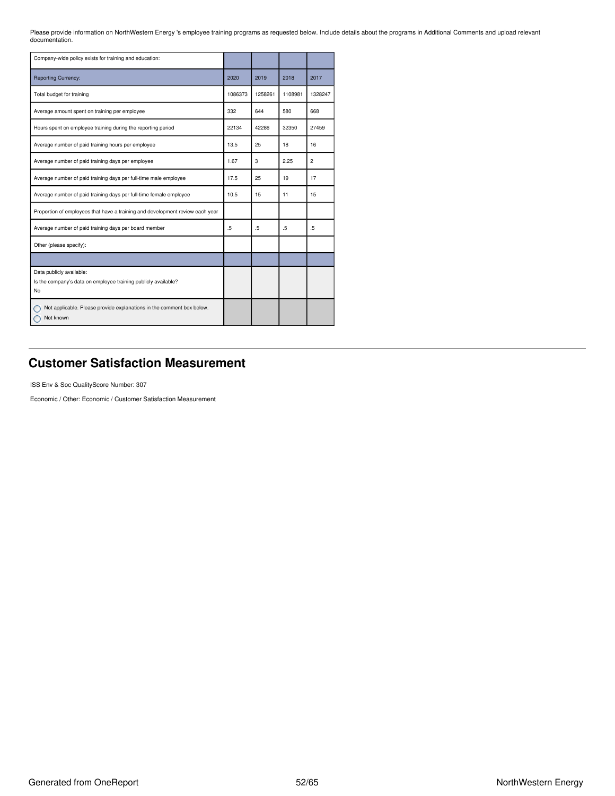Please provide information on NorthWestern Energy 's employee training programs as requested below. Include details about the programs in Additional Comments and upload relevant documentation.

| Company-wide policy exists for training and education:                                           |                  |         |         |                  |
|--------------------------------------------------------------------------------------------------|------------------|---------|---------|------------------|
| <b>Reporting Currency:</b>                                                                       | 2020             | 2019    | 2018    | 2017             |
| Total budget for training                                                                        | 1086373          | 1258261 | 1108981 | 1328247          |
| Average amount spent on training per employee                                                    | 332              | 644     | 580     | 668              |
| Hours spent on employee training during the reporting period                                     | 22134            | 42286   | 32350   | 27459            |
| Average number of paid training hours per employee                                               | 13.5             | 25      | 18      | 16               |
| Average number of paid training days per employee                                                | 1.67             | 3       | 2.25    | 2                |
| Average number of paid training days per full-time male employee                                 | 17.5             | 25      | 19      | 17               |
| Average number of paid training days per full-time female employee                               | 10.5             | 15      | 11      | 15               |
| Proportion of employees that have a training and development review each year                    |                  |         |         |                  |
| Average number of paid training days per board member                                            | $.5\overline{ }$ | .5      | .5      | $.5\overline{ }$ |
| Other (please specify):                                                                          |                  |         |         |                  |
|                                                                                                  |                  |         |         |                  |
| Data publicly available:<br>Is the company's data on employee training publicly available?<br>No |                  |         |         |                  |
| Not applicable. Please provide explanations in the comment box below.<br>Not known               |                  |         |         |                  |

## <span id="page-51-0"></span>**Customer Satisfaction Measurement**

ISS Env & Soc QualityScore Number: 307

Economic / Other: Economic / Customer Satisfaction Measurement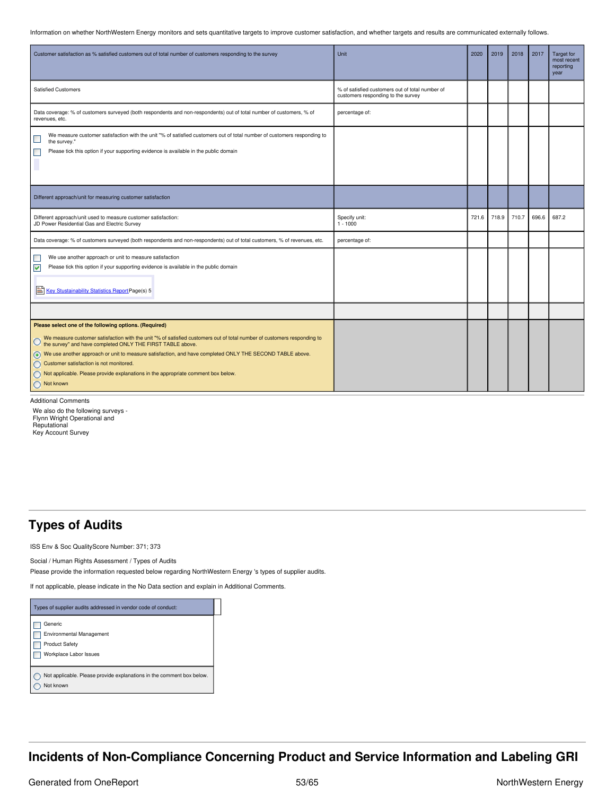Information on whether NorthWestern Energy monitors and sets quantitative targets to improve customer satisfaction, and whether targets and results are communicated externally follows.

| Customer satisfaction as % satisfied customers out of total number of customers responding to the survey                                                                                                                                                                                                                                                                                                                                                                                                | Unit                                                                                  | 2020  | 2019  | 2018  | 2017  | <b>Target for</b><br>most recent<br>reporting<br>year |
|---------------------------------------------------------------------------------------------------------------------------------------------------------------------------------------------------------------------------------------------------------------------------------------------------------------------------------------------------------------------------------------------------------------------------------------------------------------------------------------------------------|---------------------------------------------------------------------------------------|-------|-------|-------|-------|-------------------------------------------------------|
| <b>Satisfied Customers</b>                                                                                                                                                                                                                                                                                                                                                                                                                                                                              | % of satisfied customers out of total number of<br>customers responding to the survey |       |       |       |       |                                                       |
| Data coverage: % of customers surveyed (both respondents and non-respondents) out of total number of customers, % of<br>revenues, etc.                                                                                                                                                                                                                                                                                                                                                                  | percentage of:                                                                        |       |       |       |       |                                                       |
| We measure customer satisfaction with the unit "% of satisfied customers out of total number of customers responding to<br>$\overline{\phantom{a}}$<br>the survey."<br>Please tick this option if your supporting evidence is available in the public domain<br>L                                                                                                                                                                                                                                       |                                                                                       |       |       |       |       |                                                       |
| Different approach/unit for measuring customer satisfaction                                                                                                                                                                                                                                                                                                                                                                                                                                             |                                                                                       |       |       |       |       |                                                       |
| Different approach/unit used to measure customer satisfaction:<br>JD Power Residential Gas and Electric Survey                                                                                                                                                                                                                                                                                                                                                                                          | Specify unit:<br>$1 - 1000$                                                           | 721.6 | 718.9 | 710.7 | 696.6 | 687.2                                                 |
| Data coverage: % of customers surveyed (both respondents and non-respondents) out of total customers, % of revenues, etc.                                                                                                                                                                                                                                                                                                                                                                               | percentage of:                                                                        |       |       |       |       |                                                       |
| We use another approach or unit to measure satisfaction<br>Please tick this option if your supporting evidence is available in the public domain<br>☑<br>Key Stustainability Statistics Report Page(s) 5                                                                                                                                                                                                                                                                                                |                                                                                       |       |       |       |       |                                                       |
|                                                                                                                                                                                                                                                                                                                                                                                                                                                                                                         |                                                                                       |       |       |       |       |                                                       |
| Please select one of the following options. (Required)<br>We measure customer satisfaction with the unit "% of satisfied customers out of total number of customers responding to the survey" and have completed ONLY THE FIRST TABLE above.<br>⊙ We use another approach or unit to measure satisfaction, and have completed ONLY THE SECOND TABLE above.<br>Customer satisfaction is not monitored.<br>Not applicable. Please provide explanations in the appropriate comment box below.<br>Not known |                                                                                       |       |       |       |       |                                                       |

Additional Comments

We also do the following surveys - Flynn Wright Operational and Reputational Key Account Survey

### <span id="page-52-0"></span>**Types of Audits**

ISS Env & Soc QualityScore Number: 371; 373

Social / Human Rights Assessment / Types of Audits Please provide the information requested below regarding NorthWestern Energy 's types of supplier audits.

If not applicable, please indicate in the No Data section and explain in Additional Comments.

| Types of supplier audits addressed in vendor code of conduct:                          |
|----------------------------------------------------------------------------------------|
| Generic<br>Environmental Management<br><b>Product Safety</b><br>Workplace Labor Issues |
| Not applicable. Please provide explanations in the comment box below.<br>Not known     |

## <span id="page-52-1"></span>**Incidents of Non-Compliance Concerning Product and Service Information and Labeling GRI**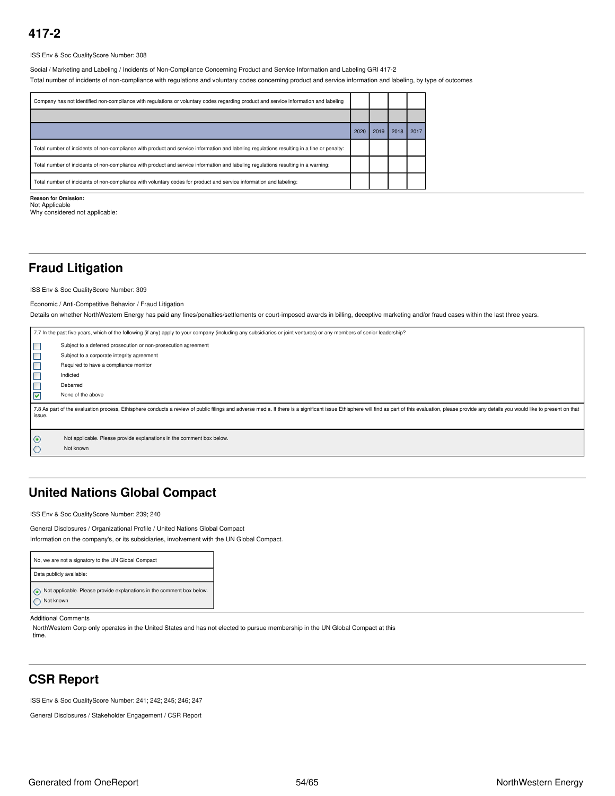ISS Env & Soc QualityScore Number: 308

Social / Marketing and Labeling / Incidents of Non-Compliance Concerning Product and Service Information and Labeling GRI 417-2

Total number of incidents of non-compliance with regulations and voluntary codes concerning product and service information and labeling, by type of outcomes

| 2020 | 2019 | 2018 | 2017 |
|------|------|------|------|
|      |      |      |      |
|      |      |      |      |
|      |      |      |      |
|      |      |      |      |

**Reason for Omission:** Not Applicable

Why considered not applicable:

## <span id="page-53-0"></span>**Fraud Litigation**

ISS Env & Soc QualityScore Number: 309

### Economic / Anti-Competitive Behavior / Fraud Litigation

Details on whether NorthWestern Energy has paid any fines/penalties/settlements or court-imposed awards in billing, deceptive marketing and/or fraud cases within the last three years.

|                | 7.7 In the past five years, which of the following (if any) apply to your company (including any subsidiaries or joint ventures) or any members of senior leadership?                                                          |
|----------------|--------------------------------------------------------------------------------------------------------------------------------------------------------------------------------------------------------------------------------|
| $\Box$         | Subject to a deferred prosecution or non-prosecution agreement                                                                                                                                                                 |
| $\Box$         | Subject to a corporate integrity agreement                                                                                                                                                                                     |
| $\blacksquare$ | Required to have a compliance monitor                                                                                                                                                                                          |
| Е              | Indicted                                                                                                                                                                                                                       |
| Е              | Debarred                                                                                                                                                                                                                       |
| ⊽              | None of the above                                                                                                                                                                                                              |
| issue.         | 7.8 As part of the evaluation process, Ethisphere conducts a review of public filings and adverse media. If there is a significant issue Ethisphere will find as part of this evaluation, please provide any details you would |
| $\odot$        | Not applicable. Please provide explanations in the comment box below.<br>Not known                                                                                                                                             |

## <span id="page-53-1"></span>**United Nations Global Compact**

ISS Env & Soc QualityScore Number: 239; 240

General Disclosures / Organizational Profile / United Nations Global Compact Information on the company's, or its subsidiaries, involvement with the UN Global Compact.

| No, we are not a signatory to the UN Global Compact                                |
|------------------------------------------------------------------------------------|
| Data publicly available:                                                           |
| Not applicable. Please provide explanations in the comment box below.<br>Not known |

### Additional Comments

NorthWestern Corp only operates in the United States and has not elected to pursue membership in the UN Global Compact at this time.

## <span id="page-53-2"></span>**CSR Report**

ISS Env & Soc QualityScore Number: 241; 242; 245; 246; 247

General Disclosures / Stakeholder Engagement / CSR Report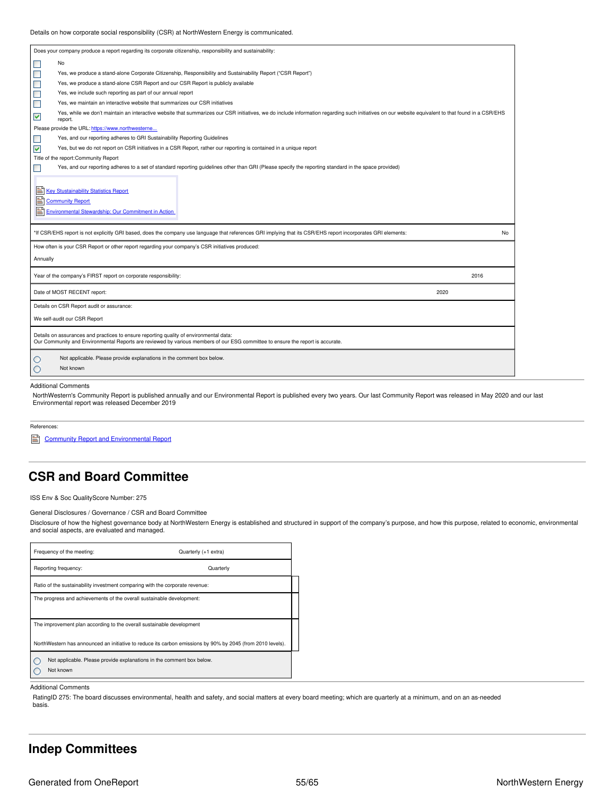| Does your company produce a report regarding its corporate citizenship, responsibility and sustainability:                                                                                                                            |           |
|---------------------------------------------------------------------------------------------------------------------------------------------------------------------------------------------------------------------------------------|-----------|
| $\blacksquare$<br>No                                                                                                                                                                                                                  |           |
| $\blacksquare$<br>Yes, we produce a stand-alone Corporate Citizenship, Responsibility and Sustainability Report ("CSR Report")                                                                                                        |           |
| $\Box$<br>Yes, we produce a stand-alone CSR Report and our CSR Report is publicly available                                                                                                                                           |           |
| $\Box$<br>Yes, we include such reporting as part of our annual report                                                                                                                                                                 |           |
| $\Box$<br>Yes, we maintain an interactive website that summarizes our CSR initiatives                                                                                                                                                 |           |
| Yes, while we don't maintain an interactive website that summarizes our CSR initiatives, we do include information regarding such initiatives on our website equivalent to that found in a CSR/EHS<br>$\blacktriangledown$<br>report. |           |
| Please provide the URL: https://www.northwesterne                                                                                                                                                                                     |           |
| Yes, and our reporting adheres to GRI Sustainability Reporting Guidelines<br>$\blacksquare$                                                                                                                                           |           |
| V<br>Yes, but we do not report on CSR initiatives in a CSR Report, rather our reporting is contained in a unique report                                                                                                               |           |
| Title of the report: Community Report                                                                                                                                                                                                 |           |
| Yes, and our reporting adheres to a set of standard reporting guidelines other than GRI (Please specify the reporting standard in the space provided)<br>П                                                                            |           |
| *If CSR/EHS report is not explicitly GRI based, does the company use language that references GRI implying that its CSR/EHS report incorporates GRI elements:                                                                         | <b>No</b> |
| How often is your CSR Report or other report regarding your company's CSR initiatives produced:                                                                                                                                       |           |
| Annually                                                                                                                                                                                                                              |           |
| Year of the company's FIRST report on corporate responsibility:                                                                                                                                                                       | 2016      |
| Date of MOST RECENT report:                                                                                                                                                                                                           | 2020      |
| Details on CSR Report audit or assurance:                                                                                                                                                                                             |           |
| We self-audit our CSR Report                                                                                                                                                                                                          |           |
| Details on assurances and practices to ensure reporting quality of environmental data:<br>Our Community and Environmental Reports are reviewed by various members of our ESG committee to ensure the report is accurate.              |           |
| Not applicable. Please provide explanations in the comment box below.<br>O<br>Not known<br>O                                                                                                                                          |           |
|                                                                                                                                                                                                                                       |           |

#### Additional Comments

NorthWestern's Community Report is published annually and our Environmental Report is published every two years. Our last Community Report was released in May 2020 and our last Environmental report was released December 2019

References:

**Community Report and [Environmental](https://www.northwesternenergy.com/our-company/investor-relations/ESG-Sustainability) Report** 

## <span id="page-54-0"></span>**CSR and Board Committee**

ISS Env & Soc QualityScore Number: 275

General Disclosures / Governance / CSR and Board Committee

Disclosure of how the highest governance body at NorthWestern Energy is established and structured in support of the company's purpose, and how this purpose, related to economic, environmental and social aspects, are evaluated and managed.

| Frequency of the meeting:                                                                                  | Quarterly (+1 extra)                                                  |  |  |  |  |
|------------------------------------------------------------------------------------------------------------|-----------------------------------------------------------------------|--|--|--|--|
| Reporting frequency:                                                                                       | Quarterly                                                             |  |  |  |  |
| Ratio of the sustainability investment comparing with the corporate revenue:                               |                                                                       |  |  |  |  |
| The progress and achievements of the overall sustainable development:                                      |                                                                       |  |  |  |  |
|                                                                                                            |                                                                       |  |  |  |  |
| The improvement plan according to the overall sustainable development                                      |                                                                       |  |  |  |  |
| NorthWestern has announced an initiative to reduce its carbon emissions by 90% by 2045 (from 2010 levels). |                                                                       |  |  |  |  |
|                                                                                                            | Not applicable. Please provide explanations in the comment box below. |  |  |  |  |
| Not known                                                                                                  |                                                                       |  |  |  |  |

Additional Comments

RatingID 275: The board discusses environmental, health and safety, and social matters at every board meeting; which are quarterly at a minimum, and on an as-needed basis.

### <span id="page-54-1"></span>**Indep Committees**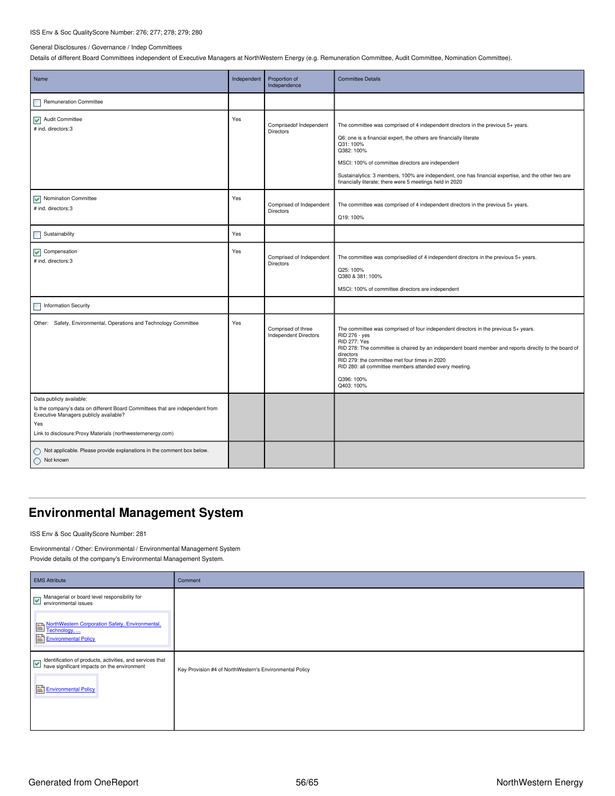### ISS Env & Soc QualityScore Number: 276; 277; 278; 279; 280

#### General Disclosures / Governance / Indep Committees

Details of different Board Committees independent of Executive Managers at NorthWestern Energy (e.g. Remuneration Committee, Audit Committee, Nomination Committee).

| Name                                                                                                                                                                                                                       | Independent | Proportion of<br>Independence               | <b>Committee Details</b>                                                                                                                                                                                                                                                                                                                                                                                 |
|----------------------------------------------------------------------------------------------------------------------------------------------------------------------------------------------------------------------------|-------------|---------------------------------------------|----------------------------------------------------------------------------------------------------------------------------------------------------------------------------------------------------------------------------------------------------------------------------------------------------------------------------------------------------------------------------------------------------------|
| <b>Remuneration Committee</b>                                                                                                                                                                                              |             |                                             |                                                                                                                                                                                                                                                                                                                                                                                                          |
| Audit Committee<br># ind. directors:3                                                                                                                                                                                      | Yes         | Comprisedof Independent<br><b>Directors</b> | The committee was comprised of 4 independent directors in the previous 5+ years.<br>Q6: one is a financial expert, the others are financially literate<br>Q31:100%<br>Q382: 100%<br>MSCI: 100% of committee directors are independent<br>Sustainalytics: 3 members, 100% are independent, one has financial expertise, and the other two are<br>financially literate; there were 5 meetings held in 2020 |
| V Nomination Committee<br># ind. directors:3                                                                                                                                                                               | Yes         | Comprised of Independent<br>Directors       | The committee was comprised of 4 independent directors in the previous 5+ years.<br>Q19: 100%                                                                                                                                                                                                                                                                                                            |
| Sustainability                                                                                                                                                                                                             | Yes         |                                             |                                                                                                                                                                                                                                                                                                                                                                                                          |
| $\sqrt{\phantom{a}}$ Compensation<br># ind. directors: 3                                                                                                                                                                   | Yes         | Comprised of Independent<br>Directors       | The committee was comprisediled of 4 independent directors in the previous 5+ years.<br>Q25: 100%<br>Q380 & 381: 100%<br>MSCI: 100% of committee directors are independent                                                                                                                                                                                                                               |
| <b>Information Security</b>                                                                                                                                                                                                |             |                                             |                                                                                                                                                                                                                                                                                                                                                                                                          |
| Other: Safety, Environmental, Operations and Technology Committee                                                                                                                                                          | Yes         | Comprised of three<br>Independent Directors | The committee was comprised of four independent directors in the previous 5+ years.<br>RID 276 - yes<br><b>RID 277: Yes</b><br>RID 278: The committee is chaired by an independent board member and reports directly to the board of<br>directors<br>RID 279: the committee met four times in 2020<br>RID 280: all committee members attended every meeting.<br>Q396: 100%<br>Q403: 100%                 |
| Data publicly available:<br>Is the company's data on different Board Committees that are independent from<br>Executive Managers publicly available?<br>Yes<br>Link to disclosure: Proxy Materials (northwesternenergy.com) |             |                                             |                                                                                                                                                                                                                                                                                                                                                                                                          |
| ◯ Not applicable. Please provide explanations in the comment box below.<br>Not known                                                                                                                                       |             |                                             |                                                                                                                                                                                                                                                                                                                                                                                                          |

## <span id="page-55-0"></span>**Environmental Management System**

ISS Env & Soc QualityScore Number: 281

Environmental / Other: Environmental / Environmental Management System Provide details of the company's Environmental Management System.

| <b>EMS</b> Attribute                                                                                                             | Comment                                                 |
|----------------------------------------------------------------------------------------------------------------------------------|---------------------------------------------------------|
| Managerial or board level responsibility for<br>environmental issues                                                             |                                                         |
| NorthWestern Corporation Safety, Environmental,<br>Environmental Policy                                                          |                                                         |
| Identification of products, activities, and services that<br>have significant impacts on the environment<br>Environmental Policy | Key Provision #4 of NorthWestern's Environmental Policy |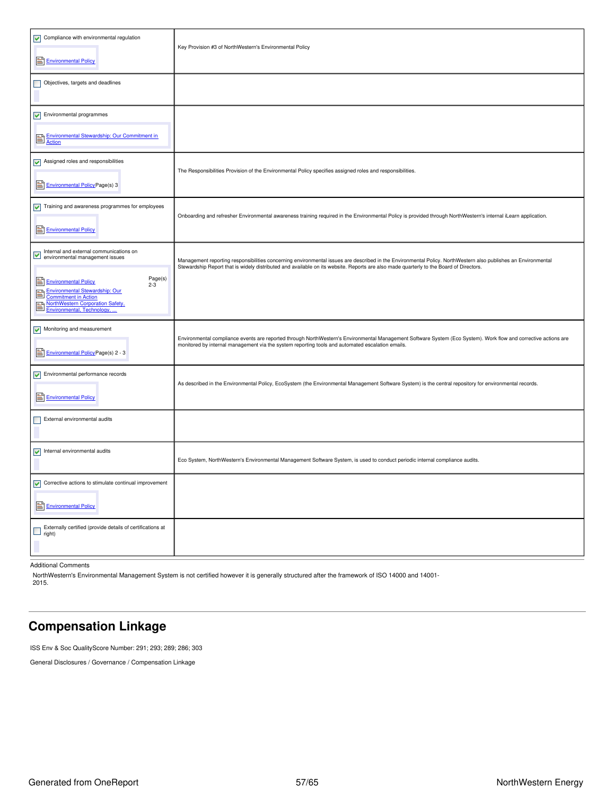| $\sqrt{\phantom{a}}$ Compliance with environmental regulation<br>Environmental Policy                                                                                                                                                            | Key Provision #3 of NorthWestern's Environmental Policy                                                                                                                                                                                                                                                 |
|--------------------------------------------------------------------------------------------------------------------------------------------------------------------------------------------------------------------------------------------------|---------------------------------------------------------------------------------------------------------------------------------------------------------------------------------------------------------------------------------------------------------------------------------------------------------|
| Objectives, targets and deadlines                                                                                                                                                                                                                |                                                                                                                                                                                                                                                                                                         |
| $\triangleright$ Environmental programmes<br>Environmental Stewardship: Our Commitment in<br>Action                                                                                                                                              |                                                                                                                                                                                                                                                                                                         |
| $\triangleright$ Assigned roles and responsibilities<br><b>Environmental Policy Page(s) 3</b>                                                                                                                                                    | The Responsibilities Provision of the Environmental Policy specifies assigned roles and responsibilities.                                                                                                                                                                                               |
| $\sqrt{\phantom{a}}$ Training and awareness programmes for employees<br>Environmental Policy                                                                                                                                                     | Onboarding and refresher Environmental awareness training required in the Environmental Policy is provided through NorthWestern's internal iLearn application.                                                                                                                                          |
| Internal and external communications on<br>environmental management issues<br>Page(s)<br><b>Environmental Policy</b><br>$2 - 3$<br><b>Environmental Stewardship: Our</b><br>B<br><b>Commitment in Action</b><br>NorthWestern Corporation Safety, | Management reporting responsibilities concerning environmental issues are described in the Environmental Policy. NorthWestern also publishes an Environmental<br>Stewardship Report that is widely distributed and available on its website. Reports are also made quarterly to the Board of Directors. |
| Monitoring and measurement<br><b>Environmental Policy Page(s) 2 - 3</b>                                                                                                                                                                          | Environmental compliance events are reported through NorthWestern's Environmental Management Software System (Eco System). Work flow and corrective actions are<br>monitored by internal management via the system reporting tools and automated escalation emails.                                     |
| $\sqrt{\phantom{a}}$ Environmental performance records<br>Environmental Policy                                                                                                                                                                   | As described in the Environmental Policy, EcoSystem (the Environmental Management Software System) is the central repository for environmental records.                                                                                                                                                 |
| External environmental audits                                                                                                                                                                                                                    |                                                                                                                                                                                                                                                                                                         |
| Internal environmental audits                                                                                                                                                                                                                    | Eco System, NorthWestern's Environmental Management Software System, is used to conduct periodic internal compliance audits.                                                                                                                                                                            |
| $\sqrt{\phantom{a}}$ Corrective actions to stimulate continual improvement<br>Environmental Policy                                                                                                                                               |                                                                                                                                                                                                                                                                                                         |
| Externally certified (provide details of certifications at<br>right)                                                                                                                                                                             |                                                                                                                                                                                                                                                                                                         |

Additional Comments

NorthWestern's Environmental Management System is not certified however it is generally structured after the framework of ISO 14000 and 14001- 2015.

## <span id="page-56-0"></span>**Compensation Linkage**

ISS Env & Soc QualityScore Number: 291; 293; 289; 286; 303

General Disclosures / Governance / Compensation Linkage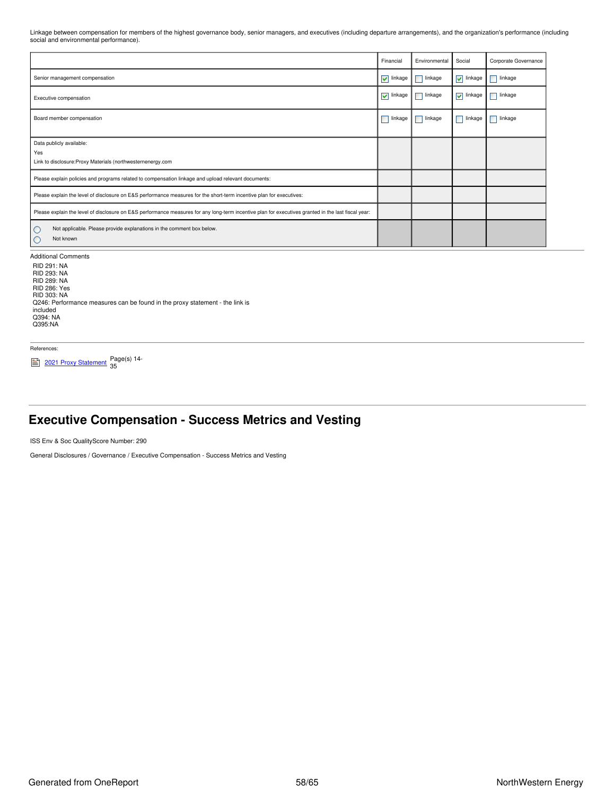Linkage between compensation for members of the highest governance body, senior managers, and executives (including departure arrangements), and the organization's performance (including social and environmental performance).

|                                                                                                                                                     | Financial           | Environmental | Social                          | Corporate Governance |
|-----------------------------------------------------------------------------------------------------------------------------------------------------|---------------------|---------------|---------------------------------|----------------------|
| Senior management compensation                                                                                                                      | $\sqrt{\ }$ linkage | linkage<br>п  | $\sqrt{\ }$ linkage             | linkage              |
| Executive compensation                                                                                                                              | $\sqrt{\ }$ linkage | linkage       | $\blacktriangledown$<br>linkage | $\Box$ linkage       |
| Board member compensation                                                                                                                           | linkage             | linkage       | linkage                         | linkage              |
| Data publicly available:<br>Yes<br>Link to disclosure: Proxy Materials (northwesternenergy.com                                                      |                     |               |                                 |                      |
| Please explain policies and programs related to compensation linkage and upload relevant documents:                                                 |                     |               |                                 |                      |
| Please explain the level of disclosure on E&S performance measures for the short-term incentive plan for executives:                                |                     |               |                                 |                      |
| Please explain the level of disclosure on E&S performance measures for any long-term incentive plan for executives granted in the last fiscal year: |                     |               |                                 |                      |
| Not applicable. Please provide explanations in the comment box below.<br>O<br>O<br>Not known                                                        |                     |               |                                 |                      |

Additional Comments RID 291: NA RID 293: NA RID 289: NA RID 286: Yes RID 303: NA Q246: Performance measures can be found in the proxy statement - the link is included Q394: NA Q395:NA

References:

2021 Proxy [Statement](https://www.northwesternenergy.com/docs/default-source/documents/proxy/2021-Proxy-Statement-Final.pdf) Page(s) 14-

### <span id="page-57-0"></span>**Executive Compensation - Success Metrics and Vesting**

ISS Env & Soc QualityScore Number: 290

General Disclosures / Governance / Executive Compensation - Success Metrics and Vesting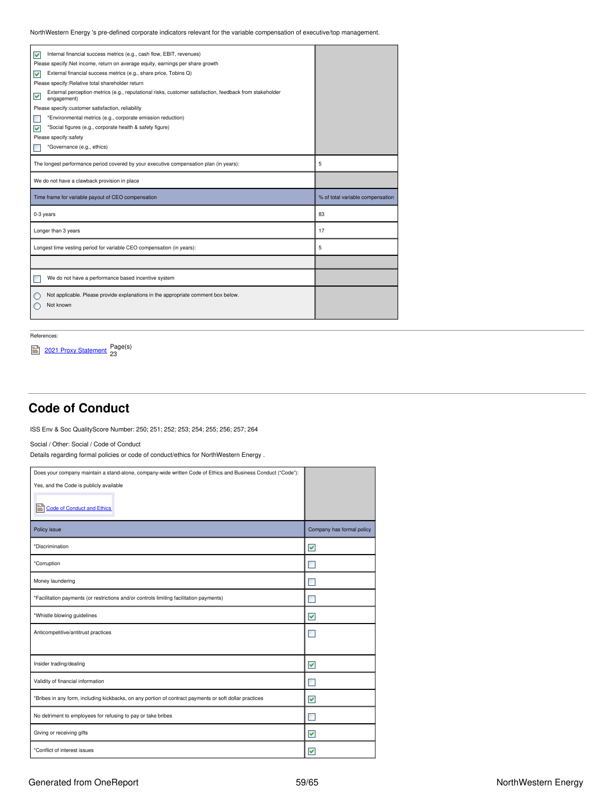NorthWestern Energy 's pre-defined corporate indicators relevant for the variable compensation of executive/top management.

| Internal financial success metrics (e.g., cash flow, EBIT, revenues)<br>⊽                                                   |                                  |
|-----------------------------------------------------------------------------------------------------------------------------|----------------------------------|
| Please specify: Net income, return on average equity, earnings per share growth                                             |                                  |
| External financial success metrics (e.g., share price, Tobins Q)<br>⊽                                                       |                                  |
| Please specify: Relative total shareholder return                                                                           |                                  |
| External perception metrics (e.g., reputational risks, customer satisfaction, feedback from stakeholder<br>M<br>engagement) |                                  |
| Please specify: customer satisfaction, reliability                                                                          |                                  |
| *Environmental metrics (e.g., corporate emission reduction)                                                                 |                                  |
| *Social figures (e.g., corporate health & safety figure)<br>⊽                                                               |                                  |
| Please specify:safety                                                                                                       |                                  |
| *Governance (e.g., ethics)                                                                                                  |                                  |
|                                                                                                                             |                                  |
| The longest performance period covered by your executive compensation plan (in years):                                      | 5                                |
| We do not have a clawback provision in place                                                                                |                                  |
| Time frame for variable payout of CEO compensation                                                                          | % of total variable compensation |
| 0-3 years                                                                                                                   | 83                               |
| Longer than 3 years                                                                                                         | 17                               |
| Longest time vesting period for variable CEO compensation (in years):                                                       | 5                                |
|                                                                                                                             |                                  |
| We do not have a performance based incentive system                                                                         |                                  |
| Not applicable. Please provide explanations in the appropriate comment box below.<br>Not known                              |                                  |

References:

<sup>2021</sup> Proxy [Statement](https://www.northwesternenergy.com/docs/default-source/documents/proxy/2021-Proxy-Statement-Final.pdf) Page(s) 23

## <span id="page-58-0"></span>**Code of Conduct**

ISS Env & Soc QualityScore Number: 250; 251; 252; 253; 254; 255; 256; 257; 264

Social / Other: Social / Code of Conduct

Details regarding formal policies or code of conduct/ethics for NorthWestern Energy .

| Does your company maintain a stand-alone, company-wide written Code of Ethics and Business Conduct ("Code"): |                           |
|--------------------------------------------------------------------------------------------------------------|---------------------------|
| Yes, and the Code is publicly available                                                                      |                           |
| e<br><b>Code of Conduct and Ethics</b>                                                                       |                           |
| Policy issue                                                                                                 | Company has formal policy |
| *Discrimination                                                                                              | ☑                         |
| *Corruption                                                                                                  | ▔                         |
| Money laundering                                                                                             |                           |
| *Facilitation payments (or restrictions and/or controls limiting facilitation payments)                      |                           |
| *Whistle blowing guidelines                                                                                  | ▽                         |
| Anticompetitive/antitrust practices                                                                          |                           |
|                                                                                                              |                           |
| Insider trading/dealing                                                                                      | $\blacktriangledown$      |
| Validity of financial information                                                                            | п                         |
| *Bribes in any form, including kickbacks, on any portion of contract payments or soft dollar practices       | ⊽                         |
| No detriment to employees for refusing to pay or take bribes                                                 |                           |
| Giving or receiving gifts                                                                                    | ⊽                         |
| *Conflict of interest issues                                                                                 | ⊽                         |

### Generated from OneReport **NorthWestern Energy** 59/65 NorthWestern Energy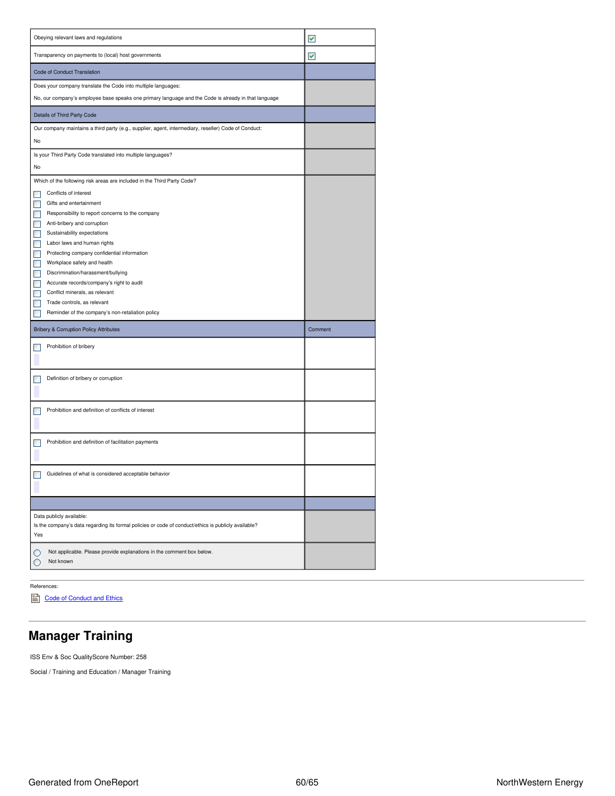| Obeying relevant laws and regulations                                                                | ▽       |
|------------------------------------------------------------------------------------------------------|---------|
| Transparency on payments to (local) host governments                                                 | ⊻       |
| Code of Conduct Translation                                                                          |         |
| Does your company translate the Code into multiple languages:                                        |         |
| No, our company's employee base speaks one primary language and the Code is already in that language |         |
| Details of Third Party Code                                                                          |         |
| Our company maintains a third party (e.g., supplier, agent, intermediary, reseller) Code of Conduct: |         |
| No                                                                                                   |         |
| Is your Third Party Code translated into multiple languages?                                         |         |
| No                                                                                                   |         |
| Which of the following risk areas are included in the Third Party Code?                              |         |
| Conflicts of interest                                                                                |         |
| Gifts and entertainment                                                                              |         |
| Responsibility to report concerns to the company                                                     |         |
| Anti-bribery and corruption                                                                          |         |
| Sustainability expectations<br>П                                                                     |         |
| Labor laws and human rights                                                                          |         |
| Protecting company confidential information                                                          |         |
| Workplace safety and health<br>H                                                                     |         |
| Discrimination/harassment/bullying                                                                   |         |
| Accurate records/company's right to audit                                                            |         |
| Conflict minerals, as relevant                                                                       |         |
|                                                                                                      |         |
| Trade controls, as relevant                                                                          |         |
| Reminder of the company's non-retaliation policy                                                     |         |
| <b>Bribery &amp; Corruption Policy Attributes</b>                                                    | Comment |
| Prohibition of bribery                                                                               |         |
|                                                                                                      |         |
| Definition of bribery or corruption                                                                  |         |
|                                                                                                      |         |
|                                                                                                      |         |
| Prohibition and definition of conflicts of interest                                                  |         |
|                                                                                                      |         |
| Prohibition and definition of facilitation payments                                                  |         |
|                                                                                                      |         |
|                                                                                                      |         |
| Guidelines of what is considered acceptable behavior                                                 |         |
|                                                                                                      |         |
|                                                                                                      |         |
| Data publicly available:                                                                             |         |
| Is the company's data regarding its formal policies or code of conduct/ethics is publicly available? |         |
| Yes                                                                                                  |         |
| Not applicable. Please provide explanations in the comment box below.                                |         |
| O<br>Not known<br>O                                                                                  |         |

### References:

Code of [Conduct](https://www.northwesternenergy.com/docs/default-source/documents/corporategovernance/nwe_2021_code_lowres.pdf) and Ethics

### <span id="page-59-0"></span>**Manager Training**

ISS Env & Soc QualityScore Number: 258

Social / Training and Education / Manager Training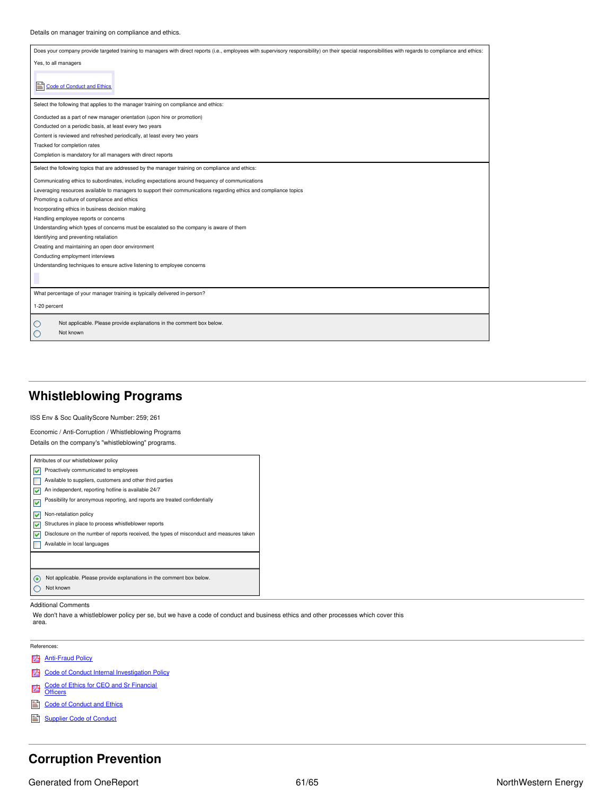| Does your company provide targeted training to managers with direct reports (i.e., employees with supervisory responsibility) on their special responsibilities with regards to compliance and ethics: |
|--------------------------------------------------------------------------------------------------------------------------------------------------------------------------------------------------------|
| Yes, to all managers                                                                                                                                                                                   |
|                                                                                                                                                                                                        |
| <b>Code of Conduct and Ethics</b><br>Ei                                                                                                                                                                |
|                                                                                                                                                                                                        |
| Select the following that applies to the manager training on compliance and ethics:                                                                                                                    |
| Conducted as a part of new manager orientation (upon hire or promotion)                                                                                                                                |
| Conducted on a periodic basis, at least every two years                                                                                                                                                |
| Content is reviewed and refreshed periodically, at least every two years                                                                                                                               |
| Tracked for completion rates                                                                                                                                                                           |
| Completion is mandatory for all managers with direct reports                                                                                                                                           |
| Select the following topics that are addressed by the manager training on compliance and ethics:                                                                                                       |
| Communicating ethics to subordinates, including expectations around frequency of communications                                                                                                        |
| Leveraging resources available to managers to support their communications regarding ethics and compliance topics                                                                                      |
| Promoting a culture of compliance and ethics                                                                                                                                                           |
| Incorporating ethics in business decision making                                                                                                                                                       |
| Handling employee reports or concerns                                                                                                                                                                  |
| Understanding which types of concerns must be escalated so the company is aware of them                                                                                                                |
| Identifying and preventing retaliation                                                                                                                                                                 |
| Creating and maintaining an open door environment                                                                                                                                                      |
| Conducting employment interviews                                                                                                                                                                       |
| Understanding techniques to ensure active listening to employee concerns                                                                                                                               |
|                                                                                                                                                                                                        |
| What percentage of your manager training is typically delivered in-person?                                                                                                                             |
| 1-20 percent                                                                                                                                                                                           |
| Not applicable. Please provide explanations in the comment box below.                                                                                                                                  |
| Not known                                                                                                                                                                                              |
|                                                                                                                                                                                                        |

## <span id="page-60-0"></span>**Whistleblowing Programs**

ISS Env & Soc QualityScore Number: 259; 261

Economic / Anti-Corruption / Whistleblowing Programs Details on the company's "whistleblowing" programs.

|   | Attributes of our whistleblower policy                                                   |
|---|------------------------------------------------------------------------------------------|
|   | Proactively communicated to employees                                                    |
|   | Available to suppliers, customers and other third parties                                |
|   | An independent, reporting hotline is available 24/7                                      |
| ⊻ | Possibility for anonymous reporting, and reports are treated confidentially              |
|   | Non-retaliation policy                                                                   |
|   | Structures in place to process whistleblower reports                                     |
|   | Disclosure on the number of reports received, the types of misconduct and measures taken |
|   | Available in local languages                                                             |
|   |                                                                                          |
|   |                                                                                          |
|   | Not applicable. Please provide explanations in the comment box below.                    |
|   | Not known                                                                                |

#### Additional Comments

We don't have a whistleblower policy per se, but we have a code of conduct and business ethics and other processes which cover this area.

References:

- **[Anti-Fraud](https://app.one-report.com/download.html/2021/shared/library/1068-00018435.pdf) Policy**
- **2** Code of Conduct Internal [Investigation](https://app.one-report.com/download.html/2021/shared/library/1068-00018436.pdf) Policy
- Code of Ethics for CEO and Sr [Financial](https://app.one-report.com/download.html/2021/shared/library/1068-00018432.pdf) Officers
- 
- Code of [Conduct](https://www.northwesternenergy.com/docs/default-source/documents/corporategovernance/nwe_2021_code_lowres.pdf) and Ethics
- [Supplier](https://www.northwesternenergy.com/docs/default-source/documents/corporategovernance/suppliercodeofconduct_10-2020.pdf) Code of Conduct

## <span id="page-60-1"></span>**Corruption Prevention**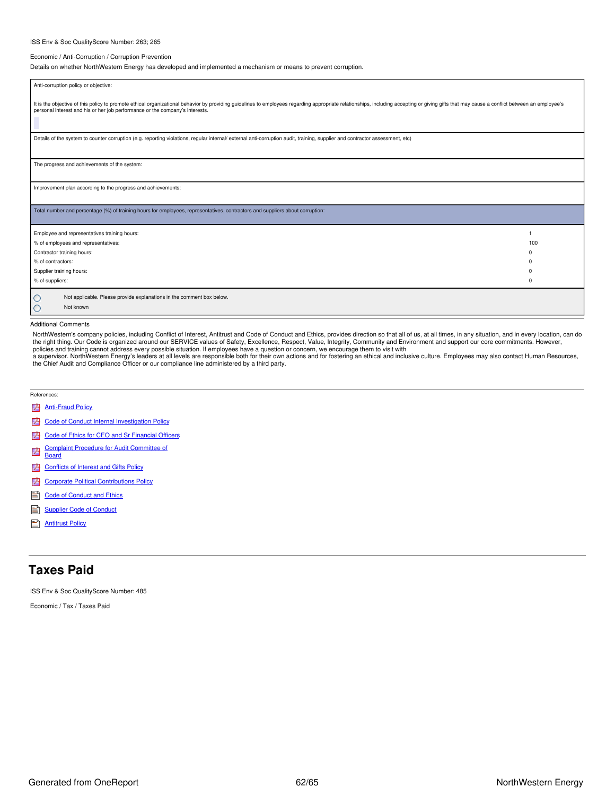#### ISS Env & Soc QualityScore Number: 263; 265

#### Economic / Anti-Corruption / Corruption Prevention

Details on whether NorthWestern Energy has developed and implemented a mechanism or means to prevent corruption.

| Anti-corruption policy or objective:                                                                                                                                                                                                                                                                          |          |
|---------------------------------------------------------------------------------------------------------------------------------------------------------------------------------------------------------------------------------------------------------------------------------------------------------------|----------|
|                                                                                                                                                                                                                                                                                                               |          |
| It is the objective of this policy to promote ethical organizational behavior by providing guidelines to employees regarding appropriate relationships, including accepting or giving gifts that may cause a conflict between<br>personal interest and his or her job performance or the company's interests. |          |
| Details of the system to counter corruption (e.g. reporting violations, regular internal/ external anti-corruption audit, training, supplier and contractor assessment, etc)                                                                                                                                  |          |
|                                                                                                                                                                                                                                                                                                               |          |
| The progress and achievements of the system:                                                                                                                                                                                                                                                                  |          |
|                                                                                                                                                                                                                                                                                                               |          |
| Improvement plan according to the progress and achievements:                                                                                                                                                                                                                                                  |          |
|                                                                                                                                                                                                                                                                                                               |          |
| Total number and percentage (%) of training hours for employees, representatives, contractors and suppliers about corruption:                                                                                                                                                                                 |          |
|                                                                                                                                                                                                                                                                                                               |          |
| Employee and representatives training hours:                                                                                                                                                                                                                                                                  |          |
| % of employees and representatives:                                                                                                                                                                                                                                                                           | 100      |
| Contractor training hours:                                                                                                                                                                                                                                                                                    | $\Omega$ |
| % of contractors:                                                                                                                                                                                                                                                                                             | n        |
| Supplier training hours:                                                                                                                                                                                                                                                                                      | n        |
| % of suppliers:                                                                                                                                                                                                                                                                                               | $\Omega$ |
| Not applicable. Please provide explanations in the comment box below.<br>O                                                                                                                                                                                                                                    |          |
| Not known<br>O                                                                                                                                                                                                                                                                                                |          |
|                                                                                                                                                                                                                                                                                                               |          |

#### Additional Comments

NorthWestern's company policies, including Conflict of Interest, Antitrust and Code of Conduct and Ethics, provides direction so that all of us, at all times, in any situation, and in every location, can do<br>the right thing policies and training cannot address every possible situation. If employees have a question or concern, we encourage them to visit with

a supervisor. NorthWestern Energy's leaders at all levels are responsible both for their own actions and for fostering an ethical and inclusive culture. Employees may also contact Human Resources, the Chief Audit and Compliance Officer or our compliance line administered by a third party.

#### References:

- **[Anti-Fraud](https://app.one-report.com/download.html/2021/shared/library/1068-00018435.pdf) Policy**
- **Code of Conduct Internal [Investigation](https://app.one-report.com/download.html/2021/shared/library/1068-00018436.pdf) Policy**
- Code of Ethics for CEO and Sr [Financial](https://app.one-report.com/download.html/2021/shared/library/1068-00018432.pdf) Officers
- Complaint Procedure for Audit [Committee](https://app.one-report.com/download.html/2021/shared/library/1068-00018433.pdf) of 内
- **Board**
- **[Conflicts](https://app.one-report.com/download.html/2021/shared/library/1068-00018437.pdf) of Interest and Gifts Policy**
- **2** Corporate Political [Contributions](https://app.one-report.com/download.html/2021/shared/library/1068-00018428.pdf) Policy
- code of [Conduct](https://www.northwesternenergy.com/docs/default-source/documents/corporategovernance/nwe_2021_code_lowres.pdf) and Ethics
- [Supplier](https://www.northwesternenergy.com/docs/default-source/documents/corporategovernance/suppliercodeofconduct_10-2020.pdf) Code of Conduct
- **[Antitrust](https://www.northwesternenergy.com/docs/default-source/documents/esg/Anti-Trust.pdf) Policy**

### <span id="page-61-0"></span>**Taxes Paid**

ISS Env & Soc QualityScore Number: 485

Economic / Tax / Taxes Paid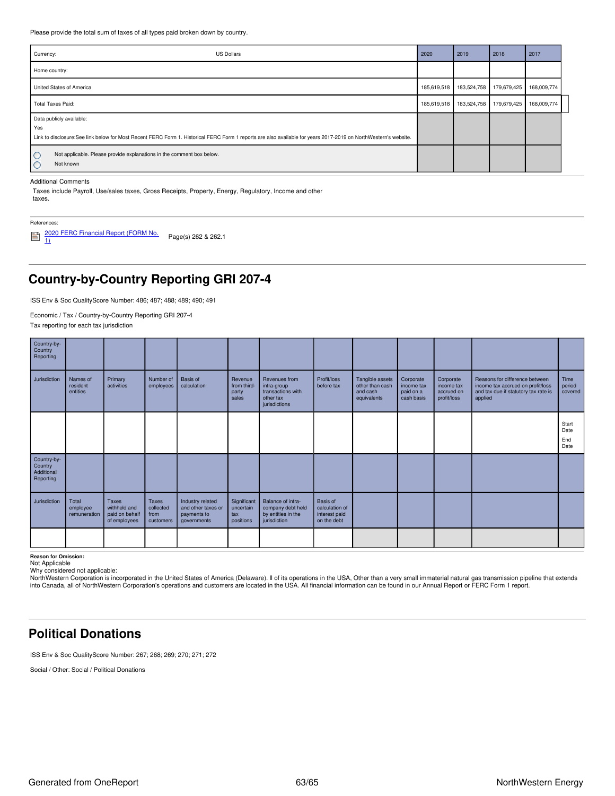Please provide the total sum of taxes of all types paid broken down by country.

| Currency:<br><b>US Dollars</b>                                                                                                                                                                     | 2020        | 2019        | 2018        | 2017        |
|----------------------------------------------------------------------------------------------------------------------------------------------------------------------------------------------------|-------------|-------------|-------------|-------------|
| Home country:                                                                                                                                                                                      |             |             |             |             |
| United States of America                                                                                                                                                                           | 185,619,518 | 183,524,758 | 179,679,425 | 168,009,774 |
| <b>Total Taxes Paid:</b>                                                                                                                                                                           | 185,619,518 | 183,524,758 | 179,679,425 | 168,009,774 |
| Data publicly available:<br>Yes<br>Link to disclosure:See link below for Most Recent FERC Form 1. Historical FERC Form 1 reports are also available for years 2017-2019 on NorthWestern's website. |             |             |             |             |
| Not applicable. Please provide explanations in the comment box below.<br>O<br>Not known<br>O                                                                                                       |             |             |             |             |

#### Additional Comments

Taxes include Payroll, Use/sales taxes, Gross Receipts, Property, Energy, Regulatory, Income and other taxes.

### References:

2020 FERC [Financial](https://www.northwesternenergy.com/docs/default-source/documents/taxes/nwe-ff1-2020-final-as-filed.pdf) Report (FORM No. 1) Page(s) <sup>262</sup> & 262.1

## <span id="page-62-0"></span>**Country-by-Country Reporting GRI 207-4**

ISS Env & Soc QualityScore Number: 486; 487; 488; 489; 490; 491

Economic / Tax / Country-by-Country Reporting GRI 207-4

Tax reporting for each tax jurisdiction

| Country-by-<br>Country<br>Reporting               |                                   |                                                         |                                                |                                                                      |                                              |                                                                                 |                                                            |                                                               |                                                    |                                                      |                                                                                                                        |                              |
|---------------------------------------------------|-----------------------------------|---------------------------------------------------------|------------------------------------------------|----------------------------------------------------------------------|----------------------------------------------|---------------------------------------------------------------------------------|------------------------------------------------------------|---------------------------------------------------------------|----------------------------------------------------|------------------------------------------------------|------------------------------------------------------------------------------------------------------------------------|------------------------------|
| Jurisdiction                                      | Names of<br>resident<br>entities  | Primary<br>activities                                   | Number of<br>employees                         | Basis of<br>calculation                                              | Revenue<br>from third-<br>party<br>sales     | Revenues from<br>intra-group<br>transactions with<br>other tax<br>jurisdictions | Profit/loss<br>before tax                                  | Tangible assets<br>other than cash<br>and cash<br>equivalents | Corporate<br>income tax<br>paid on a<br>cash basis | Corporate<br>income tax<br>accrued on<br>profit/loss | Reasons for difference between<br>income tax accrued on profit/loss<br>and tax due if statutory tax rate is<br>applied | Time<br>period<br>covered    |
|                                                   |                                   |                                                         |                                                |                                                                      |                                              |                                                                                 |                                                            |                                                               |                                                    |                                                      |                                                                                                                        | Start<br>Date<br>End<br>Date |
| Country-by-<br>Country<br>Additional<br>Reporting |                                   |                                                         |                                                |                                                                      |                                              |                                                                                 |                                                            |                                                               |                                                    |                                                      |                                                                                                                        |                              |
| Jurisdiction                                      | Total<br>employee<br>remuneration | Taxes<br>withheld and<br>paid on behalf<br>of employees | <b>Taxes</b><br>collected<br>from<br>customers | Industry related<br>and other taxes or<br>payments to<br>governments | Significant<br>uncertain<br>tax<br>positions | Balance of intra-<br>company debt held<br>by entities in the<br>jurisdiction    | Basis of<br>calculation of<br>interest paid<br>on the debt |                                                               |                                                    |                                                      |                                                                                                                        |                              |
|                                                   |                                   |                                                         |                                                |                                                                      |                                              |                                                                                 |                                                            |                                                               |                                                    |                                                      |                                                                                                                        |                              |

**Reason for Omission:** Not Applicable

Why considered not applicable:

NorthWestern Corporation is incorporated in the United States of America (Delaware). Il of its operations in the USA, Other than a very small immaterial natural gas transmission pipeline that extends<br>into Canada, all of No

### <span id="page-62-1"></span>**Political Donations**

ISS Env & Soc QualityScore Number: 267; 268; 269; 270; 271; 272

Social / Other: Social / Political Donations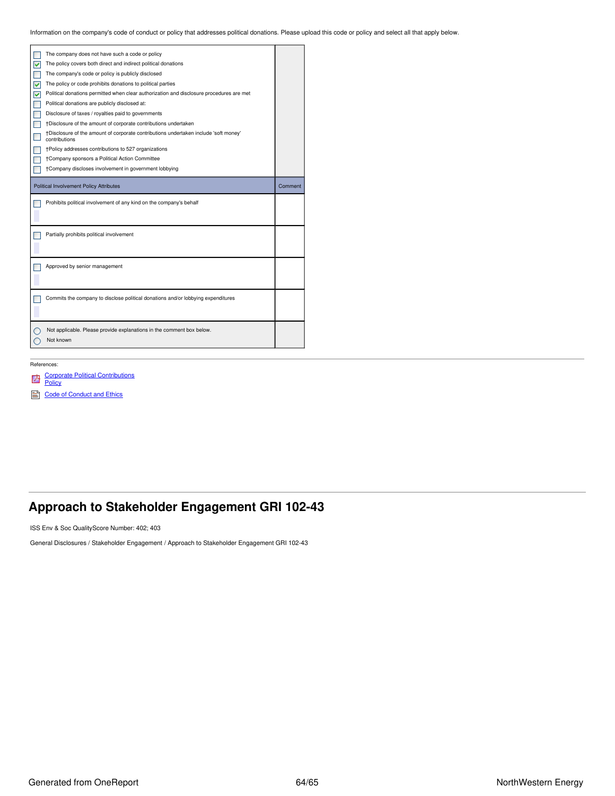Information on the company's code of conduct or policy that addresses political donations. Please upload this code or policy and select all that apply below.

|   | The company does not have such a code or policy                                                       |         |
|---|-------------------------------------------------------------------------------------------------------|---------|
|   | The policy covers both direct and indirect political donations                                        |         |
|   | The company's code or policy is publicly disclosed                                                    |         |
| ▽ | The policy or code prohibits donations to political parties                                           |         |
| ▽ | Political donations permitted when clear authorization and disclosure procedures are met              |         |
|   | Political donations are publicly disclosed at:                                                        |         |
|   | Disclosure of taxes / royalties paid to governments                                                   |         |
|   | †Disclosure of the amount of corporate contributions undertaken                                       |         |
|   | +Disclosure of the amount of corporate contributions undertaken include 'soft money'<br>contributions |         |
|   | †Policy addresses contributions to 527 organizations                                                  |         |
|   | †Company sponsors a Political Action Committee                                                        |         |
|   | †Company discloses involvement in government lobbying                                                 |         |
|   |                                                                                                       |         |
|   | <b>Political Involvement Policy Attributes</b>                                                        | Comment |
|   | Prohibits political involvement of any kind on the company's behalf                                   |         |
|   | Partially prohibits political involvement                                                             |         |
|   | Approved by senior management                                                                         |         |
|   | Commits the company to disclose political donations and/or lobbying expenditures                      |         |
|   | Not applicable. Please provide explanations in the comment box below.<br>Not known                    |         |

### References:

### Corporate Political [Contributions](https://app.one-report.com/download.html/2021/shared/library/1068-00018428.pdf) Policy

- 
- Code of [Conduct](https://www.northwesternenergy.com/docs/default-source/documents/corporategovernance/nwe_2021_code_lowres.pdf) and Ethics

## <span id="page-63-0"></span>**Approach to Stakeholder Engagement GRI 102-43**

ISS Env & Soc QualityScore Number: 402; 403

General Disclosures / Stakeholder Engagement / Approach to Stakeholder Engagement GRI 102-43